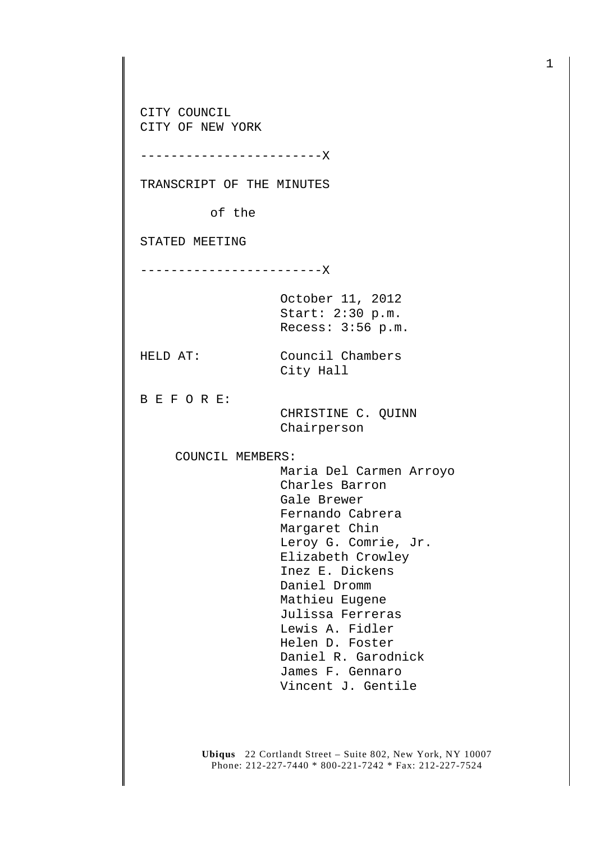CITY COUNCIL CITY OF NEW YORK

------------------------X

TRANSCRIPT OF THE MINUTES

of the

STATED MEETING

------------------------X

October 11, 2012 Start: 2:30 p.m. Recess: 3:56 p.m.

City Hall

HELD AT: Council Chambers

B E F O R E:

 CHRISTINE C. QUINN Chairperson

COUNCIL MEMBERS:

 Maria Del Carmen Arroyo Charles Barron Gale Brewer Fernando Cabrera Margaret Chin Leroy G. Comrie, Jr. Elizabeth Crowley Inez E. Dickens Daniel Dromm Mathieu Eugene Julissa Ferreras Lewis A. Fidler Helen D. Foster Daniel R. Garodnick James F. Gennaro Vincent J. Gentile

**Ubiqus** 22 Cortlandt Street – Suite 802, New York, NY 10007 Phone: 212-227-7440 \* 800-221-7242 \* Fax: 212-227-7524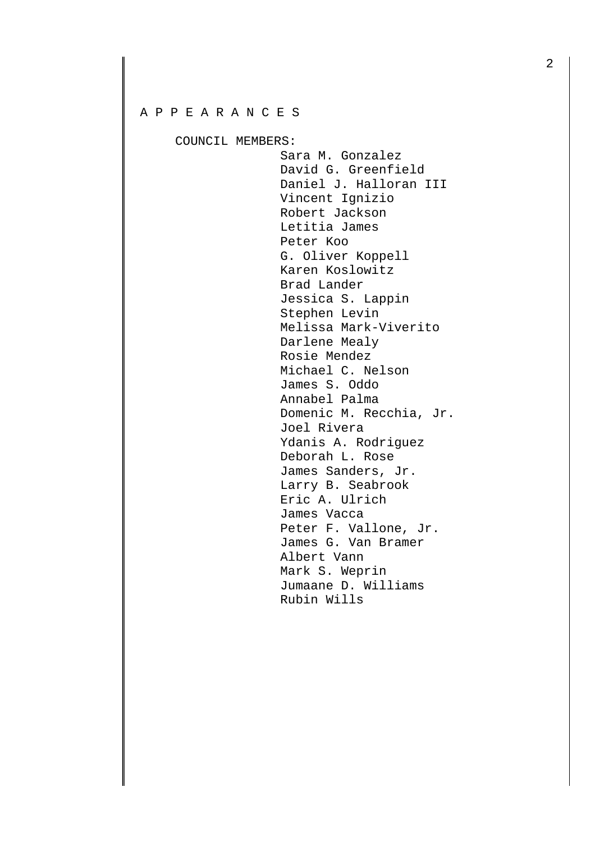## A P P E A R A N C E S

COUNCIL MEMBERS:

 Sara M. Gonzalez David G. Greenfield Daniel J. Halloran III Vincent Ignizio Robert Jackson Letitia James Peter Koo G. Oliver Koppell Karen Koslowitz Brad Lander Jessica S. Lappin Stephen Levin Melissa Mark-Viverito Darlene Mealy Rosie Mendez Michael C. Nelson James S. Oddo Annabel Palma Domenic M. Recchia, Jr. Joel Rivera Ydanis A. Rodriguez Deborah L. Rose James Sanders, Jr. Larry B. Seabrook Eric A. Ulrich James Vacca Peter F. Vallone, Jr. James G. Van Bramer Albert Vann Mark S. Weprin Jumaane D. Williams Rubin Wills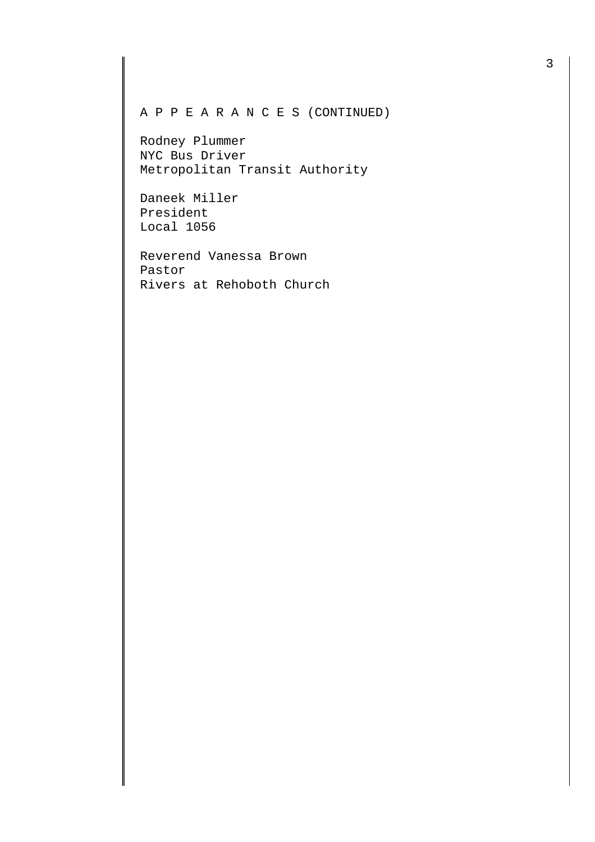## A P P E A R A N C E S (CONTINUED)

Rodney Plummer NYC Bus Driver Metropolitan Transit Authority

Daneek Miller President Local 1056

Reverend Vanessa Brown Pastor Rivers at Rehoboth Church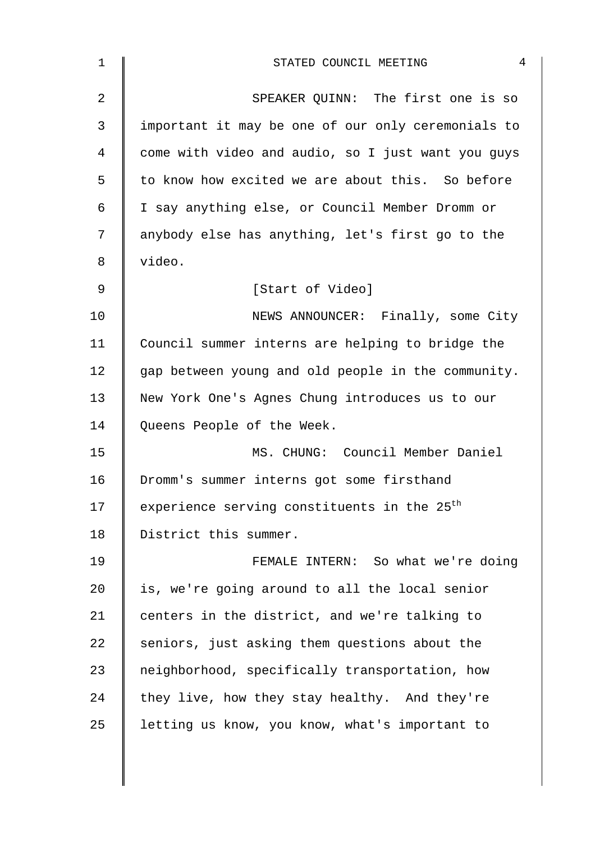| $\mathbf 1$    | 4<br>STATED COUNCIL MEETING                             |
|----------------|---------------------------------------------------------|
| $\overline{2}$ | SPEAKER QUINN: The first one is so                      |
| 3              | important it may be one of our only ceremonials to      |
| 4              | come with video and audio, so I just want you guys      |
| 5              | to know how excited we are about this. So before        |
| 6              | I say anything else, or Council Member Dromm or         |
| 7              | anybody else has anything, let's first go to the        |
| 8              | video.                                                  |
| 9              | [Start of Video]                                        |
| 10             | NEWS ANNOUNCER: Finally, some City                      |
| 11             | Council summer interns are helping to bridge the        |
| 12             | gap between young and old people in the community.      |
| 13             | New York One's Agnes Chung introduces us to our         |
| 14             | Queens People of the Week.                              |
| 15             | MS. CHUNG: Council Member Daniel                        |
| 16             | Dromm's summer interns got some firsthand               |
| 17             | experience serving constituents in the 25 <sup>th</sup> |
| 18             | District this summer.                                   |
| 19             | FEMALE INTERN: So what we're doing                      |
| 20             | is, we're going around to all the local senior          |
| 21             | centers in the district, and we're talking to           |
| 22             | seniors, just asking them questions about the           |
| 23             | neighborhood, specifically transportation, how          |
| 24             | they live, how they stay healthy. And they're           |
| 25             | letting us know, you know, what's important to          |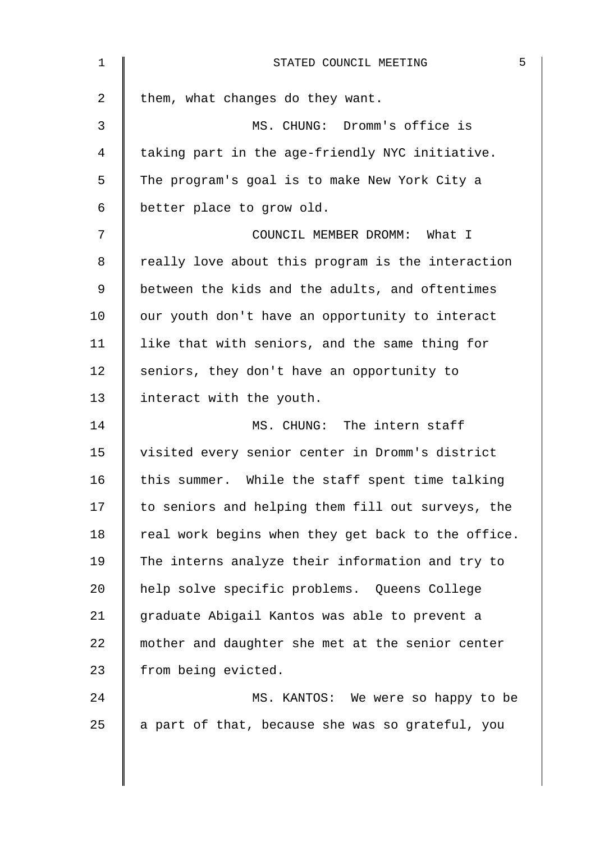| $\mathbf 1$ | 5<br>STATED COUNCIL MEETING                        |
|-------------|----------------------------------------------------|
| 2           | them, what changes do they want.                   |
| 3           | MS. CHUNG: Dromm's office is                       |
| 4           | taking part in the age-friendly NYC initiative.    |
| 5           | The program's goal is to make New York City a      |
| 6           | better place to grow old.                          |
| 7           | COUNCIL MEMBER DROMM: What I                       |
| 8           | really love about this program is the interaction  |
| 9           | between the kids and the adults, and oftentimes    |
| 10          | our youth don't have an opportunity to interact    |
| 11          | like that with seniors, and the same thing for     |
| 12          | seniors, they don't have an opportunity to         |
| 13          | interact with the youth.                           |
| 14          | MS. CHUNG: The intern staff                        |
| 15          | visited every senior center in Dromm's district    |
| 16          | this summer. While the staff spent time talking    |
| 17          | to seniors and helping them fill out surveys, the  |
| 18          | real work begins when they get back to the office. |
| 19          | The interns analyze their information and try to   |
| 20          | help solve specific problems. Queens College       |
| 21          | graduate Abigail Kantos was able to prevent a      |
| 22          | mother and daughter she met at the senior center   |
| 23          | from being evicted.                                |
| 24          | MS. KANTOS: We were so happy to be                 |
| 25          | a part of that, because she was so grateful, you   |
|             |                                                    |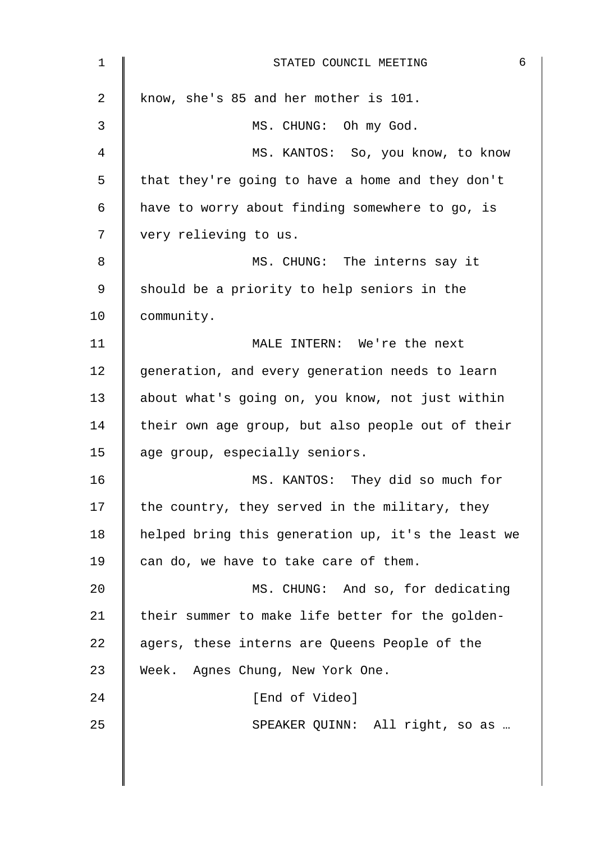| $\mathbf 1$    | 6<br>STATED COUNCIL MEETING                        |
|----------------|----------------------------------------------------|
| $\overline{a}$ | know, she's 85 and her mother is 101.              |
| 3              | MS. CHUNG: Oh my God.                              |
| 4              | MS. KANTOS: So, you know, to know                  |
| 5              | that they're going to have a home and they don't   |
| 6              | have to worry about finding somewhere to go, is    |
| 7              | very relieving to us.                              |
| 8              | MS. CHUNG: The interns say it                      |
| 9              | should be a priority to help seniors in the        |
| 10             | community.                                         |
| 11             | MALE INTERN: We're the next                        |
| 12             | generation, and every generation needs to learn    |
| 13             | about what's going on, you know, not just within   |
| 14             | their own age group, but also people out of their  |
| 15             | age group, especially seniors.                     |
| 16             | MS. KANTOS: They did so much for                   |
| 17             | the country, they served in the military, they     |
| 18             | helped bring this generation up, it's the least we |
| 19             | can do, we have to take care of them.              |
| 20             | MS. CHUNG: And so, for dedicating                  |
| 21             | their summer to make life better for the golden-   |
| 22             | agers, these interns are Queens People of the      |
| 23             | Week. Agnes Chung, New York One.                   |
| 24             | [End of Video]                                     |
| 25             | SPEAKER QUINN: All right, so as                    |
|                |                                                    |
|                |                                                    |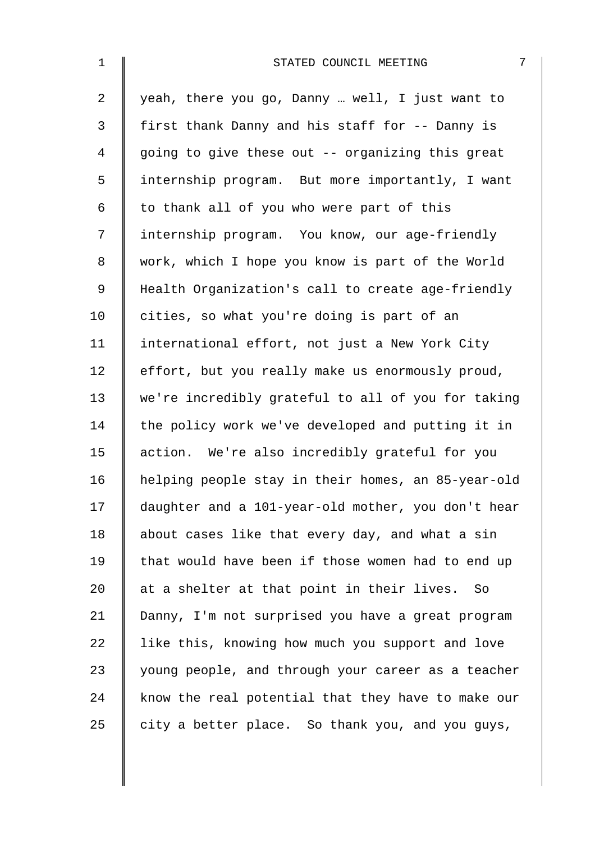| $\mathbf 1$ | STATED COUNCIL MEETING<br>7                        |
|-------------|----------------------------------------------------|
| 2           | yeah, there you go, Danny  well, I just want to    |
| 3           | first thank Danny and his staff for -- Danny is    |
| 4           | going to give these out -- organizing this great   |
| 5           | internship program. But more importantly, I want   |
| 6           | to thank all of you who were part of this          |
| 7           | internship program. You know, our age-friendly     |
| 8           | work, which I hope you know is part of the World   |
| 9           | Health Organization's call to create age-friendly  |
| 10          | cities, so what you're doing is part of an         |
| 11          | international effort, not just a New York City     |
| 12          | effort, but you really make us enormously proud,   |
| 13          | we're incredibly grateful to all of you for taking |
| 14          | the policy work we've developed and putting it in  |
| 15          | action. We're also incredibly grateful for you     |
| 16          | helping people stay in their homes, an 85-year-old |
| 17          | daughter and a 101-year-old mother, you don't hear |
| 18          | about cases like that every day, and what a sin    |
| 19          | that would have been if those women had to end up  |
| 20          | at a shelter at that point in their lives. So      |
| 21          | Danny, I'm not surprised you have a great program  |
| 22          | like this, knowing how much you support and love   |
| 23          | young people, and through your career as a teacher |
| 24          | know the real potential that they have to make our |
| 25          | city a better place. So thank you, and you guys,   |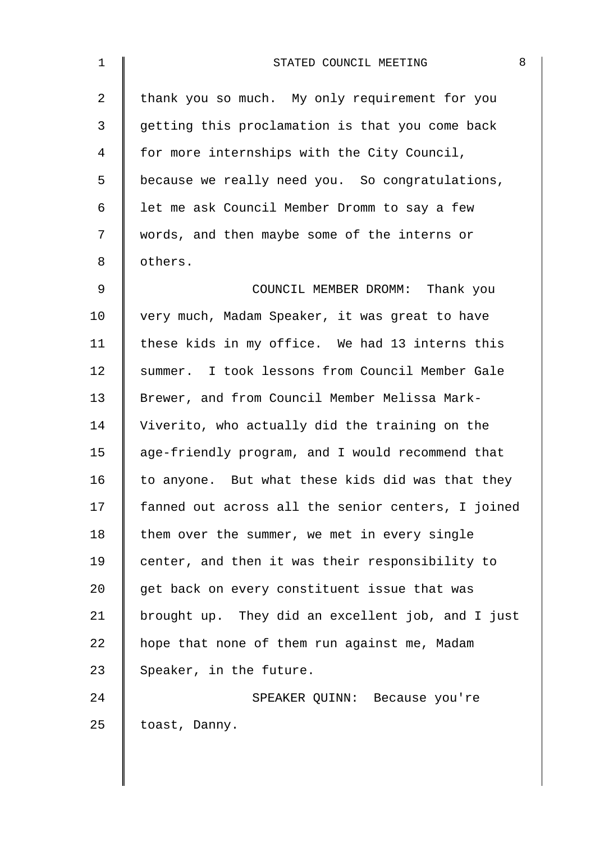| $\mathbf{1}$   | 8<br>STATED COUNCIL MEETING                        |
|----------------|----------------------------------------------------|
| $\overline{2}$ | thank you so much. My only requirement for you     |
| 3              | getting this proclamation is that you come back    |
| 4              | for more internships with the City Council,        |
| 5              | because we really need you. So congratulations,    |
| 6              | let me ask Council Member Dromm to say a few       |
| $7\phantom{.}$ | words, and then maybe some of the interns or       |
| 8              | others.                                            |
| 9              | COUNCIL MEMBER DROMM: Thank you                    |
| 10             | very much, Madam Speaker, it was great to have     |
| 11             | these kids in my office. We had 13 interns this    |
| 12             | summer. I took lessons from Council Member Gale    |
| 13             | Brewer, and from Council Member Melissa Mark-      |
| 14             | Viverito, who actually did the training on the     |
| 15             | age-friendly program, and I would recommend that   |
| 16             | to anyone. But what these kids did was that they   |
| 17             | fanned out across all the senior centers, I joined |
| 18             | them over the summer, we met in every single       |
| 19             | center, and then it was their responsibility to    |
| 20             | get back on every constituent issue that was       |
| 21             | brought up. They did an excellent job, and I just  |
| 22             | hope that none of them run against me, Madam       |
| 23             | Speaker, in the future.                            |
| 24             | SPEAKER QUINN: Because you're                      |
| 25             | toast, Danny.                                      |
|                |                                                    |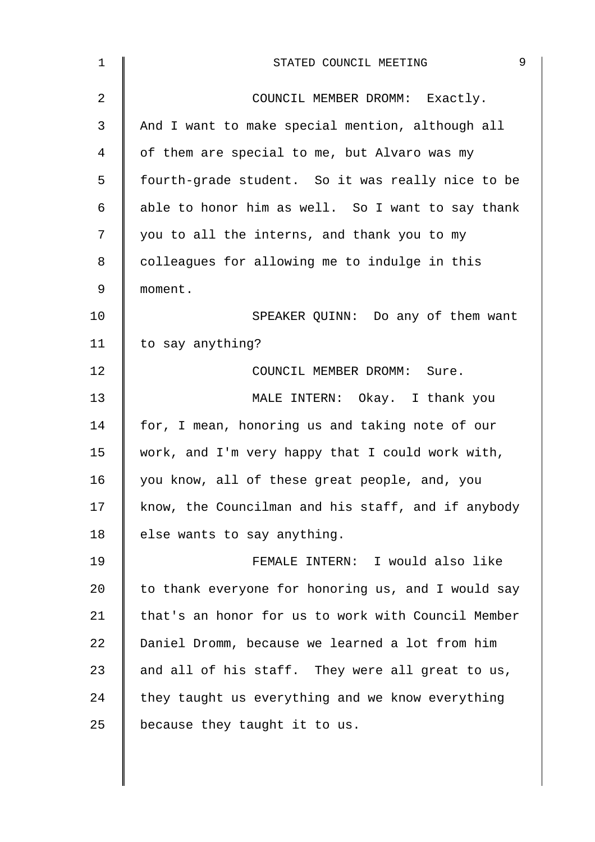| $\mathbf 1$    | 9<br>STATED COUNCIL MEETING                        |
|----------------|----------------------------------------------------|
| $\overline{2}$ | COUNCIL MEMBER DROMM: Exactly.                     |
| 3              | And I want to make special mention, although all   |
| 4              | of them are special to me, but Alvaro was my       |
| 5              | fourth-grade student. So it was really nice to be  |
| 6              | able to honor him as well. So I want to say thank  |
| 7              | you to all the interns, and thank you to my        |
| 8              | colleagues for allowing me to indulge in this      |
| 9              | moment.                                            |
| 10             | SPEAKER QUINN: Do any of them want                 |
| 11             | to say anything?                                   |
| 12             | COUNCIL MEMBER DROMM: Sure.                        |
| 13             | MALE INTERN: Okay. I thank you                     |
| 14             | for, I mean, honoring us and taking note of our    |
| 15             | work, and I'm very happy that I could work with,   |
| 16             | you know, all of these great people, and, you      |
| 17             | know, the Councilman and his staff, and if anybody |
| 18             | else wants to say anything.                        |
| 19             | FEMALE INTERN: I would also like                   |
| 20             | to thank everyone for honoring us, and I would say |
| 21             | that's an honor for us to work with Council Member |
| 22             | Daniel Dromm, because we learned a lot from him    |
| 23             | and all of his staff. They were all great to us,   |
| 24             | they taught us everything and we know everything   |
| 25             | because they taught it to us.                      |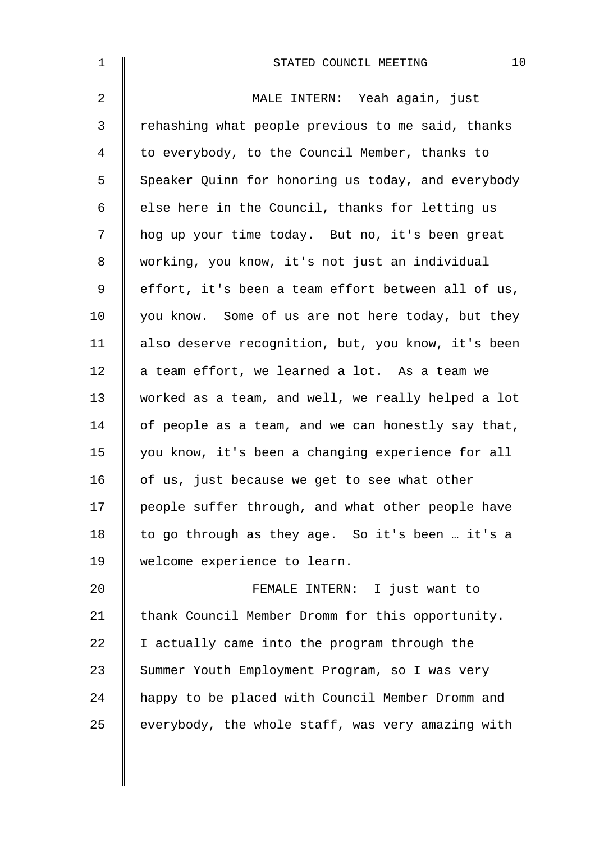| $\mathbf 1$    | 10<br>STATED COUNCIL MEETING                       |
|----------------|----------------------------------------------------|
| $\overline{2}$ | MALE INTERN: Yeah again, just                      |
| 3              | rehashing what people previous to me said, thanks  |
| 4              | to everybody, to the Council Member, thanks to     |
| 5              | Speaker Quinn for honoring us today, and everybody |
| 6              | else here in the Council, thanks for letting us    |
| 7              | hog up your time today. But no, it's been great    |
| 8              | working, you know, it's not just an individual     |
| 9              | effort, it's been a team effort between all of us, |
| 10             | you know. Some of us are not here today, but they  |
| 11             | also deserve recognition, but, you know, it's been |
| 12             | a team effort, we learned a lot. As a team we      |
| 13             | worked as a team, and well, we really helped a lot |
| 14             | of people as a team, and we can honestly say that, |
| 15             | you know, it's been a changing experience for all  |
| 16             | of us, just because we get to see what other       |
| 17             | people suffer through, and what other people have  |
| 18             | to go through as they age. So it's been  it's a    |
| 19             | welcome experience to learn.                       |
| 20             | FEMALE INTERN: I just want to                      |
| 21             | thank Council Member Dromm for this opportunity.   |
| 22             | I actually came into the program through the       |
| 23             | Summer Youth Employment Program, so I was very     |
| 24             | happy to be placed with Council Member Dromm and   |
| 25             | everybody, the whole staff, was very amazing with  |
|                |                                                    |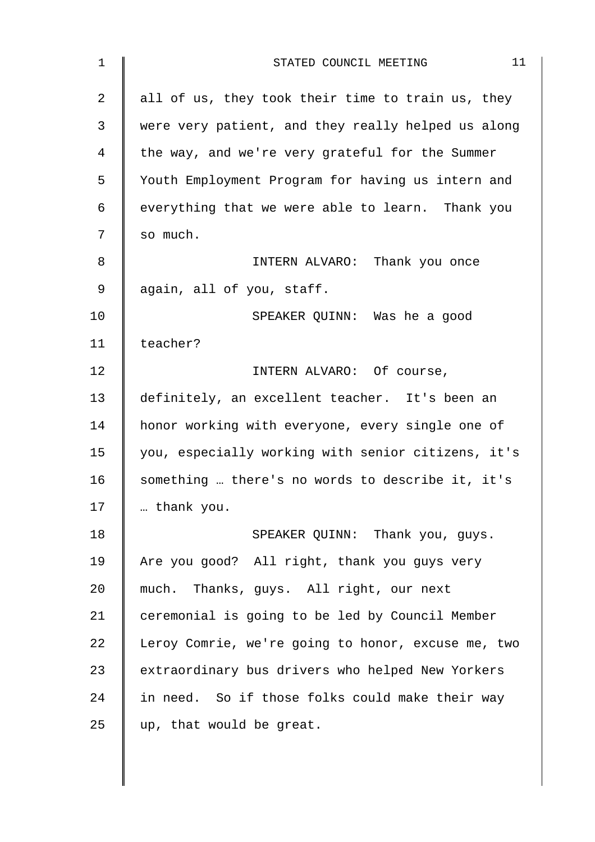| $\mathbf 1$ | 11<br>STATED COUNCIL MEETING                       |
|-------------|----------------------------------------------------|
| 2           | all of us, they took their time to train us, they  |
| 3           | were very patient, and they really helped us along |
| 4           | the way, and we're very grateful for the Summer    |
| 5           | Youth Employment Program for having us intern and  |
| 6           | everything that we were able to learn. Thank you   |
| 7           | so much.                                           |
| 8           | INTERN ALVARO: Thank you once                      |
| 9           | again, all of you, staff.                          |
| 10          | SPEAKER QUINN: Was he a good                       |
| 11          | teacher?                                           |
| 12          | INTERN ALVARO: Of course,                          |
| 13          | definitely, an excellent teacher. It's been an     |
| 14          | honor working with everyone, every single one of   |
| 15          | you, especially working with senior citizens, it's |
| 16          | something  there's no words to describe it, it's   |
| 17          | thank you.                                         |
| 18          | SPEAKER QUINN: Thank you, guys.                    |
| 19          | Are you good? All right, thank you guys very       |
| 20          | much. Thanks, guys. All right, our next            |
| 21          | ceremonial is going to be led by Council Member    |
| 22          | Leroy Comrie, we're going to honor, excuse me, two |
| 23          | extraordinary bus drivers who helped New Yorkers   |
| 24          | in need. So if those folks could make their way    |
| 25          | up, that would be great.                           |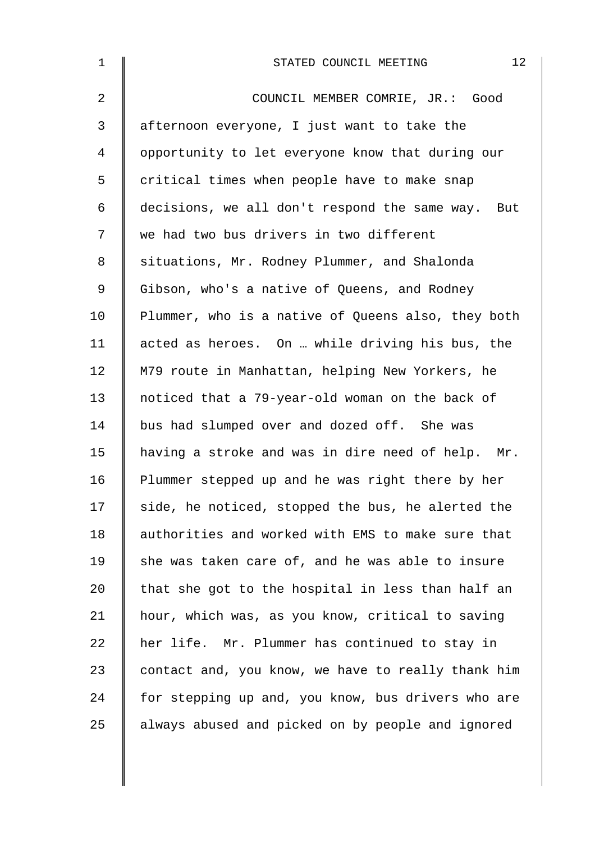| $\mathbf 1$ | 12<br>STATED COUNCIL MEETING                       |
|-------------|----------------------------------------------------|
| 2           | COUNCIL MEMBER COMRIE, JR.: Good                   |
| 3           | afternoon everyone, I just want to take the        |
| 4           | opportunity to let everyone know that during our   |
| 5           | critical times when people have to make snap       |
| 6           | decisions, we all don't respond the same way. But  |
| 7           | we had two bus drivers in two different            |
| 8           | situations, Mr. Rodney Plummer, and Shalonda       |
| 9           | Gibson, who's a native of Queens, and Rodney       |
| 10          | Plummer, who is a native of Queens also, they both |
| 11          | acted as heroes. On  while driving his bus, the    |
| 12          | M79 route in Manhattan, helping New Yorkers, he    |
| 13          | noticed that a 79-year-old woman on the back of    |
| 14          | bus had slumped over and dozed off. She was        |
| 15          | having a stroke and was in dire need of help. Mr.  |
| 16          | Plummer stepped up and he was right there by her   |
| 17          | side, he noticed, stopped the bus, he alerted the  |
| 18          | authorities and worked with EMS to make sure that  |
| 19          | she was taken care of, and he was able to insure   |
| 20          | that she got to the hospital in less than half an  |
| 21          | hour, which was, as you know, critical to saving   |
| 22          | her life. Mr. Plummer has continued to stay in     |
| 23          | contact and, you know, we have to really thank him |
| 24          | for stepping up and, you know, bus drivers who are |
| 25          | always abused and picked on by people and ignored  |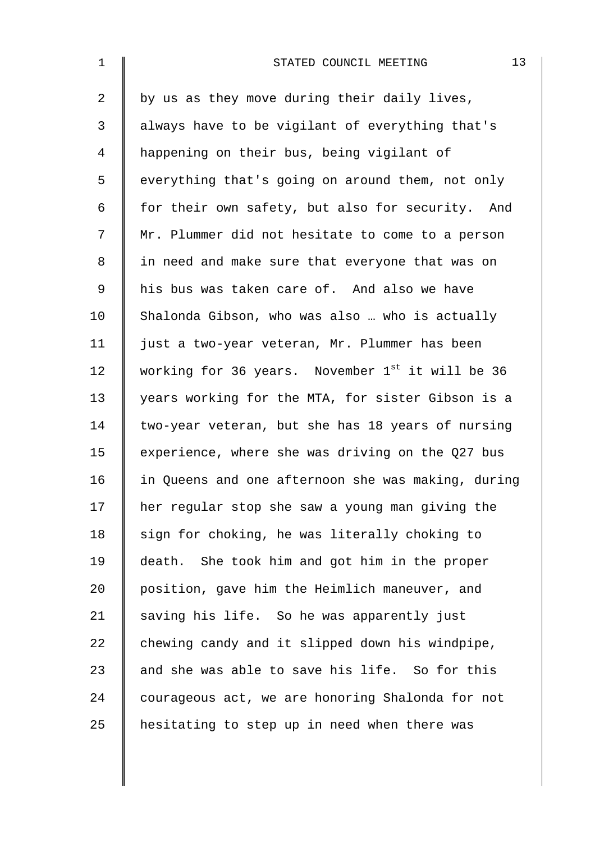| $\mathbf 1$    | 13<br>STATED COUNCIL MEETING                                 |
|----------------|--------------------------------------------------------------|
| $\overline{a}$ | by us as they move during their daily lives,                 |
| 3              | always have to be vigilant of everything that's              |
| 4              | happening on their bus, being vigilant of                    |
| 5              | everything that's going on around them, not only             |
| 6              | for their own safety, but also for security. And             |
| 7              | Mr. Plummer did not hesitate to come to a person             |
| 8              | in need and make sure that everyone that was on              |
| 9              | his bus was taken care of. And also we have                  |
| 10             | Shalonda Gibson, who was also  who is actually               |
| 11             | just a two-year veteran, Mr. Plummer has been                |
| 12             | working for 36 years. November 1 <sup>st</sup> it will be 36 |
| 13             | years working for the MTA, for sister Gibson is a            |
| 14             | two-year veteran, but she has 18 years of nursing            |
| 15             | experience, where she was driving on the Q27 bus             |
| 16             | in Queens and one afternoon she was making, during           |
| 17             | her regular stop she saw a young man giving the              |
| 18             | sign for choking, he was literally choking to                |
| 19             | death. She took him and got him in the proper                |
| 20             | position, gave him the Heimlich maneuver, and                |
| 21             | saving his life. So he was apparently just                   |
| 22             | chewing candy and it slipped down his windpipe,              |
| 23             | and she was able to save his life. So for this               |
| 24             | courageous act, we are honoring Shalonda for not             |
| 25             | hesitating to step up in need when there was                 |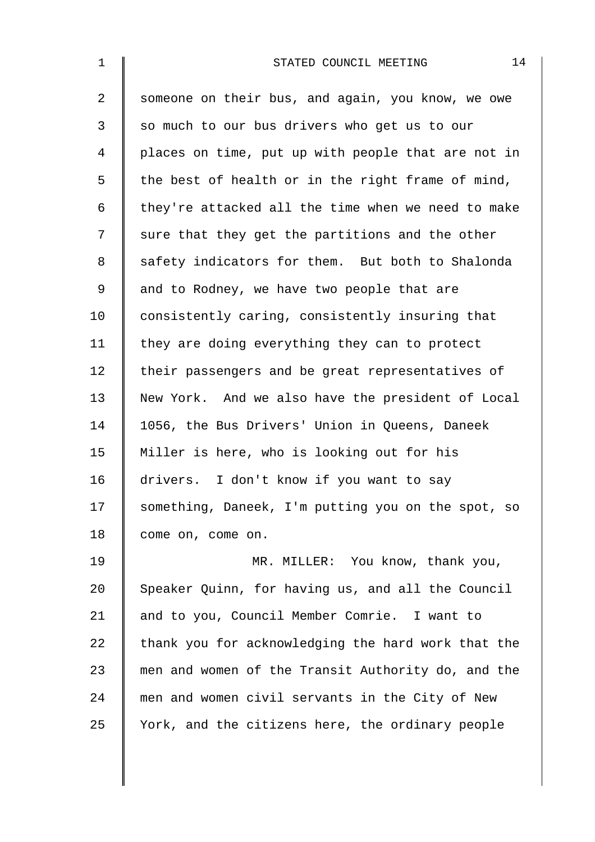| $\mathbf 1$    | 14<br>STATED COUNCIL MEETING                       |
|----------------|----------------------------------------------------|
| $\overline{a}$ | someone on their bus, and again, you know, we owe  |
| $\mathsf{3}$   | so much to our bus drivers who get us to our       |
| 4              | places on time, put up with people that are not in |
| 5              | the best of health or in the right frame of mind,  |
| 6              | they're attacked all the time when we need to make |
| 7              | sure that they get the partitions and the other    |
| 8              | safety indicators for them. But both to Shalonda   |
| 9              | and to Rodney, we have two people that are         |
| 10             | consistently caring, consistently insuring that    |
| 11             | they are doing everything they can to protect      |
| 12             | their passengers and be great representatives of   |
| 13             | New York. And we also have the president of Local  |
| 14             | 1056, the Bus Drivers' Union in Queens, Daneek     |
| 15             | Miller is here, who is looking out for his         |
| 16             | drivers. I don't know if you want to say           |
| 17             | something, Daneek, I'm putting you on the spot, so |
| 18             | come on, come on.                                  |
| 19             | MR. MILLER: You know, thank you,                   |
| 20             | Speaker Quinn, for having us, and all the Council  |
| 21             | and to you, Council Member Comrie. I want to       |
| 22             | thank you for acknowledging the hard work that the |
| 23             | men and women of the Transit Authority do, and the |
| 24             | men and women civil servants in the City of New    |
| 25             | York, and the citizens here, the ordinary people   |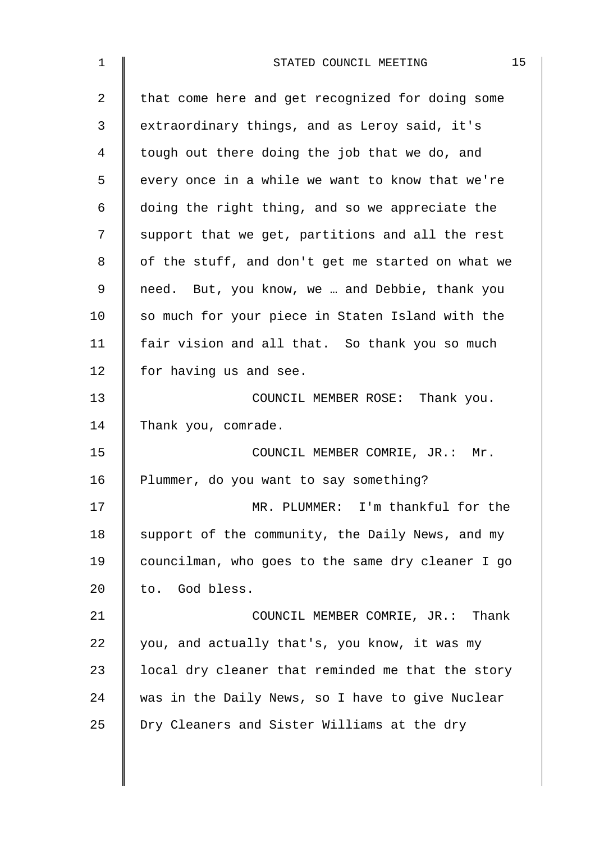| 15<br>STATED COUNCIL MEETING                      |
|---------------------------------------------------|
| that come here and get recognized for doing some  |
| extraordinary things, and as Leroy said, it's     |
| tough out there doing the job that we do, and     |
| every once in a while we want to know that we're  |
| doing the right thing, and so we appreciate the   |
| support that we get, partitions and all the rest  |
| of the stuff, and don't get me started on what we |
| need. But, you know, we  and Debbie, thank you    |
| so much for your piece in Staten Island with the  |
| fair vision and all that. So thank you so much    |
| for having us and see.                            |
| COUNCIL MEMBER ROSE: Thank you.                   |
| Thank you, comrade.                               |
| COUNCIL MEMBER COMRIE, JR.: Mr.                   |
| Plummer, do you want to say something?            |
| MR. PLUMMER: I'm thankful for the                 |
| support of the community, the Daily News, and my  |
| councilman, who goes to the same dry cleaner I go |
| to. God bless.                                    |
| COUNCIL MEMBER COMRIE, JR.: Thank                 |
| you, and actually that's, you know, it was my     |
| local dry cleaner that reminded me that the story |
| was in the Daily News, so I have to give Nuclear  |
| Dry Cleaners and Sister Williams at the dry       |
|                                                   |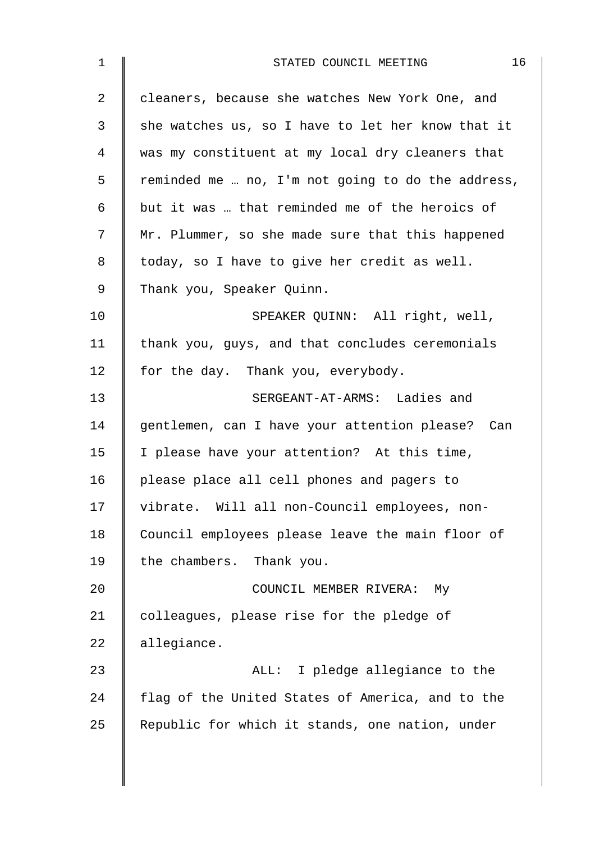| $\mathbf 1$ | 16<br>STATED COUNCIL MEETING                      |
|-------------|---------------------------------------------------|
| 2           | cleaners, because she watches New York One, and   |
| 3           | she watches us, so I have to let her know that it |
| 4           | was my constituent at my local dry cleaners that  |
| 5           | reminded me  no, I'm not going to do the address, |
| 6           | but it was  that reminded me of the heroics of    |
| 7           | Mr. Plummer, so she made sure that this happened  |
| 8           | today, so I have to give her credit as well.      |
| 9           | Thank you, Speaker Quinn.                         |
| 10          | SPEAKER QUINN: All right, well,                   |
| 11          | thank you, guys, and that concludes ceremonials   |
| 12          | for the day. Thank you, everybody.                |
| 13          | SERGEANT-AT-ARMS: Ladies and                      |
| 14          | gentlemen, can I have your attention please? Can  |
| 15          | I please have your attention? At this time,       |
| 16          | please place all cell phones and pagers to        |
| 17          | vibrate. Will all non-Council employees, non-     |
| 18          | Council employees please leave the main floor of  |
| 19          | the chambers. Thank you.                          |
| 20          | COUNCIL MEMBER RIVERA:<br>Мy                      |
| 21          | colleagues, please rise for the pledge of         |
| 22          | allegiance.                                       |
| 23          | ALL: I pledge allegiance to the                   |
| 24          | flag of the United States of America, and to the  |
| 25          | Republic for which it stands, one nation, under   |
|             |                                                   |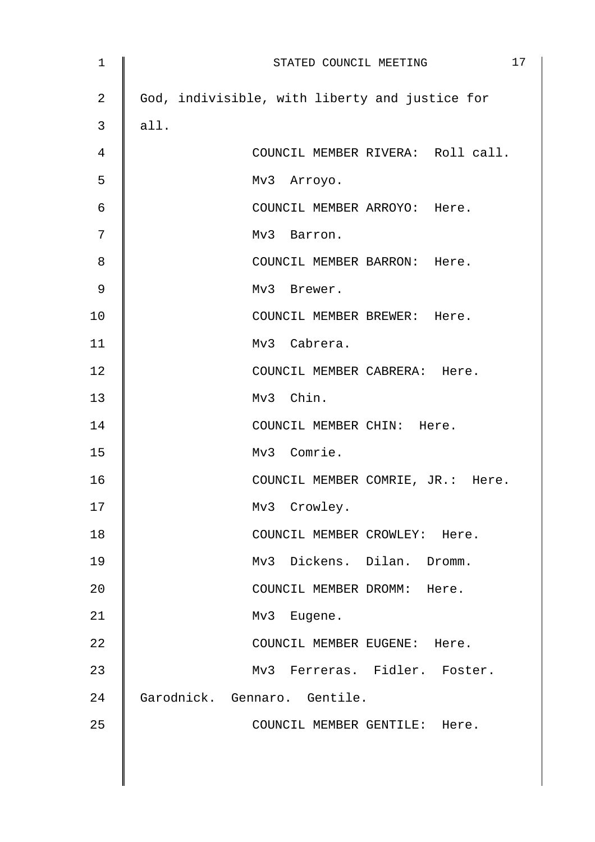| $\mathbf 1$    | 17<br>STATED COUNCIL MEETING                   |
|----------------|------------------------------------------------|
| $\overline{a}$ | God, indivisible, with liberty and justice for |
| 3              | all.                                           |
| 4              | COUNCIL MEMBER RIVERA: Roll call.              |
| 5              | Mv3 Arroyo.                                    |
| 6              | COUNCIL MEMBER ARROYO: Here.                   |
| 7              | Mv3 Barron.                                    |
| 8              | COUNCIL MEMBER BARRON: Here.                   |
| 9              | Mv3 Brewer.                                    |
| 10             | COUNCIL MEMBER BREWER: Here.                   |
| 11             | Mv3 Cabrera.                                   |
| 12             | COUNCIL MEMBER CABRERA: Here.                  |
| 13             | Mv3 Chin.                                      |
| 14             | COUNCIL MEMBER CHIN: Here.                     |
| 15             | Mv3 Comrie.                                    |
| 16             | COUNCIL MEMBER COMRIE, JR.: Here.              |
| 17             | Mv3 Crowley.                                   |
| 18             | COUNCIL MEMBER CROWLEY: Here.                  |
| 19             | Mv3 Dickens. Dilan. Dromm.                     |
| 20             | COUNCIL MEMBER DROMM: Here.                    |
| 21             | Mv3 Eugene.                                    |
| 22             | COUNCIL MEMBER EUGENE: Here.                   |
| 23             | Mv3 Ferreras. Fidler. Foster.                  |
| 24             | Garodnick. Gennaro. Gentile.                   |
| 25             | COUNCIL MEMBER GENTILE: Here.                  |
|                |                                                |
|                |                                                |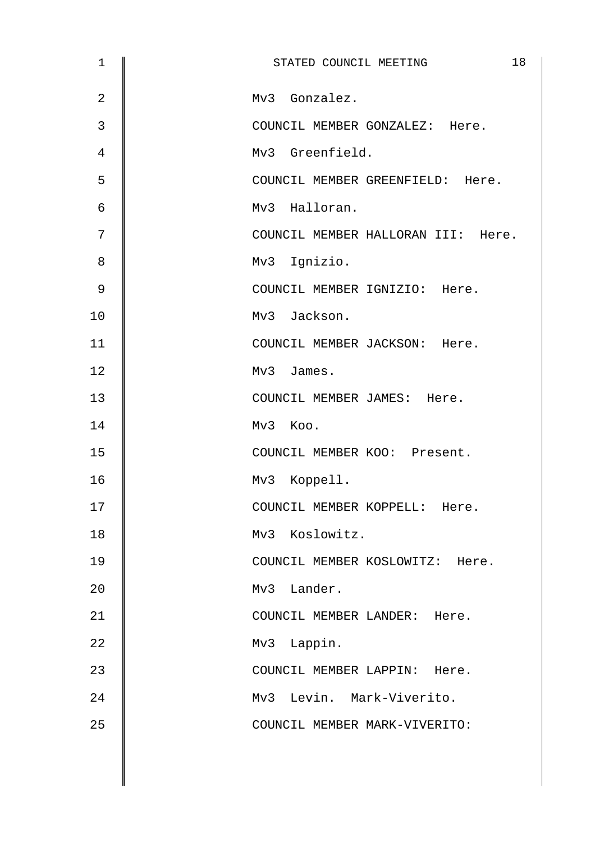| $\mathbf{1}$   | 18<br>STATED COUNCIL MEETING       |
|----------------|------------------------------------|
| $\overline{2}$ | Mv3 Gonzalez.                      |
| 3              | COUNCIL MEMBER GONZALEZ: Here.     |
| 4              | Mv3 Greenfield.                    |
| 5              | COUNCIL MEMBER GREENFIELD: Here.   |
| $\epsilon$     | Mv3 Halloran.                      |
| 7              | COUNCIL MEMBER HALLORAN III: Here. |
| 8              | Mv3 Ignizio.                       |
| 9              | COUNCIL MEMBER IGNIZIO: Here.      |
| 10             | Mv3 Jackson.                       |
| 11             | COUNCIL MEMBER JACKSON: Here.      |
| 12             | Mv3 James.                         |
| 13             | COUNCIL MEMBER JAMES: Here.        |
| 14             | Mv3 Koo.                           |
| 15             | COUNCIL MEMBER KOO: Present.       |
| 16             | Mv3 Koppell.                       |
| 17             | COUNCIL MEMBER KOPPELL:<br>Here.   |
| 18             | Mv3 Koslowitz.                     |
| 19             | COUNCIL MEMBER KOSLOWITZ: Here.    |
| 20             | Mv3 Lander.                        |
| 21             | COUNCIL MEMBER LANDER: Here.       |
| 22             | Mv3 Lappin.                        |
| 23             | COUNCIL MEMBER LAPPIN: Here.       |
| 24             | Mv3 Levin. Mark-Viverito.          |
| 25             | COUNCIL MEMBER MARK-VIVERITO:      |
|                |                                    |
|                |                                    |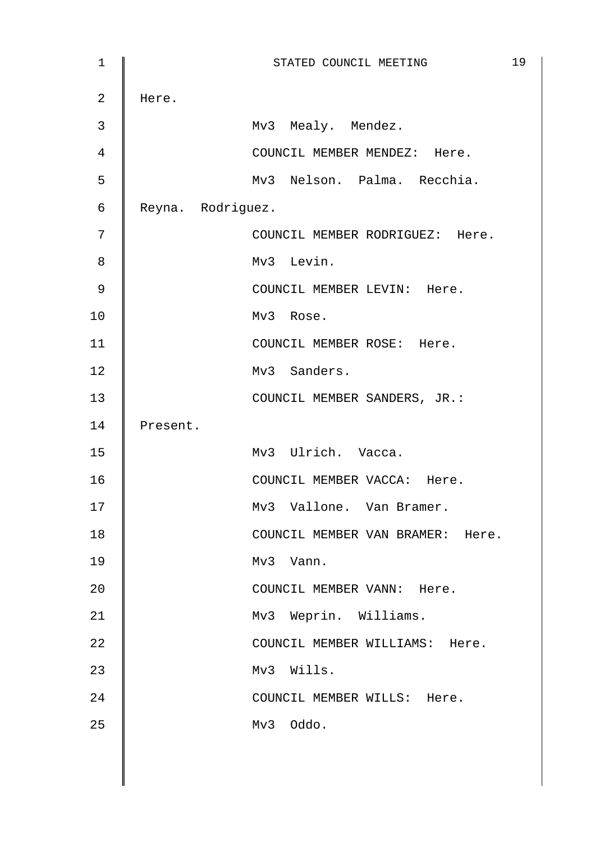| $1\,$          |                   | STATED COUNCIL MEETING           | 19 |
|----------------|-------------------|----------------------------------|----|
| $\overline{a}$ | Here.             |                                  |    |
| 3              |                   | Mv3 Mealy. Mendez.               |    |
| $\overline{4}$ |                   | COUNCIL MEMBER MENDEZ: Here.     |    |
| 5              |                   | Mv3 Nelson. Palma. Recchia.      |    |
| 6              | Reyna. Rodriguez. |                                  |    |
| 7              |                   | COUNCIL MEMBER RODRIGUEZ: Here.  |    |
| 8              |                   | Mv3 Levin.                       |    |
| $\mathsf 9$    |                   | COUNCIL MEMBER LEVIN: Here.      |    |
| 10             |                   | Mv3 Rose.                        |    |
| 11             |                   | COUNCIL MEMBER ROSE: Here.       |    |
| 12             |                   | Mv3 Sanders.                     |    |
| 13             |                   | COUNCIL MEMBER SANDERS, JR.:     |    |
| 14             | Present.          |                                  |    |
| 15             |                   | Mv3 Ulrich. Vacca.               |    |
| 16             |                   | COUNCIL MEMBER VACCA: Here.      |    |
| 17             |                   | Mv3 Vallone. Van Bramer.         |    |
| 18             |                   | COUNCIL MEMBER VAN BRAMER: Here. |    |
| 19             |                   | Mv3 Vann.                        |    |
| 20             |                   | COUNCIL MEMBER VANN: Here.       |    |
| 21             |                   | Mv3 Weprin. Williams.            |    |
| 22             |                   | COUNCIL MEMBER WILLIAMS: Here.   |    |
| 23             |                   | Mv3 Wills.                       |    |
| 24             |                   | COUNCIL MEMBER WILLS: Here.      |    |
| 25             |                   | Mv3 Oddo.                        |    |
|                |                   |                                  |    |
|                |                   |                                  |    |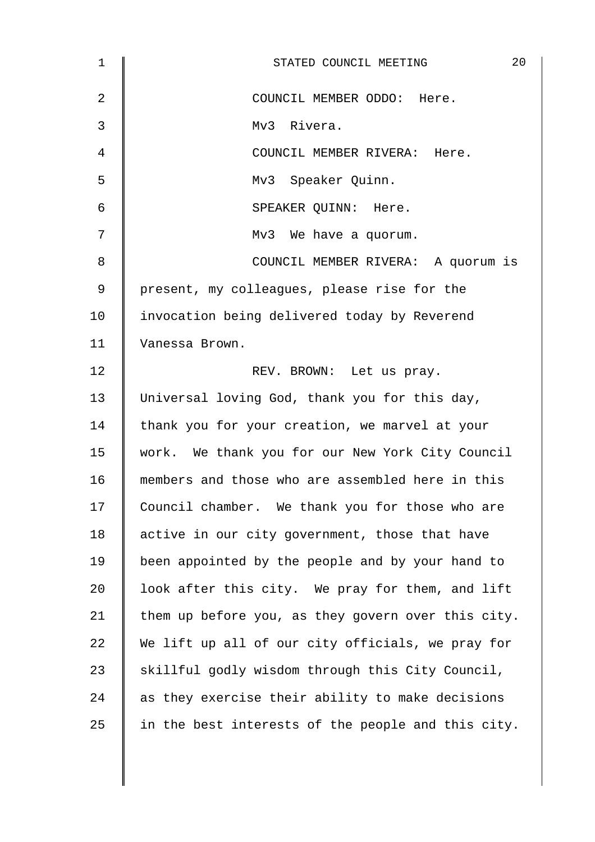| 1              | 20<br>STATED COUNCIL MEETING                       |
|----------------|----------------------------------------------------|
| $\overline{2}$ | COUNCIL MEMBER ODDO: Here.                         |
| 3              | Mv3 Rivera.                                        |
| 4              | COUNCIL MEMBER RIVERA: Here.                       |
| 5              | Mv3 Speaker Quinn.                                 |
| 6              | SPEAKER QUINN: Here.                               |
| 7              | Mv3 We have a quorum.                              |
| 8              | COUNCIL MEMBER RIVERA: A quorum is                 |
| 9              | present, my colleagues, please rise for the        |
| 10             | invocation being delivered today by Reverend       |
| 11             | Vanessa Brown.                                     |
| 12             | REV. BROWN: Let us pray.                           |
| 13             | Universal loving God, thank you for this day,      |
| 14             | thank you for your creation, we marvel at your     |
| 15             | work. We thank you for our New York City Council   |
| 16             | members and those who are assembled here in this   |
| 17             | Council chamber. We thank you for those who are    |
| 18             | active in our city government, those that have     |
| 19             | been appointed by the people and by your hand to   |
| 20             | look after this city. We pray for them, and lift   |
| 21             | them up before you, as they govern over this city. |
| 22             | We lift up all of our city officials, we pray for  |
| 23             | skillful godly wisdom through this City Council,   |
| 24             | as they exercise their ability to make decisions   |
| 25             | in the best interests of the people and this city. |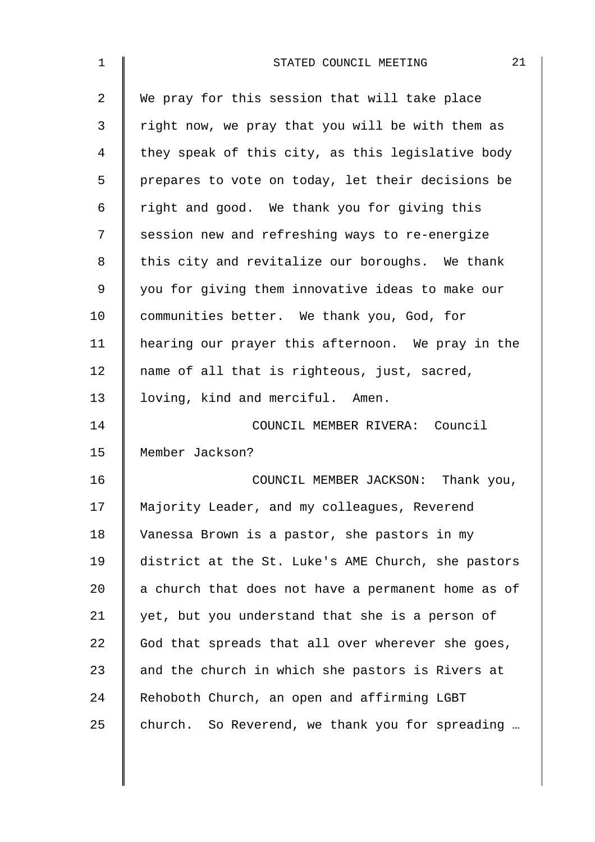| 1  | 21<br>STATED COUNCIL MEETING                       |
|----|----------------------------------------------------|
| 2  | We pray for this session that will take place      |
| 3  | right now, we pray that you will be with them as   |
| 4  | they speak of this city, as this legislative body  |
| 5  | prepares to vote on today, let their decisions be  |
| 6  | right and good. We thank you for giving this       |
| 7  | session new and refreshing ways to re-energize     |
| 8  | this city and revitalize our boroughs. We thank    |
| 9  | you for giving them innovative ideas to make our   |
| 10 | communities better. We thank you, God, for         |
| 11 | hearing our prayer this afternoon. We pray in the  |
| 12 | name of all that is righteous, just, sacred,       |
| 13 | loving, kind and merciful. Amen.                   |
| 14 | COUNCIL MEMBER RIVERA: Council                     |
| 15 | Member Jackson?                                    |
| 16 | COUNCIL MEMBER JACKSON: Thank you,                 |
| 17 | Majority Leader, and my colleagues, Reverend       |
| 18 | Vanessa Brown is a pastor, she pastors in my       |
| 19 | district at the St. Luke's AME Church, she pastors |
| 20 | a church that does not have a permanent home as of |
| 21 | yet, but you understand that she is a person of    |
| 22 | God that spreads that all over wherever she goes,  |
| 23 | and the church in which she pastors is Rivers at   |
| 24 | Rehoboth Church, an open and affirming LGBT        |
| 25 | church. So Reverend, we thank you for spreading    |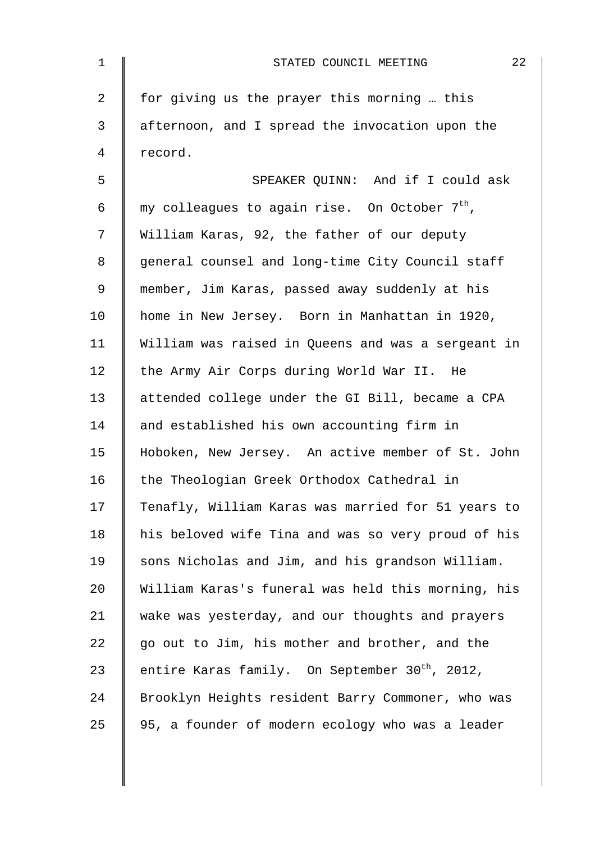| $\mathbf 1$ | 22<br>STATED COUNCIL MEETING                               |
|-------------|------------------------------------------------------------|
| 2           | for giving us the prayer this morning  this                |
| 3           | afternoon, and I spread the invocation upon the            |
| 4           | record.                                                    |
| 5           | SPEAKER QUINN: And if I could ask                          |
| 6           | my colleagues to again rise. On October 7 <sup>th</sup> ,  |
| 7           | William Karas, 92, the father of our deputy                |
| 8           | general counsel and long-time City Council staff           |
| 9           | member, Jim Karas, passed away suddenly at his             |
| 10          | home in New Jersey. Born in Manhattan in 1920,             |
| 11          | William was raised in Queens and was a sergeant in         |
| 12          | the Army Air Corps during World War II. He                 |
| 13          | attended college under the GI Bill, became a CPA           |
| 14          | and established his own accounting firm in                 |
| 15          | Hoboken, New Jersey. An active member of St. John          |
| 16          | the Theologian Greek Orthodox Cathedral in                 |
| 17          | Tenafly, William Karas was married for 51 years to         |
| 18          | his beloved wife Tina and was so very proud of his         |
| 19          | sons Nicholas and Jim, and his grandson William.           |
| 20          | William Karas's funeral was held this morning, his         |
| 21          | wake was yesterday, and our thoughts and prayers           |
| 22          | go out to Jim, his mother and brother, and the             |
| 23          | entire Karas family. On September 30 <sup>th</sup> , 2012, |
| 24          | Brooklyn Heights resident Barry Commoner, who was          |
| 25          | 95, a founder of modern ecology who was a leader           |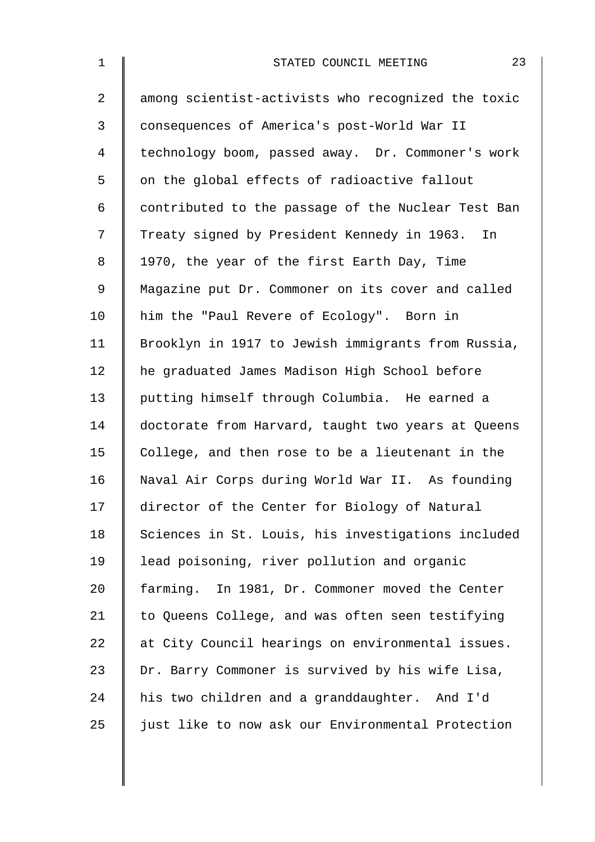| $\mathbf 1$    | 23<br>STATED COUNCIL MEETING                       |
|----------------|----------------------------------------------------|
| $\overline{2}$ | among scientist-activists who recognized the toxic |
| 3              | consequences of America's post-World War II        |
| 4              | technology boom, passed away. Dr. Commoner's work  |
| 5              | on the global effects of radioactive fallout       |
| 6              | contributed to the passage of the Nuclear Test Ban |
| 7              | Treaty signed by President Kennedy in 1963. In     |
| 8              | 1970, the year of the first Earth Day, Time        |
| 9              | Magazine put Dr. Commoner on its cover and called  |
| 10             | him the "Paul Revere of Ecology". Born in          |
| 11             | Brooklyn in 1917 to Jewish immigrants from Russia, |
| 12             | he graduated James Madison High School before      |
| 13             | putting himself through Columbia. He earned a      |
| 14             | doctorate from Harvard, taught two years at Queens |
| 15             | College, and then rose to be a lieutenant in the   |
| 16             | Naval Air Corps during World War II. As founding   |
| 17             | director of the Center for Biology of Natural      |
| 18             | Sciences in St. Louis, his investigations included |
| 19             | lead poisoning, river pollution and organic        |
| 20             | farming. In 1981, Dr. Commoner moved the Center    |
| 21             | to Queens College, and was often seen testifying   |
| 22             | at City Council hearings on environmental issues.  |
| 23             | Dr. Barry Commoner is survived by his wife Lisa,   |
| 24             | his two children and a granddaughter. And I'd      |
| 25             | just like to now ask our Environmental Protection  |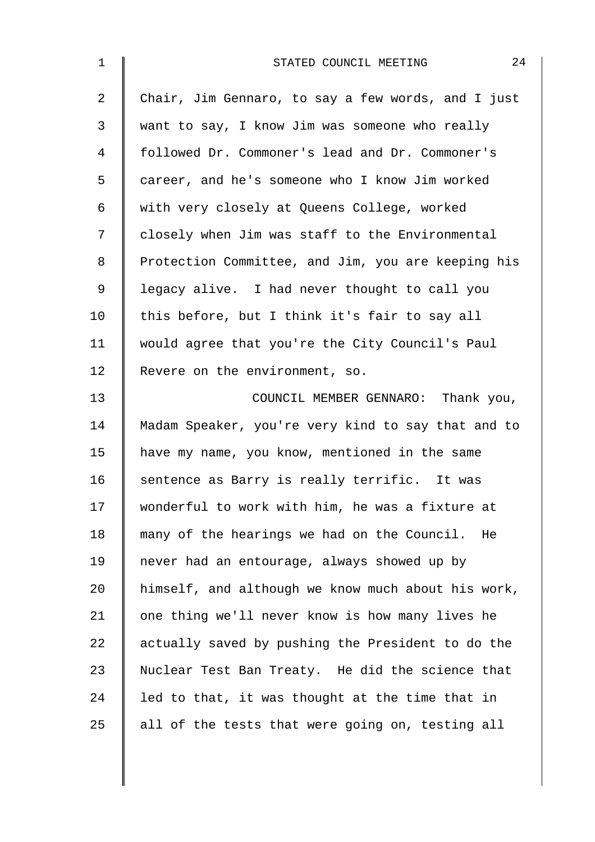| $\mathbf 1$ | 24<br>STATED COUNCIL MEETING                       |
|-------------|----------------------------------------------------|
| 2           | Chair, Jim Gennaro, to say a few words, and I just |
| 3           | want to say, I know Jim was someone who really     |
| 4           | followed Dr. Commoner's lead and Dr. Commoner's    |
| 5           | career, and he's someone who I know Jim worked     |
| 6           | with very closely at Queens College, worked        |
| 7           | closely when Jim was staff to the Environmental    |
| 8           | Protection Committee, and Jim, you are keeping his |
| $\mathsf 9$ | legacy alive. I had never thought to call you      |
| 10          | this before, but I think it's fair to say all      |
| 11          | would agree that you're the City Council's Paul    |
| 12          | Revere on the environment, so.                     |
| 13          | COUNCIL MEMBER GENNARO: Thank you,                 |
| 14          | Madam Speaker, you're very kind to say that and to |
| 15          | have my name, you know, mentioned in the same      |
| 16          | sentence as Barry is really terrific. It was       |
| 17          | wonderful to work with him, he was a fixture at    |
| 18          | many of the hearings we had on the Council.<br>He  |
| 19          | never had an entourage, always showed up by        |
| 20          | himself, and although we know much about his work, |
| 21          | one thing we'll never know is how many lives he    |
| 22          | actually saved by pushing the President to do the  |
| 23          | Nuclear Test Ban Treaty. He did the science that   |
| 24          | led to that, it was thought at the time that in    |
| 25          | all of the tests that were going on, testing all   |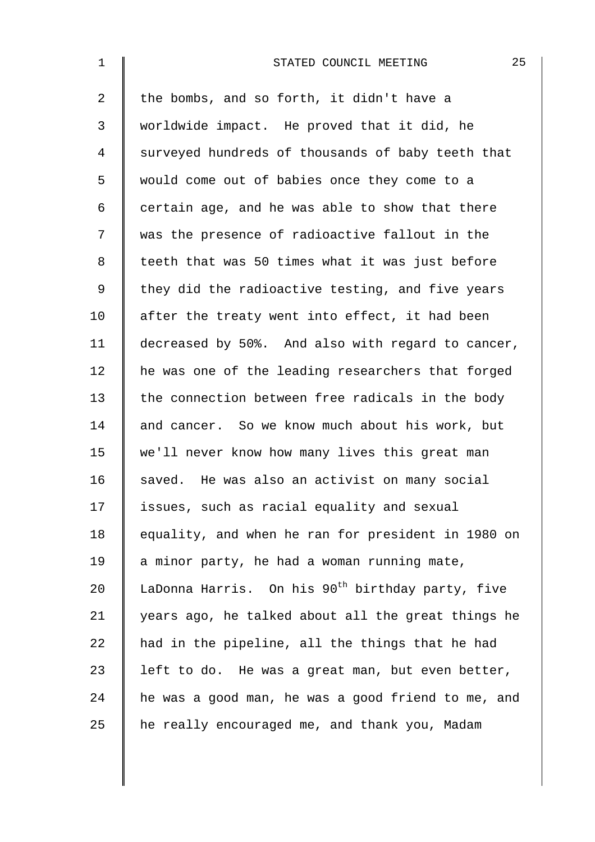| $\mathbf 1$ | 25<br>STATED COUNCIL MEETING                                 |
|-------------|--------------------------------------------------------------|
| 2           | the bombs, and so forth, it didn't have a                    |
| 3           | worldwide impact. He proved that it did, he                  |
| 4           | surveyed hundreds of thousands of baby teeth that            |
| 5           | would come out of babies once they come to a                 |
| 6           | certain age, and he was able to show that there              |
| 7           | was the presence of radioactive fallout in the               |
| 8           | teeth that was 50 times what it was just before              |
| 9           | they did the radioactive testing, and five years             |
| 10          | after the treaty went into effect, it had been               |
| 11          | decreased by 50%. And also with regard to cancer,            |
| 12          | he was one of the leading researchers that forged            |
| 13          | the connection between free radicals in the body             |
| 14          | and cancer. So we know much about his work, but              |
| 15          | we'll never know how many lives this great man               |
| 16          | saved. He was also an activist on many social                |
| 17          | issues, such as racial equality and sexual                   |
| 18          | equality, and when he ran for president in 1980 on           |
| 19          | a minor party, he had a woman running mate,                  |
| 20          | LaDonna Harris. On his 90 <sup>th</sup> birthday party, five |
| 21          | years ago, he talked about all the great things he           |
| 22          | had in the pipeline, all the things that he had              |
| 23          | left to do. He was a great man, but even better,             |
| 24          | he was a good man, he was a good friend to me, and           |
| 25          | he really encouraged me, and thank you, Madam                |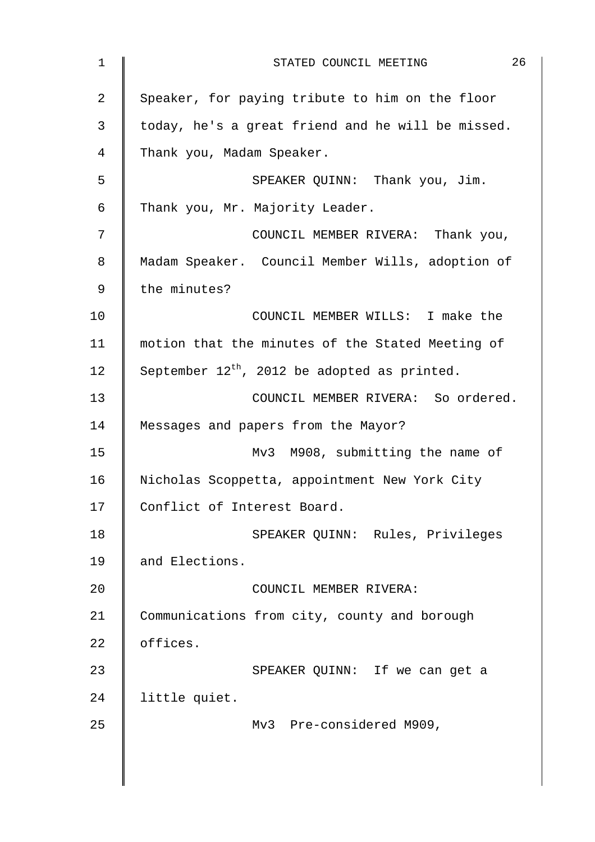| $\mathbf 1$    | 26<br>STATED COUNCIL MEETING                      |
|----------------|---------------------------------------------------|
| $\overline{2}$ | Speaker, for paying tribute to him on the floor   |
| 3              | today, he's a great friend and he will be missed. |
| 4              | Thank you, Madam Speaker.                         |
| 5              | SPEAKER QUINN: Thank you, Jim.                    |
| 6              | Thank you, Mr. Majority Leader.                   |
| 7              | COUNCIL MEMBER RIVERA: Thank you,                 |
| 8              | Madam Speaker. Council Member Wills, adoption of  |
| 9              | the minutes?                                      |
| 10             | COUNCIL MEMBER WILLS: I make the                  |
| 11             | motion that the minutes of the Stated Meeting of  |
| 12             | September $12^{th}$ , 2012 be adopted as printed. |
| 13             | COUNCIL MEMBER RIVERA: So ordered.                |
| 14             | Messages and papers from the Mayor?               |
| 15             | Mv3 M908, submitting the name of                  |
| 16             | Nicholas Scoppetta, appointment New York City     |
| 17             | Conflict of Interest Board.                       |
| 18             | SPEAKER QUINN: Rules, Privileges                  |
| 19             | and Elections.                                    |
| 20             | COUNCIL MEMBER RIVERA:                            |
| 21             | Communications from city, county and borough      |
| 22             | offices.                                          |
| 23             | SPEAKER QUINN: If we can get a                    |
| 24             | little quiet.                                     |
| 25             | Mv3 Pre-considered M909,                          |
|                |                                                   |
|                |                                                   |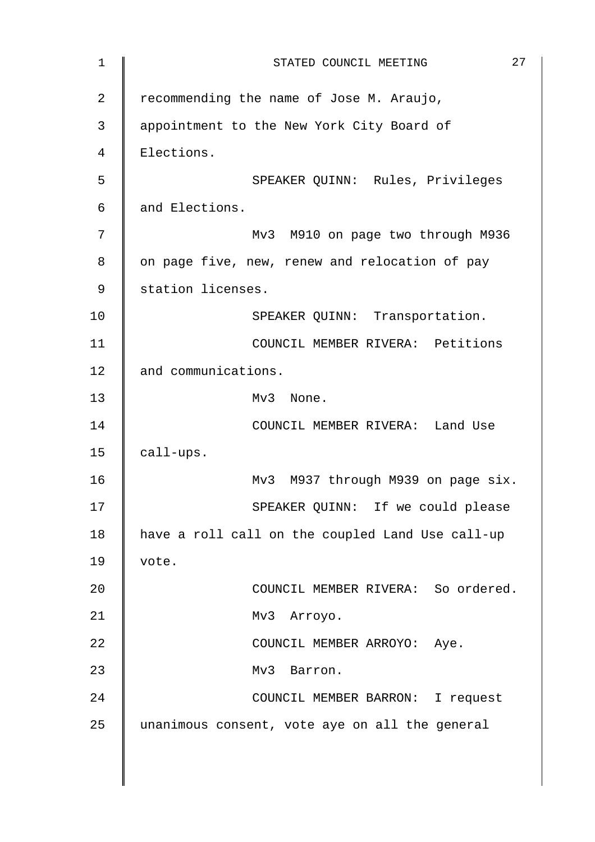| $\mathbf 1$    | 27<br>STATED COUNCIL MEETING                     |
|----------------|--------------------------------------------------|
| $\overline{2}$ | recommending the name of Jose M. Araujo,         |
| 3              | appointment to the New York City Board of        |
| $\overline{4}$ | Elections.                                       |
| 5              | SPEAKER QUINN: Rules, Privileges                 |
| $\epsilon$     | and Elections.                                   |
| 7              | Mv3 M910 on page two through M936                |
| 8              | on page five, new, renew and relocation of pay   |
| 9              | station licenses.                                |
| 10             | SPEAKER QUINN: Transportation.                   |
| 11             | COUNCIL MEMBER RIVERA: Petitions                 |
| 12             | and communications.                              |
| 13             | Mv3 None.                                        |
| 14             | COUNCIL MEMBER RIVERA: Land Use                  |
| 15             | call-ups.                                        |
| 16             | Mv3 M937 through M939 on page six.               |
| 17             | SPEAKER QUINN: If we could please                |
| 18             | have a roll call on the coupled Land Use call-up |
| 19             | vote.                                            |
| 20             | COUNCIL MEMBER RIVERA: So ordered.               |
| 21             | Mv3 Arroyo.                                      |
| 22             | COUNCIL MEMBER ARROYO: Aye.                      |
| 23             | Mv3 Barron.                                      |
| 24             | COUNCIL MEMBER BARRON: I request                 |
| 25             | unanimous consent, vote aye on all the general   |
|                |                                                  |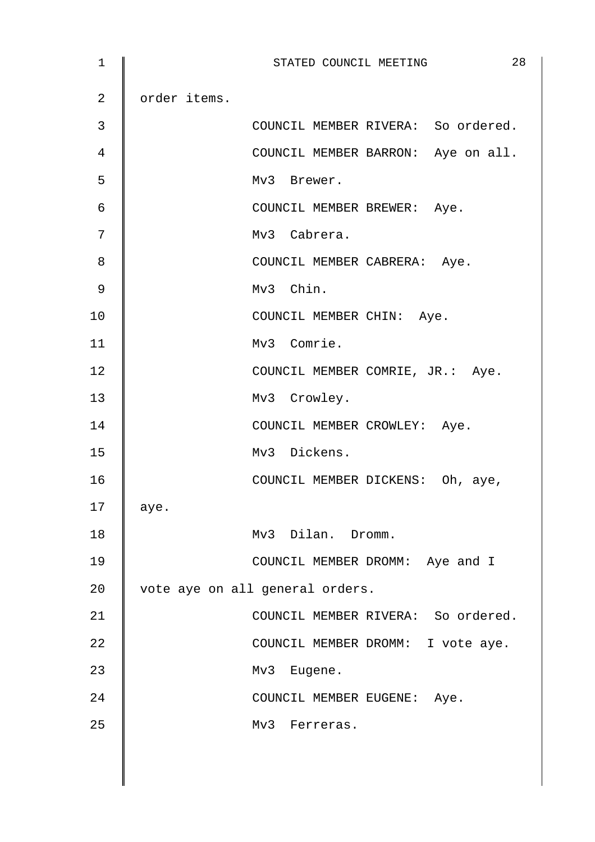| 1              | 28<br>STATED COUNCIL MEETING       |
|----------------|------------------------------------|
| $\overline{2}$ | order items.                       |
| 3              | COUNCIL MEMBER RIVERA: So ordered. |
| 4              | COUNCIL MEMBER BARRON: Aye on all. |
| 5              | Mv3 Brewer.                        |
| 6              | COUNCIL MEMBER BREWER: Aye.        |
| 7              | Mv3 Cabrera.                       |
| 8              | COUNCIL MEMBER CABRERA: Aye.       |
| 9              | Mv3 Chin.                          |
| 10             | COUNCIL MEMBER CHIN: Aye.          |
| 11             | Mv3 Comrie.                        |
| 12             | COUNCIL MEMBER COMRIE, JR.: Aye.   |
| 13             | Mv3 Crowley.                       |
| 14             | COUNCIL MEMBER CROWLEY: Aye.       |
| 15             | Mv3 Dickens.                       |
| 16             | COUNCIL MEMBER DICKENS: Oh, aye,   |
| 17             | aye.                               |
| 18             | Mv3 Dilan. Dromm.                  |
| 19             | COUNCIL MEMBER DROMM: Aye and I    |
| 20             | vote aye on all general orders.    |
| 21             | COUNCIL MEMBER RIVERA: So ordered. |
| 22             | COUNCIL MEMBER DROMM: I vote aye.  |
| 23             | Mv3 Eugene.                        |
| 24             | COUNCIL MEMBER EUGENE: Aye.        |
| 25             | Mv3 Ferreras.                      |
|                |                                    |
|                |                                    |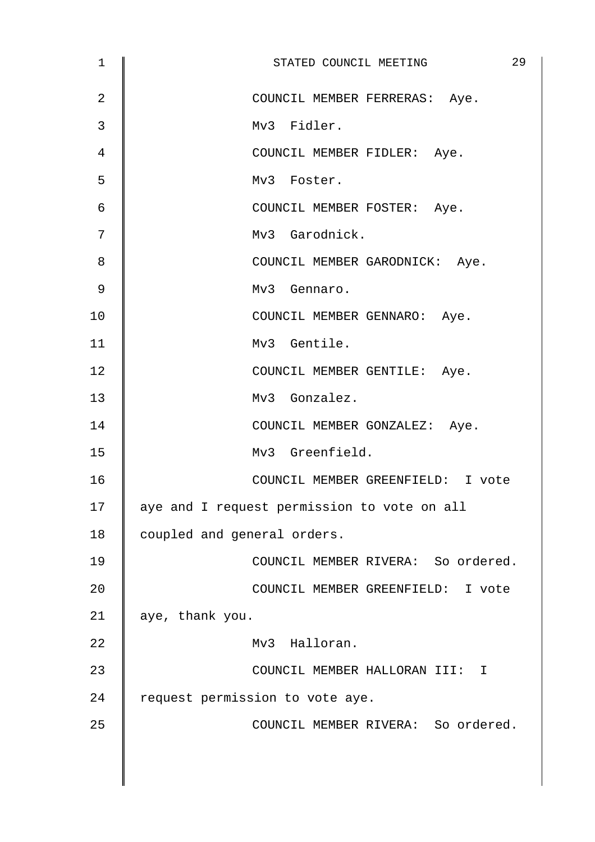| 1  | 29<br>STATED COUNCIL MEETING                |
|----|---------------------------------------------|
| 2  | COUNCIL MEMBER FERRERAS: Aye.               |
| 3  | Mv3 Fidler.                                 |
| 4  | COUNCIL MEMBER FIDLER: Aye.                 |
| 5  | Mv3 Foster.                                 |
| 6  | COUNCIL MEMBER FOSTER: Aye.                 |
| 7  | Mv3 Garodnick.                              |
| 8  | COUNCIL MEMBER GARODNICK: Aye.              |
| 9  | Mv3 Gennaro.                                |
| 10 | COUNCIL MEMBER GENNARO: Aye.                |
| 11 | Mv3 Gentile.                                |
| 12 | COUNCIL MEMBER GENTILE: Aye.                |
| 13 | Mv3 Gonzalez.                               |
| 14 | COUNCIL MEMBER GONZALEZ: Aye.               |
| 15 | Mv3 Greenfield.                             |
| 16 | COUNCIL MEMBER GREENFIELD: I vote           |
| 17 | aye and I request permission to vote on all |
| 18 | coupled and general orders.                 |
| 19 | COUNCIL MEMBER RIVERA: So ordered.          |
| 20 | COUNCIL MEMBER GREENFIELD: I vote           |
| 21 | aye, thank you.                             |
| 22 | Mv3 Halloran.                               |
| 23 | COUNCIL MEMBER HALLORAN III: I              |
| 24 | request permission to vote aye.             |
| 25 | COUNCIL MEMBER RIVERA: So ordered.          |
|    |                                             |
|    |                                             |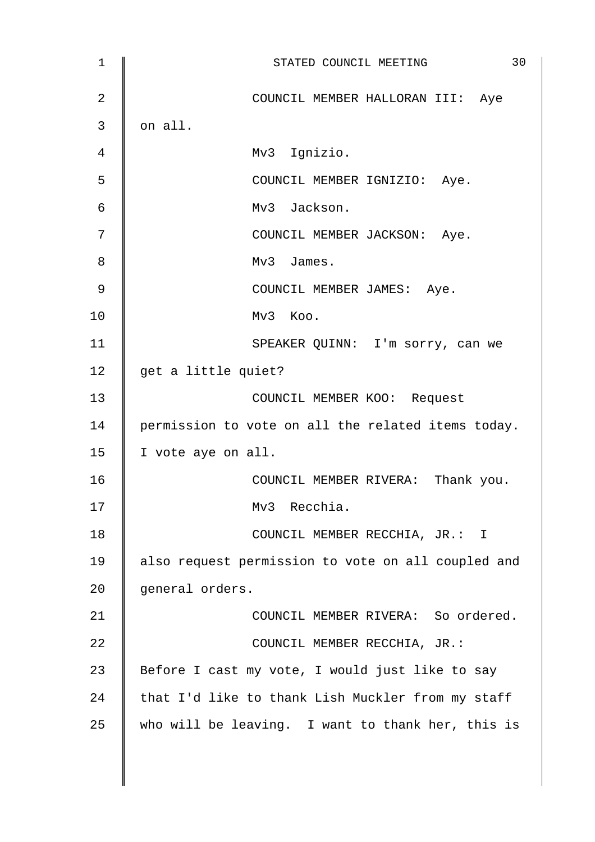1 || STATED COUNCIL MEETING 30 2 COUNCIL MEMBER HALLORAN III: Aye  $3 \parallel$  on all. 4 Mv3 Ignizio. 5 COUNCIL MEMBER IGNIZIO: Aye. 6 Mv3 Jackson. 7 || COUNCIL MEMBER JACKSON: Aye. 8 Mv3 James. 9 | COUNCIL MEMBER JAMES: Aye.  $10$   $\parallel$   $Mv3$  Koo. 11 | SPEAKER QUINN: I'm sorry, can we 12  $\parallel$  get a little quiet? 13 || COUNCIL MEMBER KOO: Request 14 | permission to vote on all the related items today. 15 | I vote aye on all. 16 **COUNCIL MEMBER RIVERA:** Thank you. 17 Mv3 Recchia. 18 | COUNCIL MEMBER RECCHIA, JR.: I 19 also request permission to vote on all coupled and 20 general orders. 21 **COUNCIL MEMBER RIVERA:** So ordered. 22 | COUNCIL MEMBER RECCHIA, JR.: 23  $\parallel$  Before I cast my vote, I would just like to say 24  $\parallel$  that I'd like to thank Lish Muckler from my staff 25 who will be leaving. I want to thank her, this is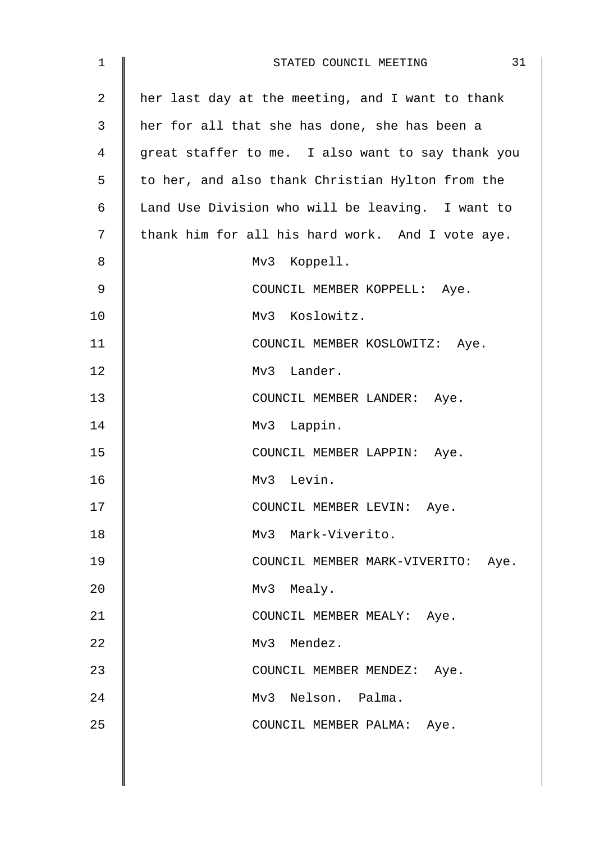| $\mathbf 1$    | 31<br>STATED COUNCIL MEETING                      |
|----------------|---------------------------------------------------|
| $\overline{2}$ | her last day at the meeting, and I want to thank  |
| 3              | her for all that she has done, she has been a     |
| 4              | great staffer to me. I also want to say thank you |
| 5              | to her, and also thank Christian Hylton from the  |
| 6              | Land Use Division who will be leaving. I want to  |
| 7              | thank him for all his hard work. And I vote aye.  |
| 8              | Mv3 Koppell.                                      |
| 9              | COUNCIL MEMBER KOPPELL: Aye.                      |
| 10             | Mv3 Koslowitz.                                    |
| 11             | COUNCIL MEMBER KOSLOWITZ: Aye.                    |
| 12             | Mv3 Lander.                                       |
| 13             | COUNCIL MEMBER LANDER: Aye.                       |
| 14             | Mv3 Lappin.                                       |
| 15             | COUNCIL MEMBER LAPPIN: Aye.                       |
| 16             | Mv3 Levin.                                        |
| 17             | COUNCIL MEMBER LEVIN: Aye.                        |
| 18             | Mv3 Mark-Viverito.                                |
| 19             | COUNCIL MEMBER MARK-VIVERITO: Aye.                |
| 20             | Mv3 Mealy.                                        |
| 21             | COUNCIL MEMBER MEALY: Aye.                        |
| 22             | Mv3 Mendez.                                       |
| 23             | COUNCIL MEMBER MENDEZ: Aye.                       |
| 24             | Mv3 Nelson. Palma.                                |
| 25             | COUNCIL MEMBER PALMA: Aye.                        |
|                |                                                   |
|                |                                                   |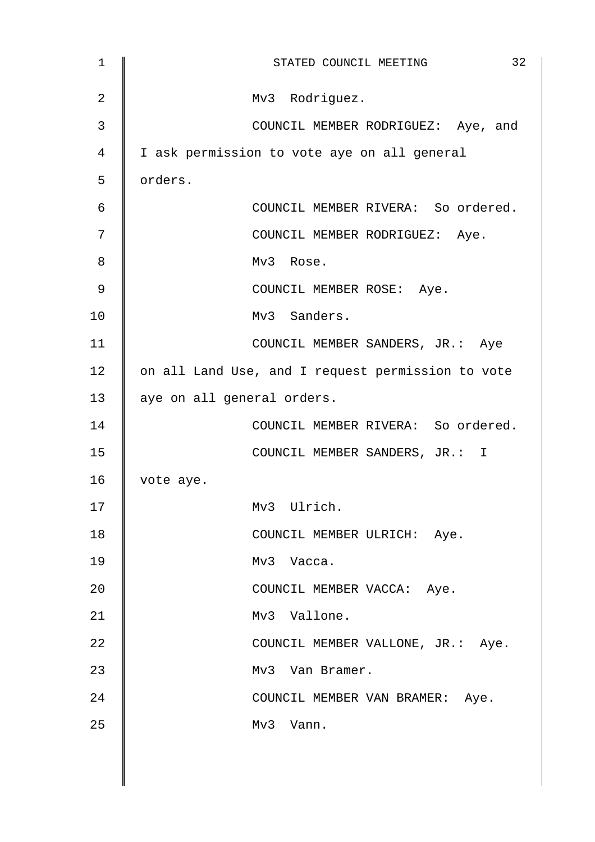| $\mathbf 1$    | 32<br>STATED COUNCIL MEETING                      |
|----------------|---------------------------------------------------|
| $\overline{2}$ | Mv3 Rodriguez.                                    |
| 3              | COUNCIL MEMBER RODRIGUEZ: Aye, and                |
| 4              | I ask permission to vote aye on all general       |
| 5              | orders.                                           |
| 6              | COUNCIL MEMBER RIVERA: So ordered.                |
| 7              | COUNCIL MEMBER RODRIGUEZ: Aye.                    |
| 8              | Mv3 Rose.                                         |
| 9              | COUNCIL MEMBER ROSE: Aye.                         |
| 10             | Mv3 Sanders.                                      |
| 11             | COUNCIL MEMBER SANDERS, JR.: Aye                  |
| 12             | on all Land Use, and I request permission to vote |
| 13             | aye on all general orders.                        |
| 14             | COUNCIL MEMBER RIVERA: So ordered.                |
| 15             | COUNCIL MEMBER SANDERS, JR.: I                    |
| 16             | vote aye.                                         |
| 17             | Mv3 Ulrich.                                       |
| 18             | COUNCIL MEMBER ULRICH: Aye.                       |
| 19             | Mv3 Vacca.                                        |
| 20             | COUNCIL MEMBER VACCA: Aye.                        |
| 21             | Mv3 Vallone.                                      |
| 22             | COUNCIL MEMBER VALLONE, JR.: Aye.                 |
| 23             | Mv3 Van Bramer.                                   |
| 24             | COUNCIL MEMBER VAN BRAMER: Aye.                   |
| 25             | Mv3 Vann.                                         |
|                |                                                   |
|                |                                                   |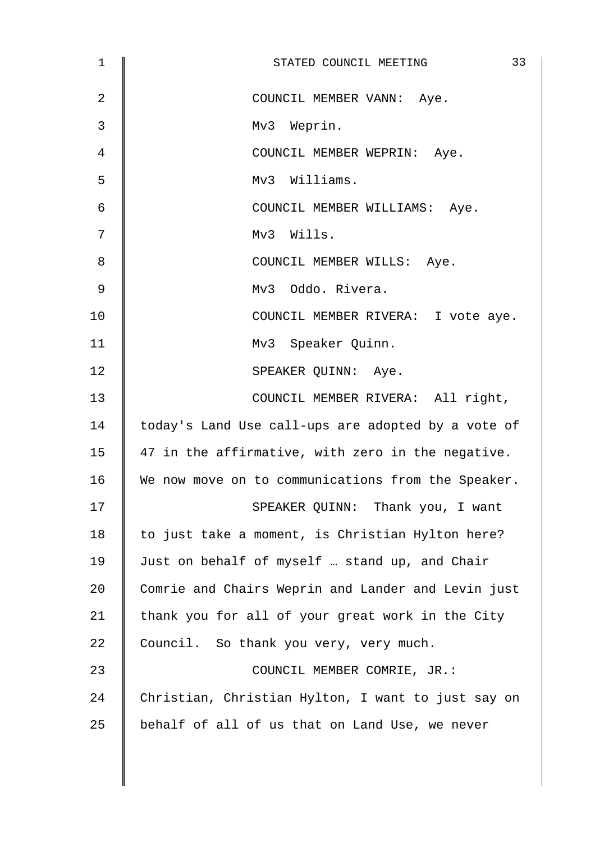| $\mathbf 1$    | 33<br>STATED COUNCIL MEETING                       |
|----------------|----------------------------------------------------|
| $\overline{2}$ | COUNCIL MEMBER VANN: Aye.                          |
| 3              | Mv3 Weprin.                                        |
| 4              | COUNCIL MEMBER WEPRIN: Aye.                        |
| 5              | Mv3 Williams.                                      |
| 6              | COUNCIL MEMBER WILLIAMS: Aye.                      |
| 7              | Mv3 Wills.                                         |
| 8              | COUNCIL MEMBER WILLS: Aye.                         |
| 9              | Mv3 Oddo. Rivera.                                  |
| 10             | COUNCIL MEMBER RIVERA: I vote aye.                 |
| 11             | Mv3 Speaker Quinn.                                 |
| 12             | SPEAKER QUINN: Aye.                                |
| 13             | COUNCIL MEMBER RIVERA: All right,                  |
| 14             | today's Land Use call-ups are adopted by a vote of |
| 15             | 47 in the affirmative, with zero in the negative.  |
| 16             | We now move on to communications from the Speaker. |
| 17             | SPEAKER QUINN: Thank you, I want                   |
| 18             | to just take a moment, is Christian Hylton here?   |
| 19             | Just on behalf of myself  stand up, and Chair      |
| 20             | Comrie and Chairs Weprin and Lander and Levin just |
| 21             | thank you for all of your great work in the City   |
| 22             | Council. So thank you very, very much.             |
| 23             | COUNCIL MEMBER COMRIE, JR.:                        |
| 24             | Christian, Christian Hylton, I want to just say on |
| 25             | behalf of all of us that on Land Use, we never     |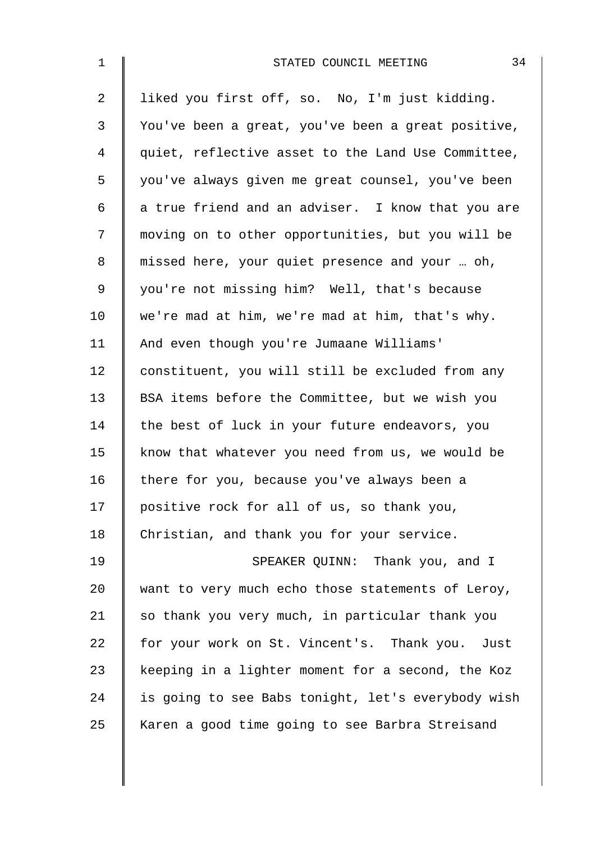| $\mathbf 1$ | 34<br>STATED COUNCIL MEETING                       |
|-------------|----------------------------------------------------|
| 2           | liked you first off, so. No, I'm just kidding.     |
| 3           | You've been a great, you've been a great positive, |
| 4           | quiet, reflective asset to the Land Use Committee, |
| 5           | you've always given me great counsel, you've been  |
| 6           | a true friend and an adviser. I know that you are  |
| 7           | moving on to other opportunities, but you will be  |
| 8           | missed here, your quiet presence and your  oh,     |
| 9           | you're not missing him? Well, that's because       |
| 10          | we're mad at him, we're mad at him, that's why.    |
| 11          | And even though you're Jumaane Williams'           |
| 12          | constituent, you will still be excluded from any   |
| 13          | BSA items before the Committee, but we wish you    |
| 14          | the best of luck in your future endeavors, you     |
| 15          | know that whatever you need from us, we would be   |
| 16          | there for you, because you've always been a        |
| 17          | positive rock for all of us, so thank you,         |
| 18          | Christian, and thank you for your service.         |
| 19          | SPEAKER QUINN: Thank you, and I                    |
| 20          | want to very much echo those statements of Leroy,  |
| 21          | so thank you very much, in particular thank you    |
| 22          | for your work on St. Vincent's. Thank you. Just    |
| 23          | keeping in a lighter moment for a second, the Koz  |
| 24          | is going to see Babs tonight, let's everybody wish |
| 25          | Karen a good time going to see Barbra Streisand    |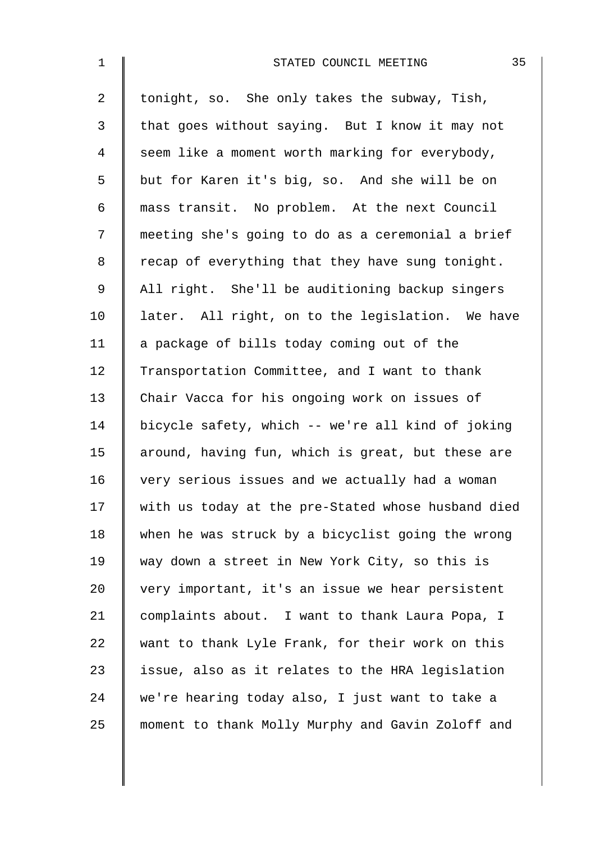| $\mathbf 1$    | 35<br>STATED COUNCIL MEETING                       |
|----------------|----------------------------------------------------|
| $\overline{a}$ | tonight, so. She only takes the subway, Tish,      |
| 3              | that goes without saying. But I know it may not    |
| 4              | seem like a moment worth marking for everybody,    |
| 5              | but for Karen it's big, so. And she will be on     |
| 6              | mass transit. No problem. At the next Council      |
| 7              | meeting she's going to do as a ceremonial a brief  |
| 8              | recap of everything that they have sung tonight.   |
| 9              | All right. She'll be auditioning backup singers    |
| 10             | later. All right, on to the legislation. We have   |
| 11             | a package of bills today coming out of the         |
| 12             | Transportation Committee, and I want to thank      |
| 13             | Chair Vacca for his ongoing work on issues of      |
| 14             | bicycle safety, which -- we're all kind of joking  |
| 15             | around, having fun, which is great, but these are  |
| 16             | very serious issues and we actually had a woman    |
| 17             | with us today at the pre-Stated whose husband died |
| 18             | when he was struck by a bicyclist going the wrong  |
| 19             | way down a street in New York City, so this is     |
| 20             | very important, it's an issue we hear persistent   |
| 21             | complaints about. I want to thank Laura Popa, I    |
| 22             | want to thank Lyle Frank, for their work on this   |
| 23             | issue, also as it relates to the HRA legislation   |
| 24             | we're hearing today also, I just want to take a    |
| 25             | moment to thank Molly Murphy and Gavin Zoloff and  |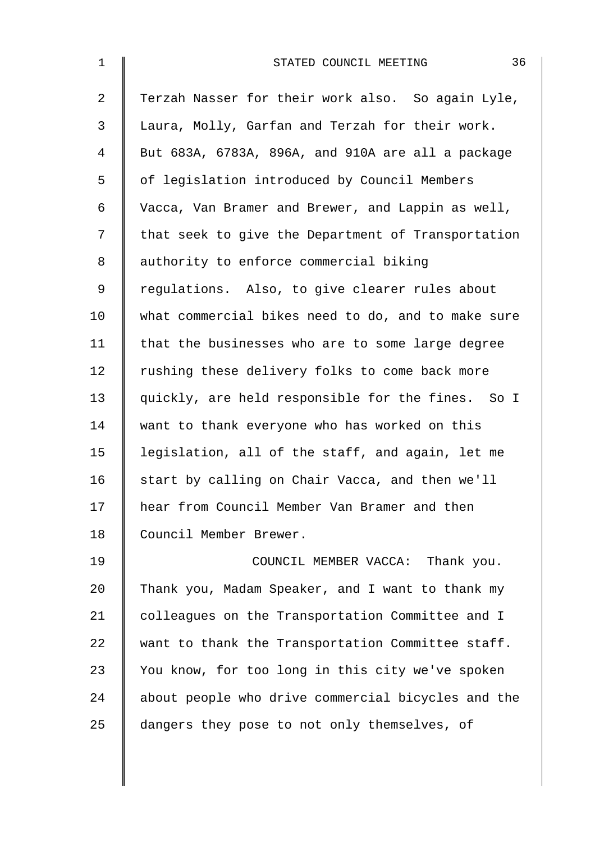| $\mathbf{1}$   | 36<br>STATED COUNCIL MEETING                       |
|----------------|----------------------------------------------------|
| $\overline{a}$ | Terzah Nasser for their work also. So again Lyle,  |
| $\mathfrak{Z}$ | Laura, Molly, Garfan and Terzah for their work.    |
| 4              | But 683A, 6783A, 896A, and 910A are all a package  |
| 5              | of legislation introduced by Council Members       |
| 6              | Vacca, Van Bramer and Brewer, and Lappin as well,  |
| 7              | that seek to give the Department of Transportation |
| 8              | authority to enforce commercial biking             |
| 9              | regulations. Also, to give clearer rules about     |
| 10             | what commercial bikes need to do, and to make sure |
| 11             | that the businesses who are to some large degree   |
| 12             | rushing these delivery folks to come back more     |
| 13             | quickly, are held responsible for the fines. So I  |
| 14             | want to thank everyone who has worked on this      |
| 15             | legislation, all of the staff, and again, let me   |
| 16             | start by calling on Chair Vacca, and then we'll    |
| 17             | hear from Council Member Van Bramer and then       |
| 18             | Council Member Brewer.                             |
| 19             | COUNCIL MEMBER VACCA: Thank you.                   |
| 20             | Thank you, Madam Speaker, and I want to thank my   |
| 21             | colleagues on the Transportation Committee and I   |
| 22             | want to thank the Transportation Committee staff.  |
| 23             | You know, for too long in this city we've spoken   |
| 24             | about people who drive commercial bicycles and the |
| 25             | dangers they pose to not only themselves, of       |
|                |                                                    |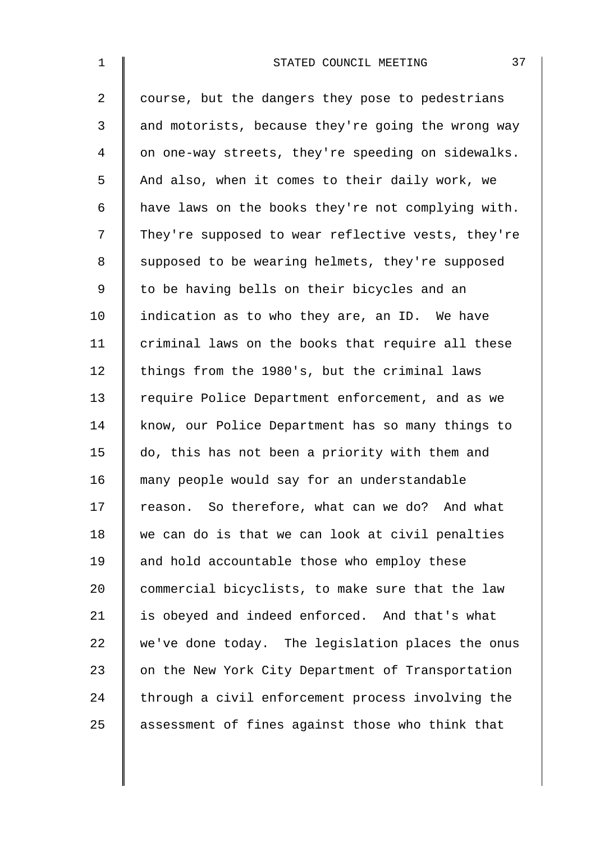| $\mathbf 1$    | 37<br>STATED COUNCIL MEETING                       |
|----------------|----------------------------------------------------|
| $\overline{2}$ | course, but the dangers they pose to pedestrians   |
| 3              | and motorists, because they're going the wrong way |
| $\overline{4}$ | on one-way streets, they're speeding on sidewalks. |
| 5              | And also, when it comes to their daily work, we    |
| 6              | have laws on the books they're not complying with. |
| 7              | They're supposed to wear reflective vests, they're |
| $\,8\,$        | supposed to be wearing helmets, they're supposed   |
| $\mathsf 9$    | to be having bells on their bicycles and an        |
| 10             | indication as to who they are, an ID. We have      |
| 11             | criminal laws on the books that require all these  |
| 12             | things from the 1980's, but the criminal laws      |
| 13             | require Police Department enforcement, and as we   |
| 14             | know, our Police Department has so many things to  |
| 15             | do, this has not been a priority with them and     |
| 16             | many people would say for an understandable        |
| 17             | reason. So therefore, what can we do? And what     |
| 18             | we can do is that we can look at civil penalties   |
| 19             | and hold accountable those who employ these        |
| 20             | commercial bicyclists, to make sure that the law   |
| 21             | is obeyed and indeed enforced. And that's what     |
| 22             | we've done today. The legislation places the onus  |
| 23             | on the New York City Department of Transportation  |
| 24             | through a civil enforcement process involving the  |
| 25             | assessment of fines against those who think that   |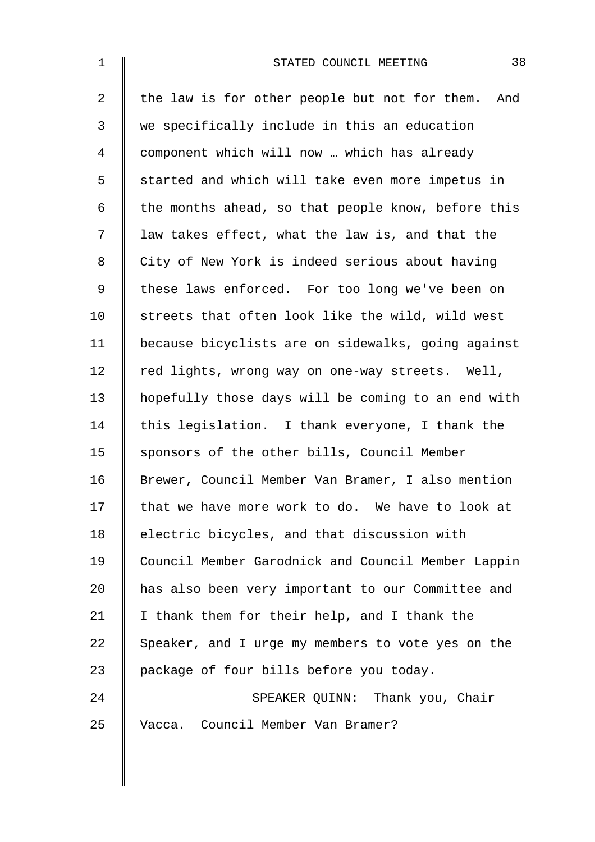| $\mathbf 1$    | 38<br>STATED COUNCIL MEETING                         |
|----------------|------------------------------------------------------|
| $\overline{2}$ | the law is for other people but not for them.<br>And |
| 3              | we specifically include in this an education         |
| 4              | component which will now  which has already          |
| 5              | started and which will take even more impetus in     |
| 6              | the months ahead, so that people know, before this   |
| 7              | law takes effect, what the law is, and that the      |
| 8              | City of New York is indeed serious about having      |
| 9              | these laws enforced. For too long we've been on      |
| 10             | streets that often look like the wild, wild west     |
| 11             | because bicyclists are on sidewalks, going against   |
| 12             | red lights, wrong way on one-way streets. Well,      |
| 13             | hopefully those days will be coming to an end with   |
| 14             | this legislation. I thank everyone, I thank the      |
| 15             | sponsors of the other bills, Council Member          |
| 16             | Brewer, Council Member Van Bramer, I also mention    |
| 17             | that we have more work to do. We have to look at     |
| 18             | electric bicycles, and that discussion with          |
| 19             | Council Member Garodnick and Council Member Lappin   |
| 20             | has also been very important to our Committee and    |
| 21             | I thank them for their help, and I thank the         |
| 22             | Speaker, and I urge my members to vote yes on the    |
| 23             | package of four bills before you today.              |
| 24             | SPEAKER QUINN: Thank you, Chair                      |
| 25             | Vacca. Council Member Van Bramer?                    |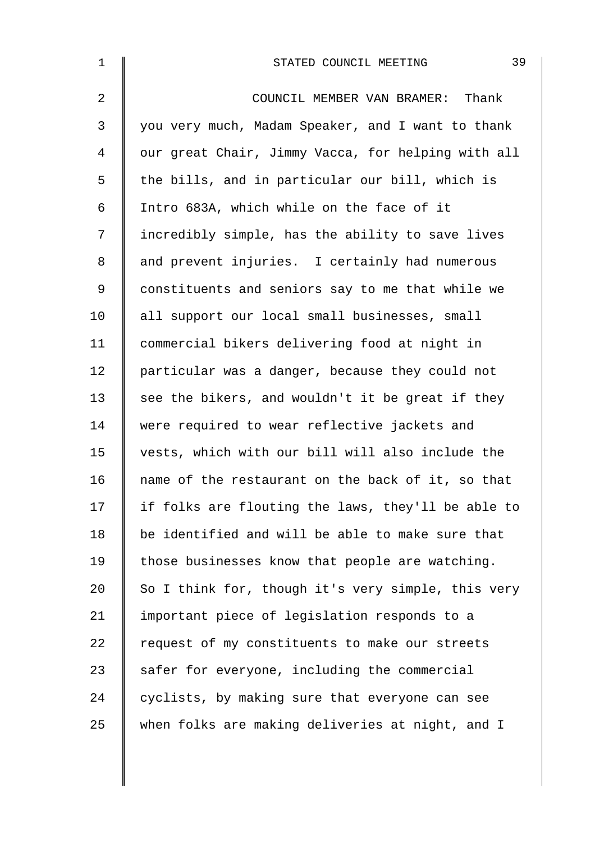| $\mathbf 1$    | 39<br>STATED COUNCIL MEETING                       |
|----------------|----------------------------------------------------|
| $\overline{2}$ | COUNCIL MEMBER VAN BRAMER: Thank                   |
| 3              | you very much, Madam Speaker, and I want to thank  |
| 4              | our great Chair, Jimmy Vacca, for helping with all |
| 5              | the bills, and in particular our bill, which is    |
| 6              | Intro 683A, which while on the face of it          |
| 7              | incredibly simple, has the ability to save lives   |
| 8              | and prevent injuries. I certainly had numerous     |
| 9              | constituents and seniors say to me that while we   |
| 10             | all support our local small businesses, small      |
| 11             | commercial bikers delivering food at night in      |
| 12             | particular was a danger, because they could not    |
| 13             | see the bikers, and wouldn't it be great if they   |
| 14             | were required to wear reflective jackets and       |
| 15             | vests, which with our bill will also include the   |
| 16             | name of the restaurant on the back of it, so that  |
| 17             | if folks are flouting the laws, they'll be able to |
| 18             | be identified and will be able to make sure that   |
| 19             | those businesses know that people are watching.    |
| 20             | So I think for, though it's very simple, this very |
| 21             | important piece of legislation responds to a       |
| 22             | request of my constituents to make our streets     |
| 23             | safer for everyone, including the commercial       |
| 24             | cyclists, by making sure that everyone can see     |
| 25             | when folks are making deliveries at night, and I   |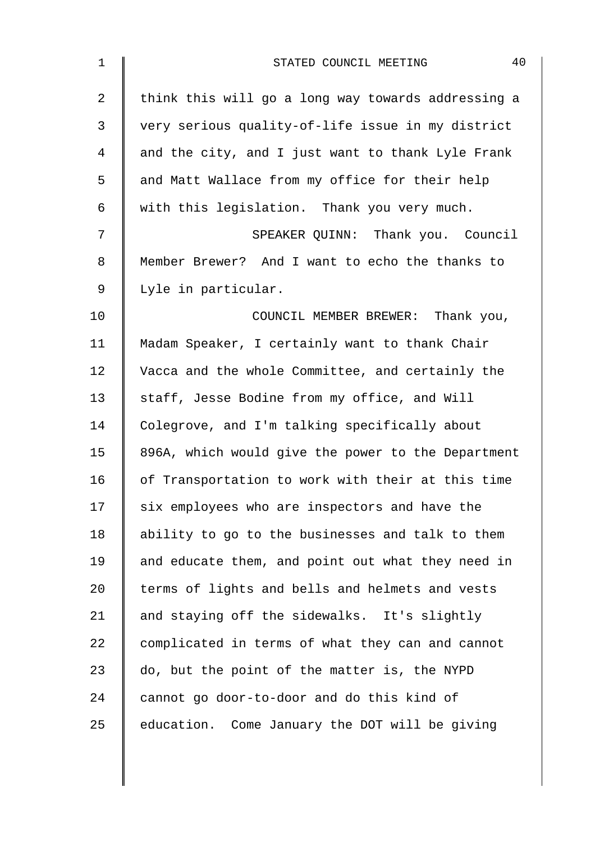| $\mathbf 1$    | 40<br>STATED COUNCIL MEETING                       |
|----------------|----------------------------------------------------|
| $\overline{2}$ | think this will go a long way towards addressing a |
| 3              | very serious quality-of-life issue in my district  |
| 4              | and the city, and I just want to thank Lyle Frank  |
| 5              | and Matt Wallace from my office for their help     |
| 6              | with this legislation. Thank you very much.        |
| 7              | SPEAKER QUINN: Thank you. Council                  |
| 8              | Member Brewer? And I want to echo the thanks to    |
| 9              | Lyle in particular.                                |
| 10             | COUNCIL MEMBER BREWER: Thank you,                  |
| 11             | Madam Speaker, I certainly want to thank Chair     |
| 12             | Vacca and the whole Committee, and certainly the   |
| 13             | staff, Jesse Bodine from my office, and Will       |
| 14             | Colegrove, and I'm talking specifically about      |
| 15             | 896A, which would give the power to the Department |
| 16             | of Transportation to work with their at this time  |
| 17             | six employees who are inspectors and have the      |
| 18             | ability to go to the businesses and talk to them   |
| 19             | and educate them, and point out what they need in  |
| 20             | terms of lights and bells and helmets and vests    |
| 21             | and staying off the sidewalks. It's slightly       |
| 22             | complicated in terms of what they can and cannot   |
| 23             | do, but the point of the matter is, the NYPD       |
| 24             | cannot go door-to-door and do this kind of         |
| 25             | education. Come January the DOT will be giving     |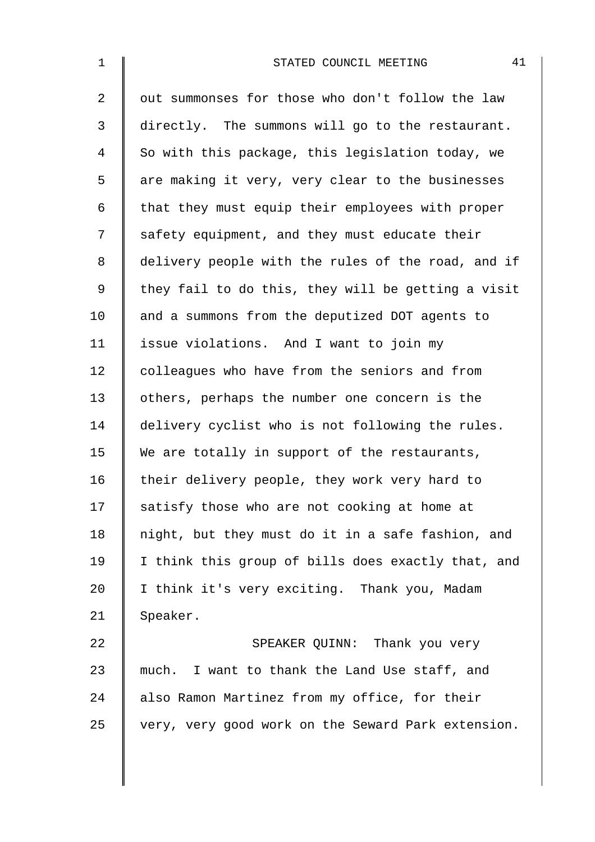| $\mathbf 1$ | 41<br>STATED COUNCIL MEETING                       |
|-------------|----------------------------------------------------|
| 2           | out summonses for those who don't follow the law   |
| 3           | directly. The summons will go to the restaurant.   |
| 4           | So with this package, this legislation today, we   |
| 5           | are making it very, very clear to the businesses   |
| 6           | that they must equip their employees with proper   |
| 7           | safety equipment, and they must educate their      |
| 8           | delivery people with the rules of the road, and if |
| 9           | they fail to do this, they will be getting a visit |
| 10          | and a summons from the deputized DOT agents to     |
| 11          | issue violations. And I want to join my            |
| 12          | colleagues who have from the seniors and from      |
| 13          | others, perhaps the number one concern is the      |
| 14          | delivery cyclist who is not following the rules.   |
| 15          | We are totally in support of the restaurants,      |
| 16          | their delivery people, they work very hard to      |
| 17          | satisfy those who are not cooking at home at       |
| 18          | night, but they must do it in a safe fashion, and  |
| 19          | I think this group of bills does exactly that, and |
| 20          | I think it's very exciting. Thank you, Madam       |
| 21          | Speaker.                                           |
| 22          | SPEAKER QUINN: Thank you very                      |
| 23          | much. I want to thank the Land Use staff, and      |
| 24          | also Ramon Martinez from my office, for their      |
| 25          | very, very good work on the Seward Park extension. |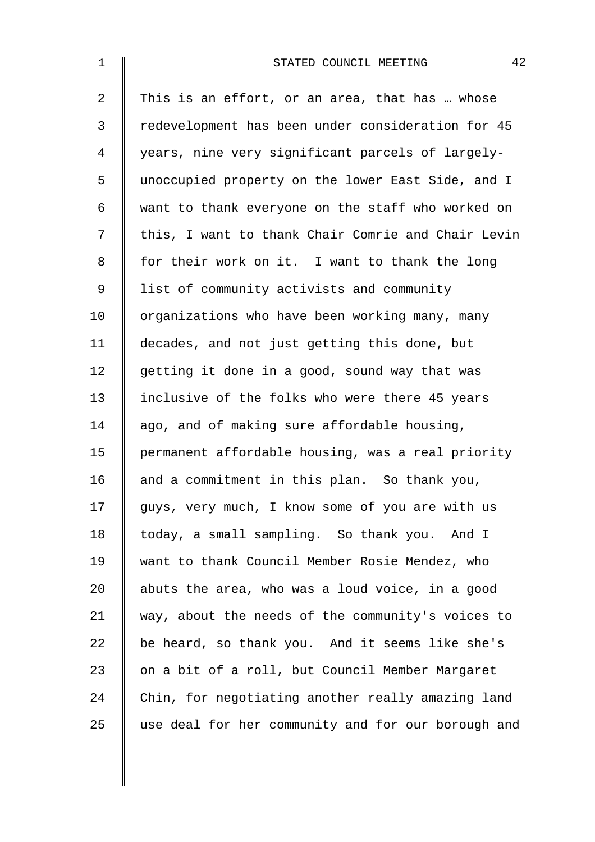| $\mathbf 1$    | 42<br>STATED COUNCIL MEETING                       |
|----------------|----------------------------------------------------|
| $\overline{2}$ | This is an effort, or an area, that has  whose     |
| 3              | redevelopment has been under consideration for 45  |
| 4              | years, nine very significant parcels of largely-   |
| 5              | unoccupied property on the lower East Side, and I  |
| 6              | want to thank everyone on the staff who worked on  |
| 7              | this, I want to thank Chair Comrie and Chair Levin |
| 8              | for their work on it. I want to thank the long     |
| 9              | list of community activists and community          |
| 10             | organizations who have been working many, many     |
| 11             | decades, and not just getting this done, but       |
| 12             | getting it done in a good, sound way that was      |
| 13             | inclusive of the folks who were there 45 years     |
| 14             | ago, and of making sure affordable housing,        |
| 15             | permanent affordable housing, was a real priority  |
| 16             | and a commitment in this plan. So thank you,       |
| 17             | guys, very much, I know some of you are with us    |
| 18             | today, a small sampling. So thank you. And I       |
| 19             | want to thank Council Member Rosie Mendez, who     |
| 20             | abuts the area, who was a loud voice, in a good    |
| 21             | way, about the needs of the community's voices to  |
| 22             | be heard, so thank you. And it seems like she's    |
| 23             | on a bit of a roll, but Council Member Margaret    |
| 24             | Chin, for negotiating another really amazing land  |
| 25             | use deal for her community and for our borough and |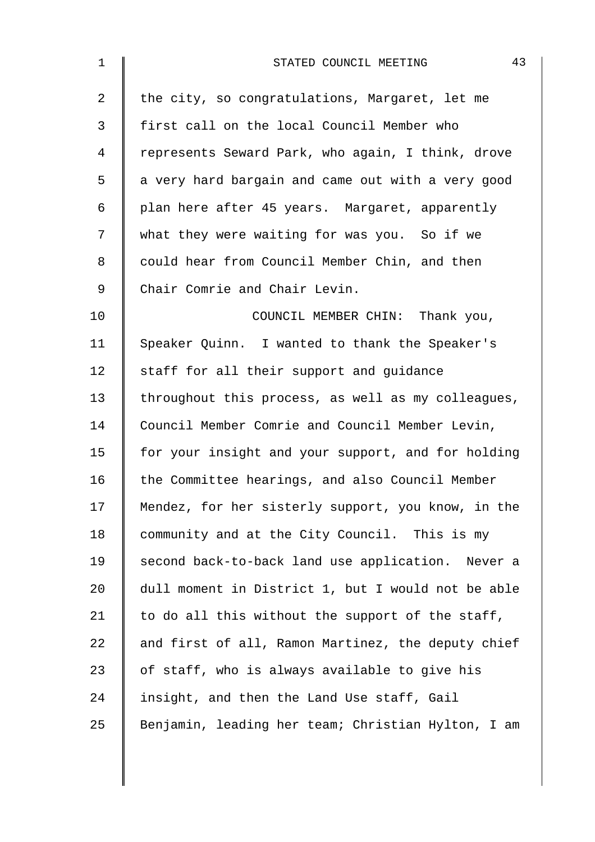| $\mathbf{1}$   | 43<br>STATED COUNCIL MEETING                       |
|----------------|----------------------------------------------------|
| $\overline{a}$ | the city, so congratulations, Margaret, let me     |
| 3              | first call on the local Council Member who         |
| 4              | represents Seward Park, who again, I think, drove  |
| 5              | a very hard bargain and came out with a very good  |
| 6              | plan here after 45 years. Margaret, apparently     |
| 7              | what they were waiting for was you. So if we       |
| 8              | could hear from Council Member Chin, and then      |
| $\mathsf 9$    | Chair Comrie and Chair Levin.                      |
| 10             | COUNCIL MEMBER CHIN: Thank you,                    |
| 11             | Speaker Quinn. I wanted to thank the Speaker's     |
| 12             | staff for all their support and guidance           |
| 13             | throughout this process, as well as my colleagues, |
| 14             | Council Member Comrie and Council Member Levin,    |
| 15             | for your insight and your support, and for holding |
| 16             | the Committee hearings, and also Council Member    |
| 17             | Mendez, for her sisterly support, you know, in the |
| 18             | community and at the City Council. This is my      |
| 19             | second back-to-back land use application. Never a  |
| 20             | dull moment in District 1, but I would not be able |
| 21             | to do all this without the support of the staff,   |
| 22             | and first of all, Ramon Martinez, the deputy chief |
| 23             | of staff, who is always available to give his      |
| 24             | insight, and then the Land Use staff, Gail         |
| 25             | Benjamin, leading her team; Christian Hylton, I am |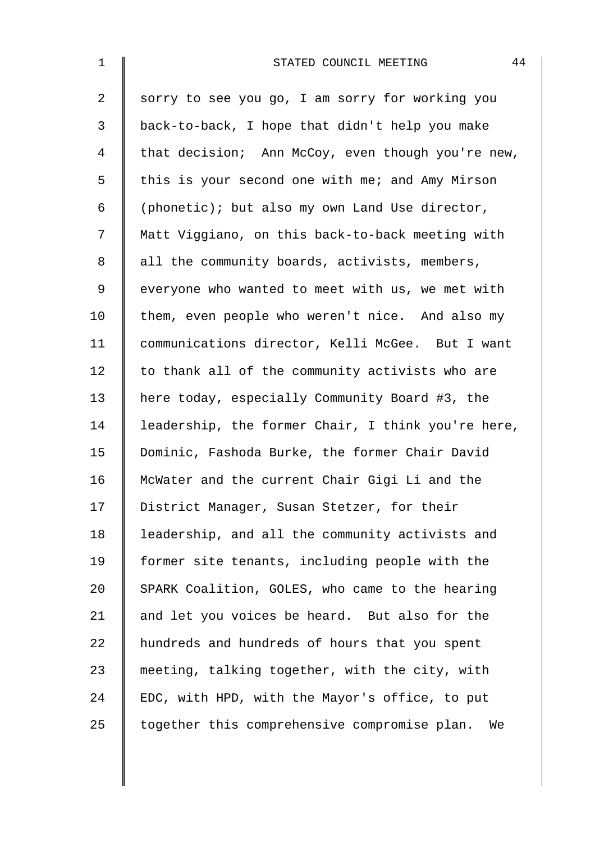| $\mathbf{1}$   | 44<br>STATED COUNCIL MEETING                       |
|----------------|----------------------------------------------------|
| $\overline{2}$ | sorry to see you go, I am sorry for working you    |
| 3              | back-to-back, I hope that didn't help you make     |
| 4              | that decision; Ann McCoy, even though you're new,  |
| 5              | this is your second one with me; and Amy Mirson    |
| 6              | (phonetic); but also my own Land Use director,     |
| 7              | Matt Viggiano, on this back-to-back meeting with   |
| $\,8\,$        | all the community boards, activists, members,      |
| 9              | everyone who wanted to meet with us, we met with   |
| 10             | them, even people who weren't nice. And also my    |
| 11             | communications director, Kelli McGee. But I want   |
| 12             | to thank all of the community activists who are    |
| 13             | here today, especially Community Board #3, the     |
| 14             | leadership, the former Chair, I think you're here, |
| 15             | Dominic, Fashoda Burke, the former Chair David     |
| 16             | McWater and the current Chair Gigi Li and the      |
| 17             | District Manager, Susan Stetzer, for their         |
| 18             | leadership, and all the community activists and    |
| 19             | former site tenants, including people with the     |
| 20             | SPARK Coalition, GOLES, who came to the hearing    |
| 21             | and let you voices be heard. But also for the      |
| 22             | hundreds and hundreds of hours that you spent      |
| 23             | meeting, talking together, with the city, with     |
| 24             | EDC, with HPD, with the Mayor's office, to put     |
| 25             | together this comprehensive compromise plan.<br>We |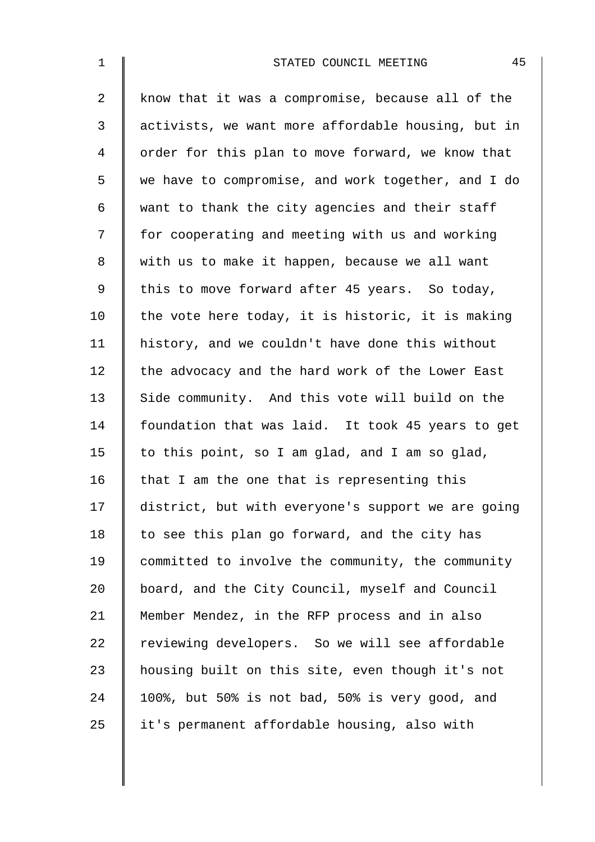| $\mathbf{1}$   | 45<br>STATED COUNCIL MEETING                       |
|----------------|----------------------------------------------------|
| $\overline{2}$ | know that it was a compromise, because all of the  |
| 3              | activists, we want more affordable housing, but in |
| 4              | order for this plan to move forward, we know that  |
| 5              | we have to compromise, and work together, and I do |
| 6              | want to thank the city agencies and their staff    |
| 7              | for cooperating and meeting with us and working    |
| 8              | with us to make it happen, because we all want     |
| $\mathsf 9$    | this to move forward after 45 years. So today,     |
| 10             | the vote here today, it is historic, it is making  |
| 11             | history, and we couldn't have done this without    |
| 12             | the advocacy and the hard work of the Lower East   |
| 13             | Side community. And this vote will build on the    |
| 14             | foundation that was laid. It took 45 years to get  |
| 15             | to this point, so I am glad, and I am so glad,     |
| 16             | that I am the one that is representing this        |
| 17             | district, but with everyone's support we are going |
| 18             | to see this plan go forward, and the city has      |
| 19             | committed to involve the community, the community  |
| 20             | board, and the City Council, myself and Council    |
| 21             | Member Mendez, in the RFP process and in also      |
| 22             | reviewing developers. So we will see affordable    |
| 23             | housing built on this site, even though it's not   |
| 24             | 100%, but 50% is not bad, 50% is very good, and    |
| 25             | it's permanent affordable housing, also with       |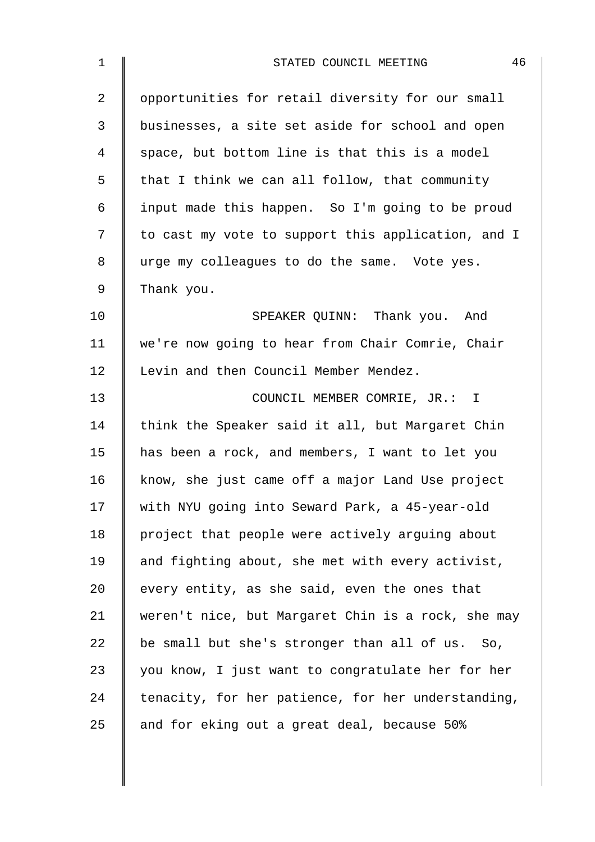| $\mathbf 1$    | 46<br>STATED COUNCIL MEETING                       |
|----------------|----------------------------------------------------|
| $\overline{a}$ | opportunities for retail diversity for our small   |
| $\mathfrak{Z}$ | businesses, a site set aside for school and open   |
| 4              | space, but bottom line is that this is a model     |
| 5              | that I think we can all follow, that community     |
| 6              | input made this happen. So I'm going to be proud   |
| 7              | to cast my vote to support this application, and I |
| 8              | urge my colleagues to do the same. Vote yes.       |
| 9              | Thank you.                                         |
| 10             | SPEAKER QUINN: Thank you. And                      |
| 11             | we're now going to hear from Chair Comrie, Chair   |
| 12             | Levin and then Council Member Mendez.              |
| 13             | COUNCIL MEMBER COMRIE, JR.: I                      |
| 14             | think the Speaker said it all, but Margaret Chin   |
| 15             | has been a rock, and members, I want to let you    |
| 16             | know, she just came off a major Land Use project   |
| 17             | with NYU going into Seward Park, a 45-year-old     |
| 18             | project that people were actively arguing about    |
| 19             | and fighting about, she met with every activist,   |
| 20             | every entity, as she said, even the ones that      |
| 21             | weren't nice, but Margaret Chin is a rock, she may |
| 22             | be small but she's stronger than all of us. So,    |
| 23             | you know, I just want to congratulate her for her  |
| 24             | tenacity, for her patience, for her understanding, |
| 25             | and for eking out a great deal, because 50%        |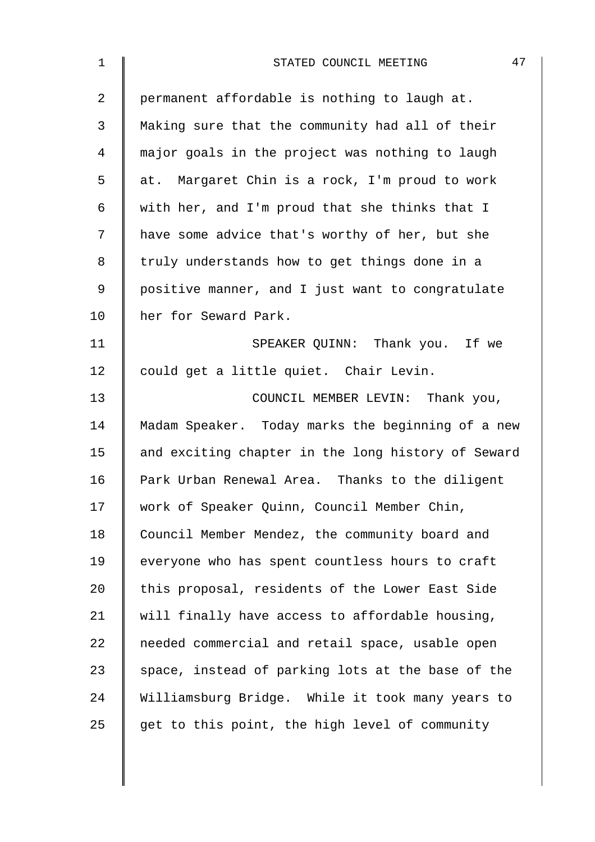| $\mathbf 1$    | 47<br>STATED COUNCIL MEETING                       |
|----------------|----------------------------------------------------|
| $\overline{a}$ | permanent affordable is nothing to laugh at.       |
| 3              | Making sure that the community had all of their    |
| 4              | major goals in the project was nothing to laugh    |
| 5              | at. Margaret Chin is a rock, I'm proud to work     |
| 6              | with her, and I'm proud that she thinks that I     |
| 7              | have some advice that's worthy of her, but she     |
| 8              | truly understands how to get things done in a      |
| $\mathsf 9$    | positive manner, and I just want to congratulate   |
| 10             | her for Seward Park.                               |
| 11             | SPEAKER QUINN: Thank you. If we                    |
| 12             | could get a little quiet. Chair Levin.             |
| 13             | COUNCIL MEMBER LEVIN: Thank you,                   |
| 14             | Madam Speaker. Today marks the beginning of a new  |
| 15             | and exciting chapter in the long history of Seward |
| 16             | Park Urban Renewal Area. Thanks to the diligent    |
| 17             | work of Speaker Quinn, Council Member Chin,        |
| 18             | Council Member Mendez, the community board and     |
| 19             | everyone who has spent countless hours to craft    |
| 20             | this proposal, residents of the Lower East Side    |
| 21             | will finally have access to affordable housing,    |
| 22             | needed commercial and retail space, usable open    |
| 23             | space, instead of parking lots at the base of the  |
| 24             | Williamsburg Bridge. While it took many years to   |
| 25             | get to this point, the high level of community     |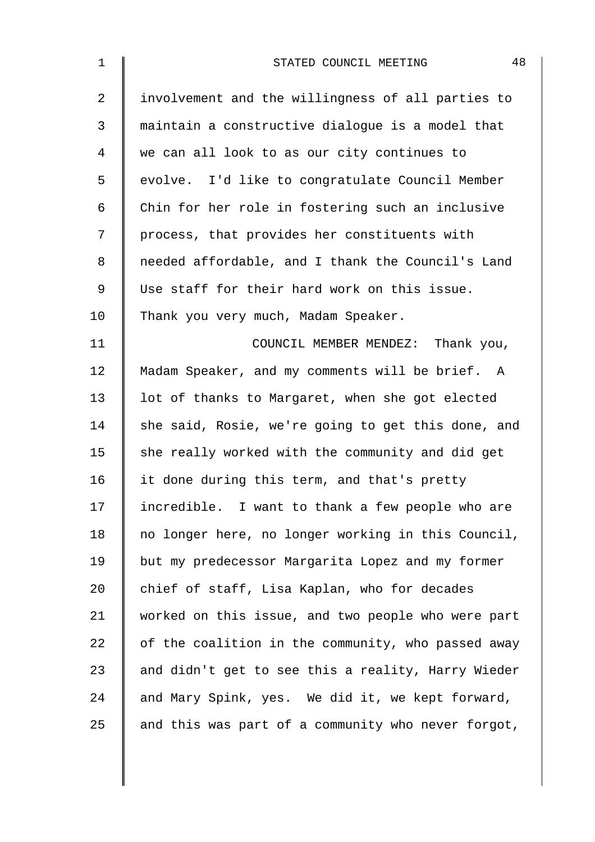| $\mathbf 1$    | 48<br>STATED COUNCIL MEETING                       |
|----------------|----------------------------------------------------|
| $\overline{2}$ | involvement and the willingness of all parties to  |
| 3              | maintain a constructive dialogue is a model that   |
| 4              | we can all look to as our city continues to        |
| 5              | evolve. I'd like to congratulate Council Member    |
| 6              | Chin for her role in fostering such an inclusive   |
| 7              | process, that provides her constituents with       |
| 8              | needed affordable, and I thank the Council's Land  |
| 9              | Use staff for their hard work on this issue.       |
| 10             | Thank you very much, Madam Speaker.                |
| 11             | COUNCIL MEMBER MENDEZ: Thank you,                  |
| 12             | Madam Speaker, and my comments will be brief. A    |
| 13             | lot of thanks to Margaret, when she got elected    |
| 14             | she said, Rosie, we're going to get this done, and |
| 15             | she really worked with the community and did get   |
| 16             | it done during this term, and that's pretty        |
| 17             | incredible. I want to thank a few people who are   |
| 18             | no longer here, no longer working in this Council, |
| 19             | but my predecessor Margarita Lopez and my former   |
| 20             | chief of staff, Lisa Kaplan, who for decades       |
| 21             | worked on this issue, and two people who were part |
| 22             | of the coalition in the community, who passed away |
| 23             | and didn't get to see this a reality, Harry Wieder |
| 24             | and Mary Spink, yes. We did it, we kept forward,   |
| 25             | and this was part of a community who never forgot, |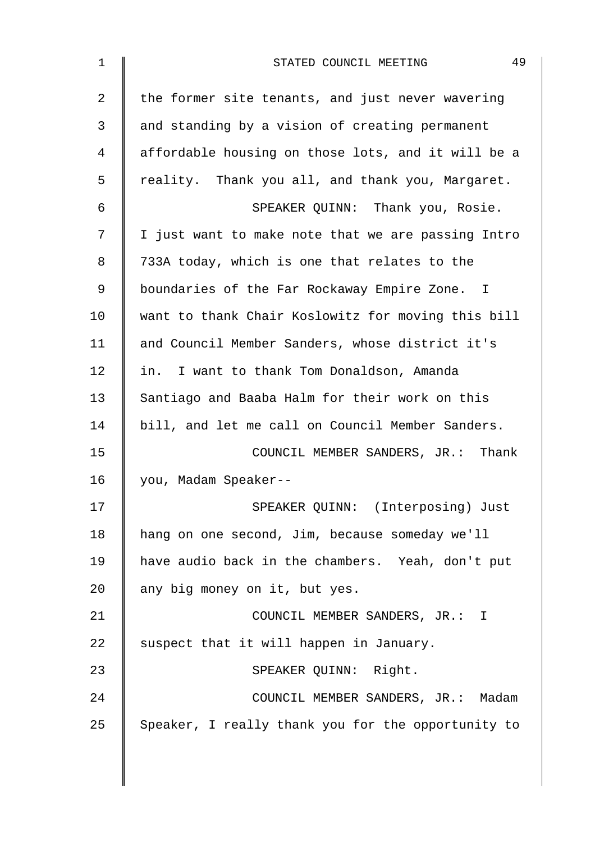| the former site tenants, and just never wavering   |
|----------------------------------------------------|
| and standing by a vision of creating permanent     |
| affordable housing on those lots, and it will be a |
| reality. Thank you all, and thank you, Margaret.   |
| SPEAKER QUINN: Thank you, Rosie.                   |
| I just want to make note that we are passing Intro |
| 733A today, which is one that relates to the       |
| boundaries of the Far Rockaway Empire Zone. I      |
| want to thank Chair Koslowitz for moving this bill |
| and Council Member Sanders, whose district it's    |
| in. I want to thank Tom Donaldson, Amanda          |
| Santiago and Baaba Halm for their work on this     |
| bill, and let me call on Council Member Sanders.   |
| COUNCIL MEMBER SANDERS, JR.: Thank                 |
| you, Madam Speaker--                               |
| SPEAKER QUINN: (Interposing) Just                  |
| hang on one second, Jim, because someday we'll     |
| have audio back in the chambers. Yeah, don't put   |
| any big money on it, but yes.                      |
| COUNCIL MEMBER SANDERS, JR.: I                     |
| suspect that it will happen in January.            |
| SPEAKER QUINN: Right.                              |
| COUNCIL MEMBER SANDERS, JR.: Madam                 |
| Speaker, I really thank you for the opportunity to |
|                                                    |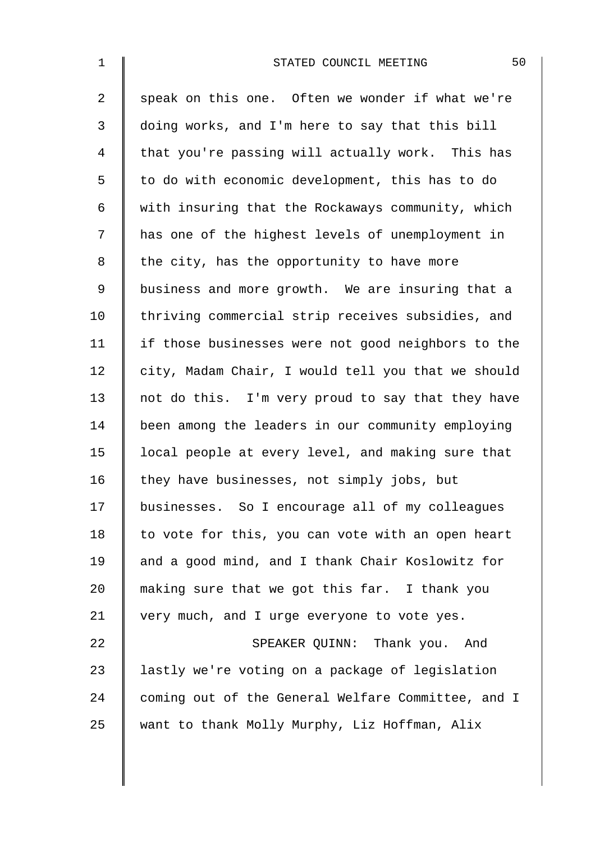| $\mathbf{1}$   | 50<br>STATED COUNCIL MEETING                       |
|----------------|----------------------------------------------------|
| $\overline{2}$ | speak on this one. Often we wonder if what we're   |
| 3              | doing works, and I'm here to say that this bill    |
| 4              | that you're passing will actually work. This has   |
| 5              | to do with economic development, this has to do    |
| 6              | with insuring that the Rockaways community, which  |
| 7              | has one of the highest levels of unemployment in   |
| 8              | the city, has the opportunity to have more         |
| $\mathsf 9$    | business and more growth. We are insuring that a   |
| 10             | thriving commercial strip receives subsidies, and  |
| 11             | if those businesses were not good neighbors to the |
| 12             | city, Madam Chair, I would tell you that we should |
| 13             | not do this. I'm very proud to say that they have  |
| 14             | been among the leaders in our community employing  |
| 15             | local people at every level, and making sure that  |
| 16             | they have businesses, not simply jobs, but         |
| 17             | businesses. So I encourage all of my colleagues    |
| 18             | to vote for this, you can vote with an open heart  |
| 19             | and a good mind, and I thank Chair Koslowitz for   |
| 20             | making sure that we got this far. I thank you      |
| 21             | very much, and I urge everyone to vote yes.        |
| 22             | SPEAKER QUINN: Thank you. And                      |
| 23             | lastly we're voting on a package of legislation    |
| 24             | coming out of the General Welfare Committee, and I |
| 25             | want to thank Molly Murphy, Liz Hoffman, Alix      |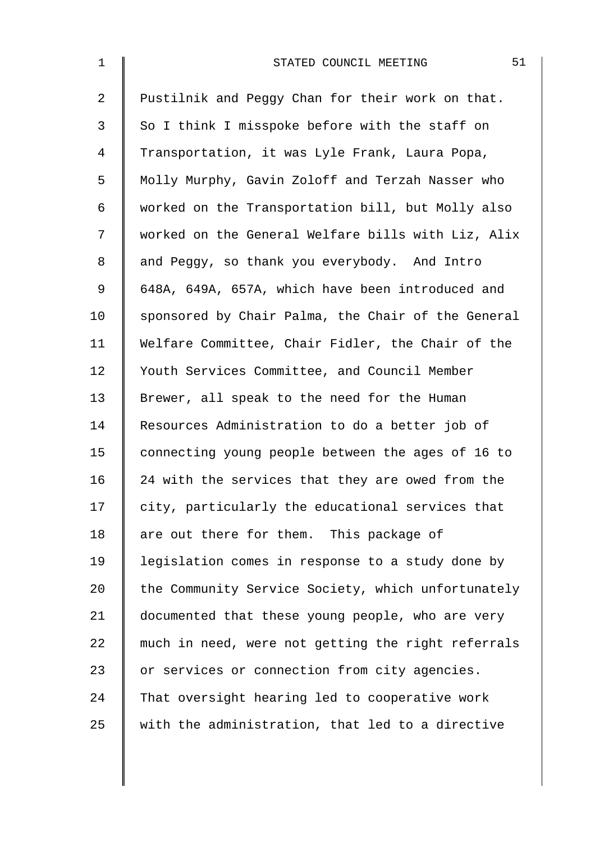| $\mathbf{1}$   | 51<br>STATED COUNCIL MEETING                       |
|----------------|----------------------------------------------------|
| $\overline{2}$ | Pustilnik and Peggy Chan for their work on that.   |
| 3              | So I think I misspoke before with the staff on     |
| 4              | Transportation, it was Lyle Frank, Laura Popa,     |
| 5              | Molly Murphy, Gavin Zoloff and Terzah Nasser who   |
| 6              | worked on the Transportation bill, but Molly also  |
| 7              | worked on the General Welfare bills with Liz, Alix |
| 8              | and Peggy, so thank you everybody. And Intro       |
| 9              | 648A, 649A, 657A, which have been introduced and   |
| 10             | sponsored by Chair Palma, the Chair of the General |
| 11             | Welfare Committee, Chair Fidler, the Chair of the  |
| 12             | Youth Services Committee, and Council Member       |
| 13             | Brewer, all speak to the need for the Human        |
| 14             | Resources Administration to do a better job of     |
| 15             | connecting young people between the ages of 16 to  |
| 16             | 24 with the services that they are owed from the   |
| 17             | city, particularly the educational services that   |
| 18             | are out there for them. This package of            |
| 19             | legislation comes in response to a study done by   |
| 20             | the Community Service Society, which unfortunately |
| 21             | documented that these young people, who are very   |
| 22             | much in need, were not getting the right referrals |
| 23             | or services or connection from city agencies.      |
| 24             | That oversight hearing led to cooperative work     |
| 25             | with the administration, that led to a directive   |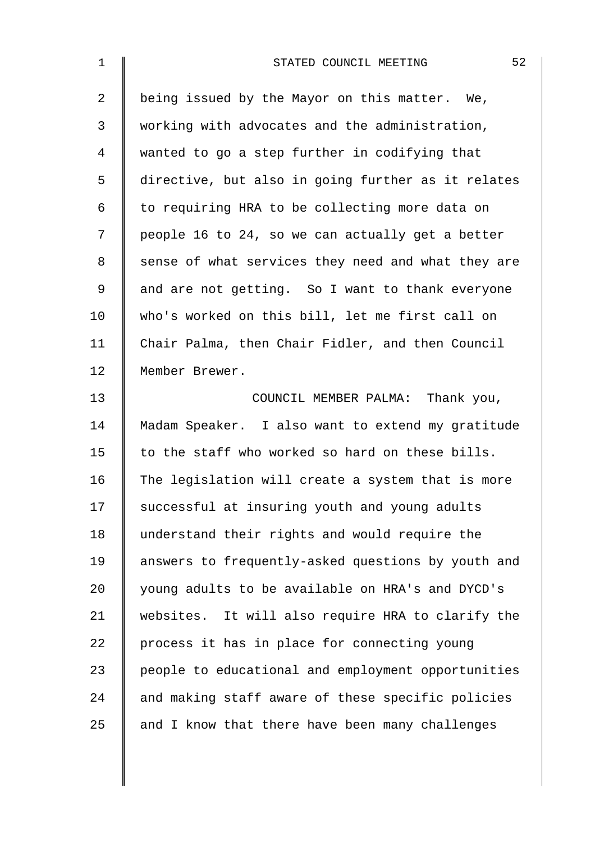| $\mathbf{1}$   | 52<br>STATED COUNCIL MEETING                       |
|----------------|----------------------------------------------------|
| $\overline{a}$ | being issued by the Mayor on this matter. We,      |
| 3              | working with advocates and the administration,     |
| 4              | wanted to go a step further in codifying that      |
| 5              | directive, but also in going further as it relates |
| 6              | to requiring HRA to be collecting more data on     |
| 7              | people 16 to 24, so we can actually get a better   |
| 8              | sense of what services they need and what they are |
| 9              | and are not getting. So I want to thank everyone   |
| 10             | who's worked on this bill, let me first call on    |
| 11             | Chair Palma, then Chair Fidler, and then Council   |
| 12             | Member Brewer.                                     |
| 13             | COUNCIL MEMBER PALMA: Thank you,                   |
| 14             | Madam Speaker. I also want to extend my gratitude  |
| 15             | to the staff who worked so hard on these bills.    |
| 16             | The legislation will create a system that is more  |
| 17             | successful at insuring youth and young adults      |
| 18             | understand their rights and would require the      |
| 19             | answers to frequently-asked questions by youth and |
| 20             | young adults to be available on HRA's and DYCD's   |
| 21             | websites. It will also require HRA to clarify the  |
| 22             | process it has in place for connecting young       |
| 23             | people to educational and employment opportunities |
| 24             | and making staff aware of these specific policies  |
| 25             | and I know that there have been many challenges    |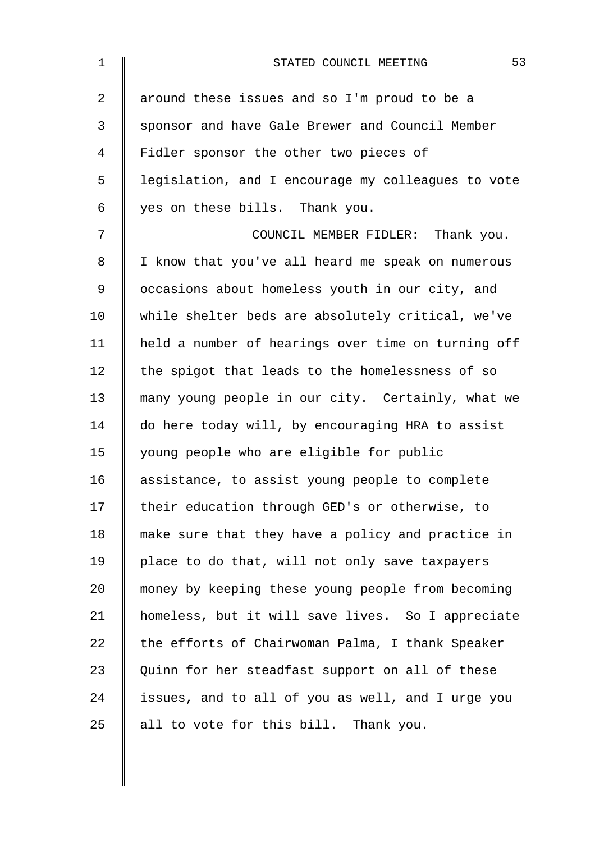| $\mathbf 1$    | 53<br>STATED COUNCIL MEETING                       |
|----------------|----------------------------------------------------|
| $\overline{2}$ | around these issues and so I'm proud to be a       |
| 3              | sponsor and have Gale Brewer and Council Member    |
| 4              | Fidler sponsor the other two pieces of             |
| 5              | legislation, and I encourage my colleagues to vote |
| 6              | yes on these bills. Thank you.                     |
| 7              | COUNCIL MEMBER FIDLER: Thank you.                  |
| 8              | I know that you've all heard me speak on numerous  |
| 9              | occasions about homeless youth in our city, and    |
| 10             | while shelter beds are absolutely critical, we've  |
| 11             | held a number of hearings over time on turning off |
| 12             | the spigot that leads to the homelessness of so    |
| 13             | many young people in our city. Certainly, what we  |
| 14             | do here today will, by encouraging HRA to assist   |
| 15             | young people who are eligible for public           |
| 16             | assistance, to assist young people to complete     |
| 17             | their education through GED's or otherwise, to     |
| 18             | make sure that they have a policy and practice in  |
| 19             | place to do that, will not only save taxpayers     |
| 20             | money by keeping these young people from becoming  |
| 21             | homeless, but it will save lives. So I appreciate  |
| 22             | the efforts of Chairwoman Palma, I thank Speaker   |
| 23             | Quinn for her steadfast support on all of these    |
| 24             | issues, and to all of you as well, and I urge you  |
| 25             | all to vote for this bill. Thank you.              |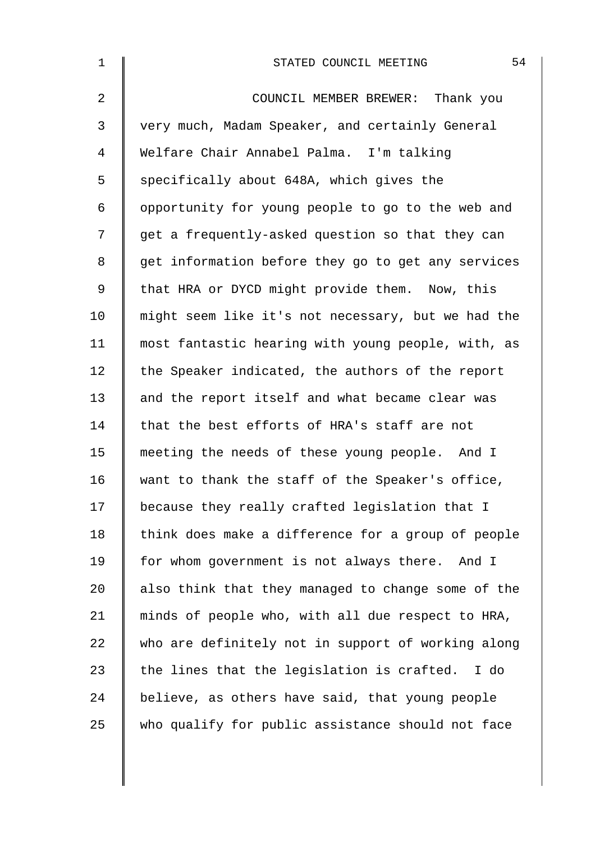| $\mathbf 1$    | 54<br>STATED COUNCIL MEETING                       |
|----------------|----------------------------------------------------|
| $\overline{2}$ | COUNCIL MEMBER BREWER: Thank you                   |
| 3              | very much, Madam Speaker, and certainly General    |
| 4              | Welfare Chair Annabel Palma. I'm talking           |
| 5              | specifically about 648A, which gives the           |
| 6              | opportunity for young people to go to the web and  |
| 7              | get a frequently-asked question so that they can   |
| 8              | get information before they go to get any services |
| $\mathsf 9$    | that HRA or DYCD might provide them. Now, this     |
| 10             | might seem like it's not necessary, but we had the |
| 11             | most fantastic hearing with young people, with, as |
| 12             | the Speaker indicated, the authors of the report   |
| 13             | and the report itself and what became clear was    |
| 14             | that the best efforts of HRA's staff are not       |
| 15             | meeting the needs of these young people. And I     |
| 16             | want to thank the staff of the Speaker's office,   |
| 17             | because they really crafted legislation that I     |
| 18             | think does make a difference for a group of people |
| 19             | for whom government is not always there. And I     |
| 20             | also think that they managed to change some of the |
| 21             | minds of people who, with all due respect to HRA,  |
| 22             | who are definitely not in support of working along |
| 23             | the lines that the legislation is crafted. I do    |
| 24             | believe, as others have said, that young people    |
| 25             | who qualify for public assistance should not face  |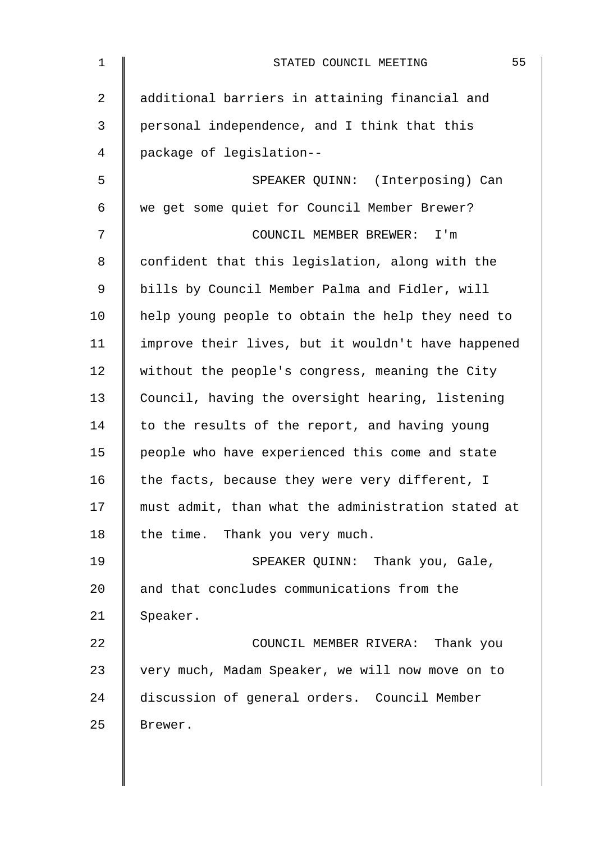| $\mathbf 1$ | 55<br>STATED COUNCIL MEETING                       |
|-------------|----------------------------------------------------|
| 2           | additional barriers in attaining financial and     |
| 3           | personal independence, and I think that this       |
| 4           | package of legislation--                           |
| 5           | SPEAKER QUINN: (Interposing) Can                   |
| 6           | we get some quiet for Council Member Brewer?       |
| 7           | COUNCIL MEMBER BREWER: I'm                         |
| 8           | confident that this legislation, along with the    |
| 9           | bills by Council Member Palma and Fidler, will     |
| 10          | help young people to obtain the help they need to  |
| 11          | improve their lives, but it wouldn't have happened |
| 12          | without the people's congress, meaning the City    |
| 13          | Council, having the oversight hearing, listening   |
| 14          | to the results of the report, and having young     |
| 15          | people who have experienced this come and state    |
| 16          | the facts, because they were very different, I     |
| 17          | must admit, than what the administration stated at |
| 18          | the time. Thank you very much.                     |
| 19          | SPEAKER QUINN: Thank you, Gale,                    |
| 20          | and that concludes communications from the         |
| 21          | Speaker.                                           |
| 22          | COUNCIL MEMBER RIVERA: Thank you                   |
| 23          | very much, Madam Speaker, we will now move on to   |
| 24          | discussion of general orders. Council Member       |
| 25          | Brewer.                                            |
|             |                                                    |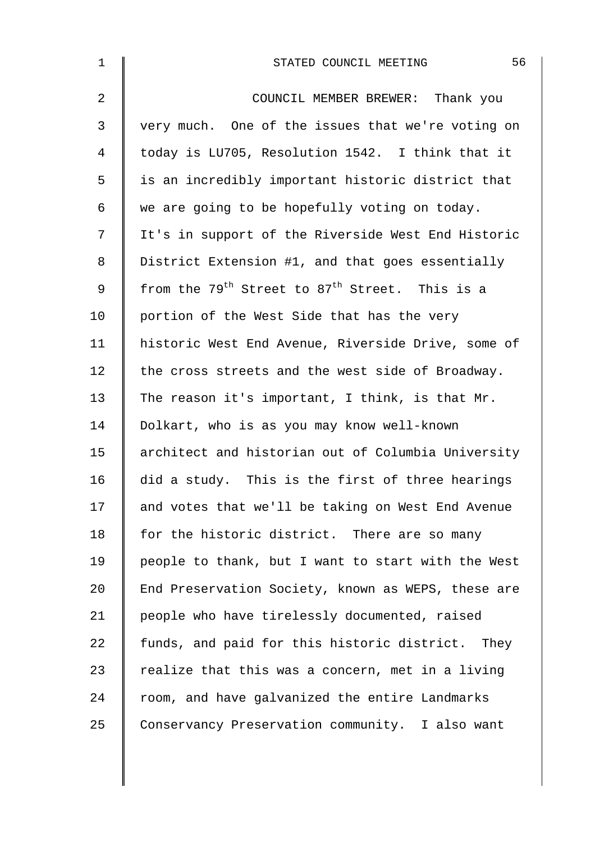| $\mathbf 1$    | 56<br>STATED COUNCIL MEETING                                           |
|----------------|------------------------------------------------------------------------|
| $\overline{2}$ | COUNCIL MEMBER BREWER: Thank you                                       |
| 3              | very much. One of the issues that we're voting on                      |
| 4              | today is LU705, Resolution 1542. I think that it                       |
| 5              | is an incredibly important historic district that                      |
| 6              | we are going to be hopefully voting on today.                          |
| 7              | It's in support of the Riverside West End Historic                     |
| 8              | District Extension #1, and that goes essentially                       |
| $\mathsf 9$    | from the 79 <sup>th</sup> Street to 87 <sup>th</sup> Street. This is a |
| 10             | portion of the West Side that has the very                             |
| 11             | historic West End Avenue, Riverside Drive, some of                     |
| 12             | the cross streets and the west side of Broadway.                       |
| 13             | The reason it's important, I think, is that Mr.                        |
| 14             | Dolkart, who is as you may know well-known                             |
| 15             | architect and historian out of Columbia University                     |
| 16             | did a study. This is the first of three hearings                       |
| 17             | and votes that we'll be taking on West End Avenue                      |
| 18             | for the historic district. There are so many                           |
| 19             | people to thank, but I want to start with the West                     |
| 20             | End Preservation Society, known as WEPS, these are                     |
| 21             | people who have tirelessly documented, raised                          |
| 22             | funds, and paid for this historic district. They                       |
| 23             | realize that this was a concern, met in a living                       |
| 24             | room, and have galvanized the entire Landmarks                         |
| 25             | Conservancy Preservation community. I also want                        |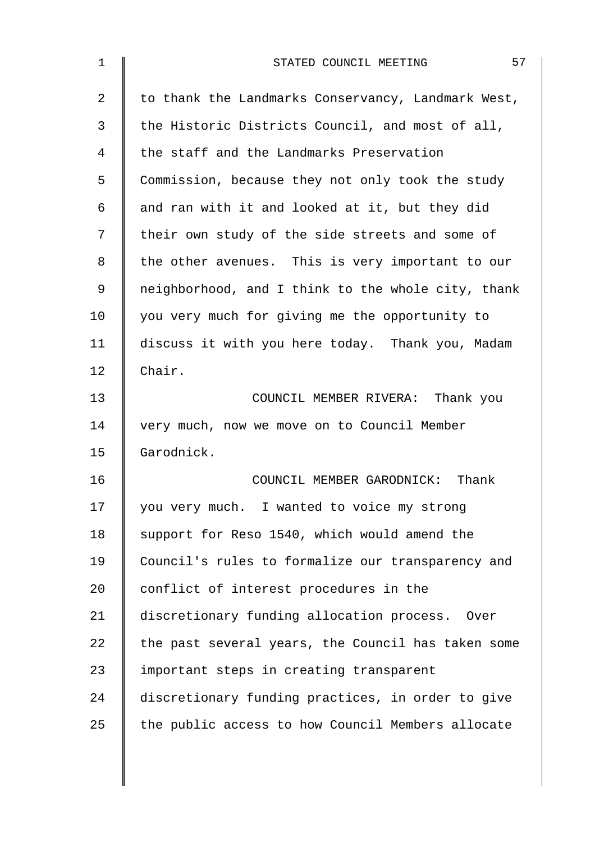| $\mathbf 1$ | 57<br>STATED COUNCIL MEETING                       |
|-------------|----------------------------------------------------|
| 2           | to thank the Landmarks Conservancy, Landmark West, |
| 3           | the Historic Districts Council, and most of all,   |
| 4           | the staff and the Landmarks Preservation           |
| 5           | Commission, because they not only took the study   |
| 6           | and ran with it and looked at it, but they did     |
| 7           | their own study of the side streets and some of    |
| 8           | the other avenues. This is very important to our   |
| 9           | neighborhood, and I think to the whole city, thank |
| 10          | you very much for giving me the opportunity to     |
| 11          | discuss it with you here today. Thank you, Madam   |
| 12          | Chair.                                             |
| 13          | COUNCIL MEMBER RIVERA: Thank you                   |
| 14          | very much, now we move on to Council Member        |
| 15          | Garodnick.                                         |
| 16          | COUNCIL MEMBER GARODNICK: Thank                    |
| 17          | you very much. I wanted to voice my strong         |
| 18          | support for Reso 1540, which would amend the       |
| 19          | Council's rules to formalize our transparency and  |
| 20          | conflict of interest procedures in the             |
| 21          | discretionary funding allocation process. Over     |
| 22          | the past several years, the Council has taken some |
| 23          | important steps in creating transparent            |
| 24          | discretionary funding practices, in order to give  |
| 25          | the public access to how Council Members allocate  |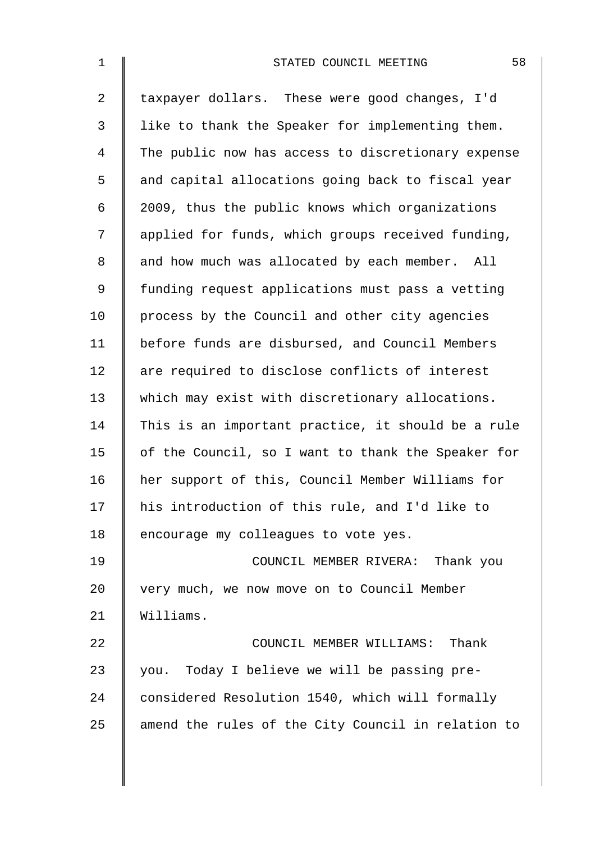| $\mathbf 1$    | 58<br>STATED COUNCIL MEETING                       |
|----------------|----------------------------------------------------|
| $\overline{a}$ | taxpayer dollars. These were good changes, I'd     |
| $\mathfrak{Z}$ | like to thank the Speaker for implementing them.   |
| 4              | The public now has access to discretionary expense |
| 5              | and capital allocations going back to fiscal year  |
| 6              | 2009, thus the public knows which organizations    |
| 7              | applied for funds, which groups received funding,  |
| 8              | and how much was allocated by each member. All     |
| 9              | funding request applications must pass a vetting   |
| 10             | process by the Council and other city agencies     |
| 11             | before funds are disbursed, and Council Members    |
| 12             | are required to disclose conflicts of interest     |
| 13             | which may exist with discretionary allocations.    |
| 14             | This is an important practice, it should be a rule |
| 15             | of the Council, so I want to thank the Speaker for |
| 16             | her support of this, Council Member Williams for   |
| 17             | his introduction of this rule, and I'd like to     |
| 18             | encourage my colleagues to vote yes.               |
| 19             | COUNCIL MEMBER RIVERA: Thank you                   |
| 20             | very much, we now move on to Council Member        |
| 21             | Williams.                                          |
| 22             | COUNCIL MEMBER WILLIAMS: Thank                     |
| 23             | you. Today I believe we will be passing pre-       |
| 24             | considered Resolution 1540, which will formally    |
| 25             | amend the rules of the City Council in relation to |
|                |                                                    |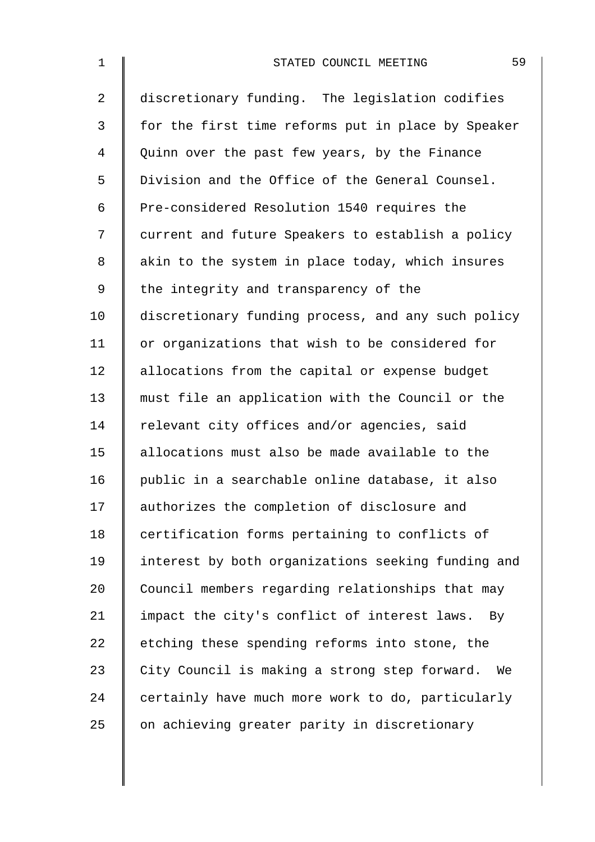| $\mathbf 1$    | 59<br>STATED COUNCIL MEETING                        |
|----------------|-----------------------------------------------------|
| $\overline{2}$ | discretionary funding. The legislation codifies     |
| 3              | for the first time reforms put in place by Speaker  |
| 4              | Quinn over the past few years, by the Finance       |
| 5              | Division and the Office of the General Counsel.     |
| 6              | Pre-considered Resolution 1540 requires the         |
| 7              | current and future Speakers to establish a policy   |
| 8              | akin to the system in place today, which insures    |
| $\mathsf 9$    | the integrity and transparency of the               |
| 10             | discretionary funding process, and any such policy  |
| 11             | or organizations that wish to be considered for     |
| 12             | allocations from the capital or expense budget      |
| 13             | must file an application with the Council or the    |
| 14             | relevant city offices and/or agencies, said         |
| 15             | allocations must also be made available to the      |
| 16             | public in a searchable online database, it also     |
| 17             | authorizes the completion of disclosure and         |
| 18             | certification forms pertaining to conflicts of      |
| 19             | interest by both organizations seeking funding and  |
| 20             | Council members regarding relationships that may    |
| 21             | impact the city's conflict of interest laws.<br>By  |
| 22             | etching these spending reforms into stone, the      |
| 23             | City Council is making a strong step forward.<br>We |
| 24             | certainly have much more work to do, particularly   |
| 25             | on achieving greater parity in discretionary        |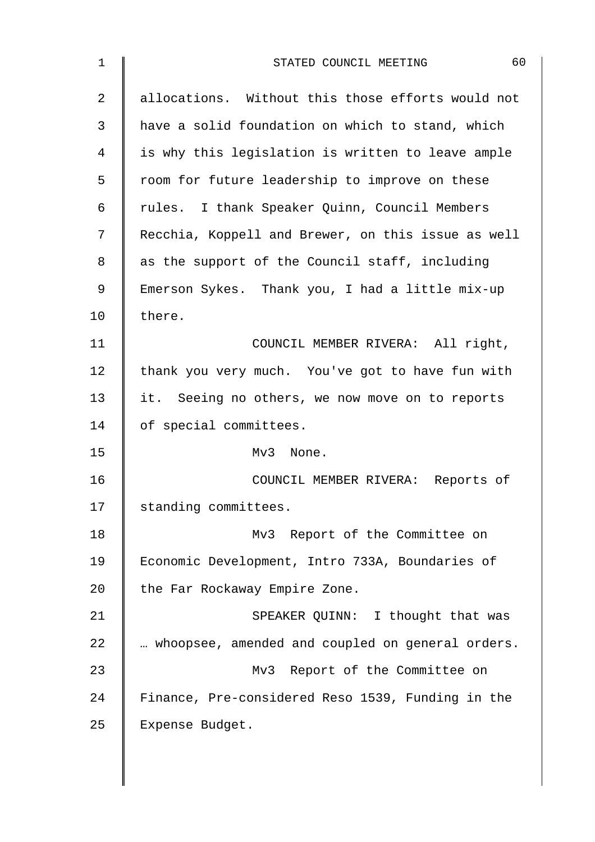| $\mathbf 1$    | 60<br>STATED COUNCIL MEETING                       |
|----------------|----------------------------------------------------|
| $\overline{2}$ | allocations. Without this those efforts would not  |
| 3              | have a solid foundation on which to stand, which   |
| 4              | is why this legislation is written to leave ample  |
| 5              | room for future leadership to improve on these     |
| 6              | rules. I thank Speaker Quinn, Council Members      |
| 7              | Recchia, Koppell and Brewer, on this issue as well |
| 8              | as the support of the Council staff, including     |
| 9              | Emerson Sykes. Thank you, I had a little mix-up    |
| 10             | there.                                             |
| 11             | COUNCIL MEMBER RIVERA: All right,                  |
| 12             | thank you very much. You've got to have fun with   |
| 13             | it. Seeing no others, we now move on to reports    |
| 14             | of special committees.                             |
| 15             | Mv3 None.                                          |
| 16             | COUNCIL MEMBER RIVERA: Reports of                  |
| 17             | standing committees.                               |
| 18             | Mv3 Report of the Committee on                     |
| 19             | Economic Development, Intro 733A, Boundaries of    |
| 20             | the Far Rockaway Empire Zone.                      |
| 21             | SPEAKER QUINN: I thought that was                  |
| 22             | whoopsee, amended and coupled on general orders.   |
| 23             | Mv3 Report of the Committee on                     |
| 24             | Finance, Pre-considered Reso 1539, Funding in the  |
| 25             | Expense Budget.                                    |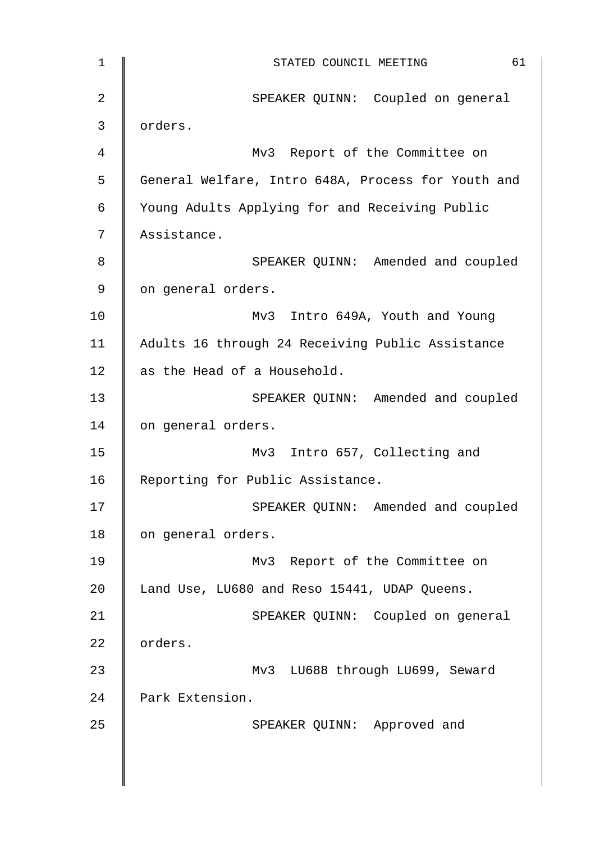| $\mathbf 1$    | 61<br>STATED COUNCIL MEETING                       |
|----------------|----------------------------------------------------|
| $\overline{2}$ | SPEAKER QUINN: Coupled on general                  |
| 3              | orders.                                            |
| $\overline{4}$ | Mv3 Report of the Committee on                     |
| 5              | General Welfare, Intro 648A, Process for Youth and |
| $\epsilon$     | Young Adults Applying for and Receiving Public     |
| 7              | Assistance.                                        |
| 8              | SPEAKER QUINN: Amended and coupled                 |
| $\mathsf 9$    | on general orders.                                 |
| 10             | Mv3 Intro 649A, Youth and Young                    |
| 11             | Adults 16 through 24 Receiving Public Assistance   |
| 12             | as the Head of a Household.                        |
| 13             | SPEAKER QUINN: Amended and coupled                 |
| 14             | on general orders.                                 |
| 15             | Mv3 Intro 657, Collecting and                      |
| 16             | Reporting for Public Assistance.                   |
| 17             | SPEAKER QUINN: Amended and coupled                 |
| 18             | on general orders.                                 |
| 19             | Mv3 Report of the Committee on                     |
| 20             | Land Use, LU680 and Reso 15441, UDAP Queens.       |
| 21             | SPEAKER QUINN: Coupled on general                  |
| 22             | orders.                                            |
| 23             | Mv3 LU688 through LU699, Seward                    |
| 24             | Park Extension.                                    |
| 25             | SPEAKER QUINN: Approved and                        |
|                |                                                    |
|                |                                                    |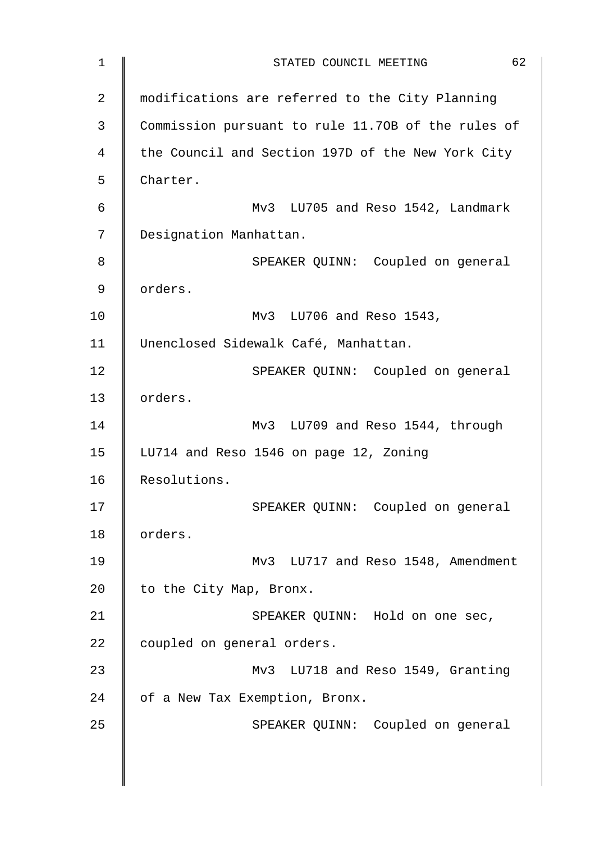| $\mathbf 1$ | 62<br>STATED COUNCIL MEETING                       |
|-------------|----------------------------------------------------|
| 2           | modifications are referred to the City Planning    |
| 3           | Commission pursuant to rule 11.70B of the rules of |
| 4           | the Council and Section 197D of the New York City  |
| 5           | Charter.                                           |
| 6           | Mv3 LU705 and Reso 1542, Landmark                  |
| 7           | Designation Manhattan.                             |
| 8           | SPEAKER QUINN: Coupled on general                  |
| 9           | orders.                                            |
| 10          | Mv3 LU706 and Reso 1543,                           |
| 11          | Unenclosed Sidewalk Café, Manhattan.               |
| 12          | SPEAKER QUINN: Coupled on general                  |
| 13          | orders.                                            |
| 14          | Mv3 LU709 and Reso 1544, through                   |
| 15          | LU714 and Reso 1546 on page 12, Zoning             |
| 16          | Resolutions.                                       |
| 17          | SPEAKER QUINN: Coupled on general                  |
| 18          | orders.                                            |
| 19          | Mv3 LU717 and Reso 1548, Amendment                 |
| 20          | to the City Map, Bronx.                            |
| 21          | SPEAKER QUINN: Hold on one sec,                    |
| 22          | coupled on general orders.                         |
| 23          | Mv3 LU718 and Reso 1549, Granting                  |
| 24          | of a New Tax Exemption, Bronx.                     |
| 25          | SPEAKER QUINN: Coupled on general                  |
|             |                                                    |
|             |                                                    |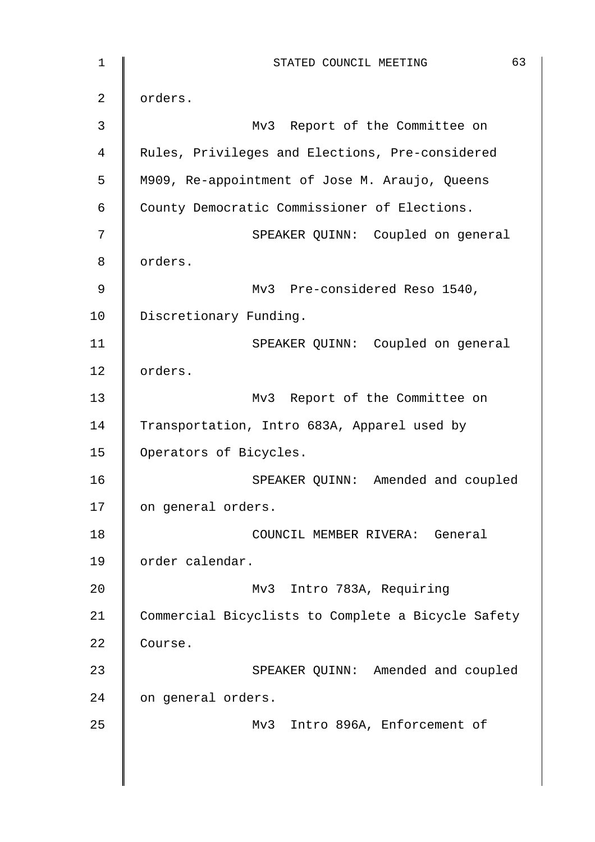1 || STATED COUNCIL MEETING 63 2 | orders. 3 || Mv3 Report of the Committee on 4 | Rules, Privileges and Elections, Pre-considered 5 | M909, Re-appointment of Jose M. Araujo, Queens 6 County Democratic Commissioner of Elections. 7 SPEAKER QUINN: Coupled on general 8 | orders. 9 | Mv3 Pre-considered Reso 1540, 10 Discretionary Funding. 11 | SPEAKER QUINN: Coupled on general 12 orders. 13 | Mv3 Report of the Committee on 14 Transportation, Intro 683A, Apparel used by 15 | Operators of Bicycles. 16 SPEAKER QUINN: Amended and coupled 17 | on general orders. 18 | COUNCIL MEMBER RIVERA: General 19 | order calendar. 20 | Mv3 Intro 783A, Requiring 21 Commercial Bicyclists to Complete a Bicycle Safety 22 Course. 23 SPEAKER QUINN: Amended and coupled 24 on general orders. 25 | Mv3 Intro 896A, Enforcement of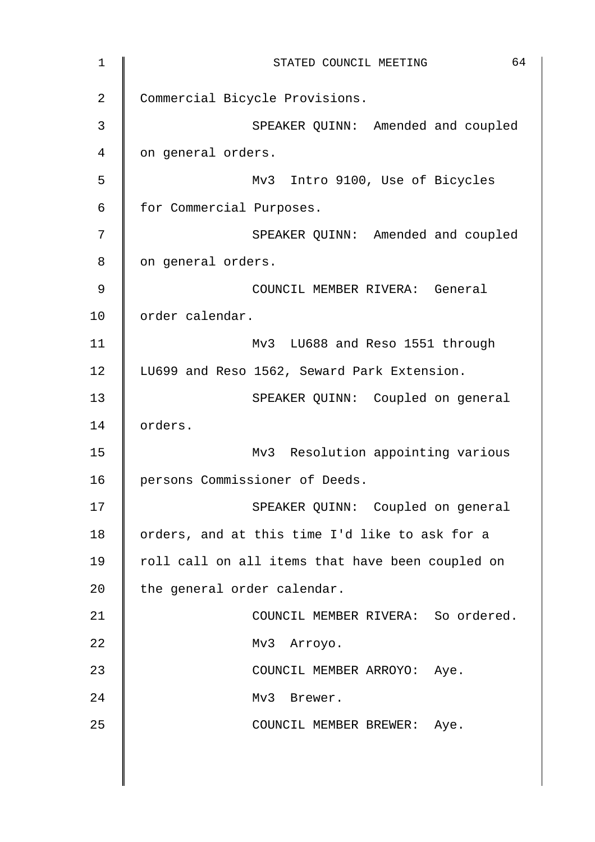1 || STATED COUNCIL MEETING 64 2 Commercial Bicycle Provisions. 3 SPEAKER QUINN: Amended and coupled 4 | on general orders. 5 Mv3 Intro 9100, Use of Bicycles 6 | for Commercial Purposes. 7 SPEAKER QUINN: Amended and coupled 8 | on general orders. 9 COUNCIL MEMBER RIVERA: General 10 | order calendar. 11 | Mv3 LU688 and Reso 1551 through 12 | LU699 and Reso 1562, Seward Park Extension. 13 | SPEAKER QUINN: Coupled on general 14 | orders. 15 || Mv3 Resolution appointing various 16 | persons Commissioner of Deeds. 17 || SPEAKER QUINN: Coupled on general 18 | orders, and at this time I'd like to ask for a 19 | roll call on all items that have been coupled on 20 the general order calendar. 21 **COUNCIL MEMBER RIVERA:** So ordered. 22 Mv3 Arroyo. 23 | COUNCIL MEMBER ARROYO: Aye. 24 | Mv3 Brewer. 25 | COUNCIL MEMBER BREWER: Aye.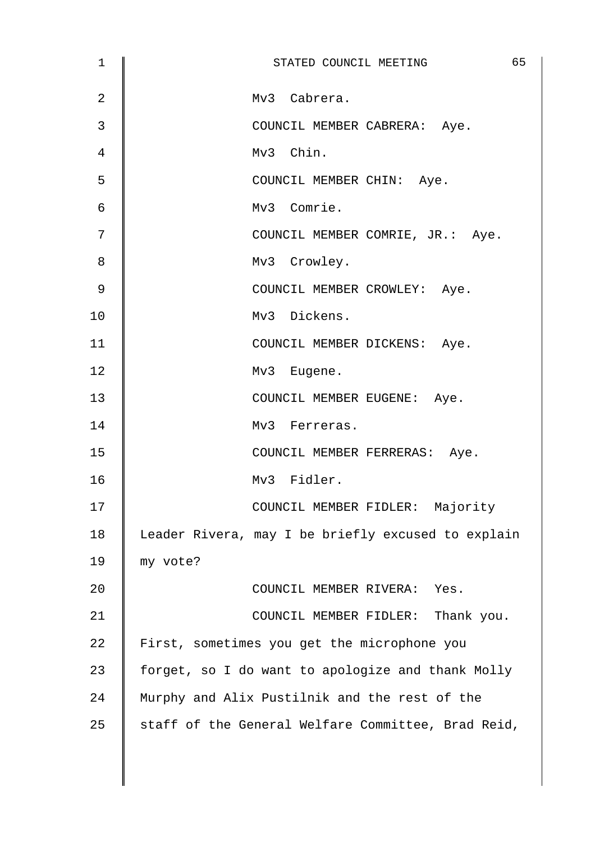| 1              | 65<br>STATED COUNCIL MEETING                       |
|----------------|----------------------------------------------------|
| $\overline{2}$ | Mv3 Cabrera.                                       |
| 3              | COUNCIL MEMBER CABRERA: Aye.                       |
| 4              | Mv3 Chin.                                          |
| 5              | COUNCIL MEMBER CHIN: Aye.                          |
| 6              | Mv3 Comrie.                                        |
| 7              | COUNCIL MEMBER COMRIE, JR.: Aye.                   |
| 8              | Mv3 Crowley.                                       |
| 9              | COUNCIL MEMBER CROWLEY: Aye.                       |
| 10             | Mv3 Dickens.                                       |
| 11             | COUNCIL MEMBER DICKENS: Aye.                       |
| 12             | Mv3 Eugene.                                        |
| 13             | COUNCIL MEMBER EUGENE: Aye.                        |
| 14             | Mv3 Ferreras.                                      |
| 15             | COUNCIL MEMBER FERRERAS: Aye.                      |
| 16             | Mv3 Fidler.                                        |
| 17             | COUNCIL MEMBER FIDLER: Majority                    |
| 18             | Leader Rivera, may I be briefly excused to explain |
| 19             | my vote?                                           |
| 20             | COUNCIL MEMBER RIVERA:<br>Yes.                     |
| 21             | COUNCIL MEMBER FIDLER: Thank you.                  |
| 22             | First, sometimes you get the microphone you        |
| 23             | forget, so I do want to apologize and thank Molly  |
| 24             | Murphy and Alix Pustilnik and the rest of the      |
| 25             | staff of the General Welfare Committee, Brad Reid, |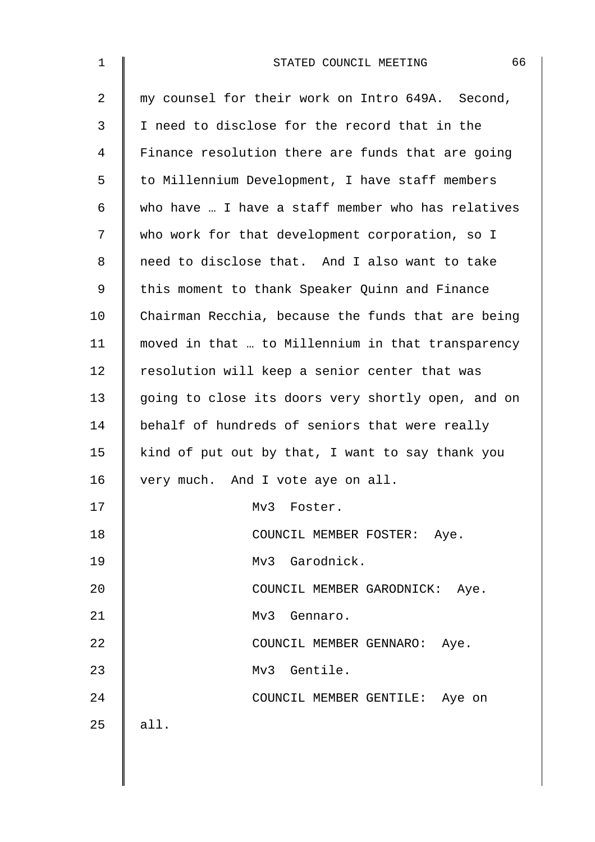| $\mathbf 1$    | 66<br>STATED COUNCIL MEETING                       |
|----------------|----------------------------------------------------|
| $\overline{2}$ | my counsel for their work on Intro 649A. Second,   |
| 3              | I need to disclose for the record that in the      |
| 4              | Finance resolution there are funds that are going  |
| 5              | to Millennium Development, I have staff members    |
| 6              | who have  I have a staff member who has relatives  |
| 7              | who work for that development corporation, so I    |
| 8              | need to disclose that. And I also want to take     |
| 9              | this moment to thank Speaker Quinn and Finance     |
| 10             | Chairman Recchia, because the funds that are being |
| 11             | moved in that  to Millennium in that transparency  |
| 12             | resolution will keep a senior center that was      |
| 13             | going to close its doors very shortly open, and on |
| 14             | behalf of hundreds of seniors that were really     |
| 15             | kind of put out by that, I want to say thank you   |
| 16             | very much. And I vote aye on all.                  |
| 17             | Mv3 Foster.                                        |
| 18             | COUNCIL MEMBER FOSTER: Aye.                        |
| 19             | Mv3 Garodnick.                                     |
| 20             | COUNCIL MEMBER GARODNICK: Aye.                     |
| 21             | Mv3 Gennaro.                                       |
| 22             | COUNCIL MEMBER GENNARO: Aye.                       |
| 23             | Mv3 Gentile.                                       |
| 24             | COUNCIL MEMBER GENTILE: Aye on                     |
| 25             | all.                                               |
|                |                                                    |
|                |                                                    |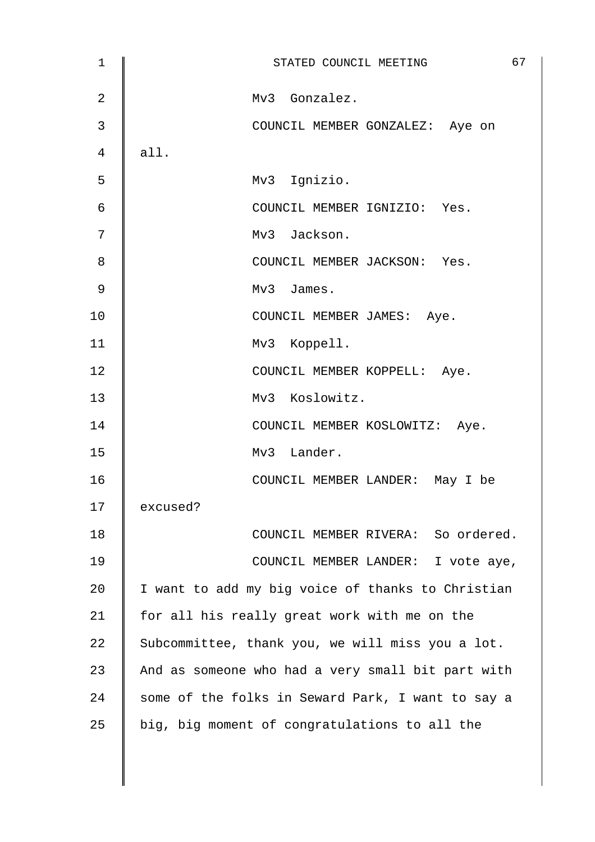| 1              | 67<br>STATED COUNCIL MEETING                      |
|----------------|---------------------------------------------------|
| $\overline{2}$ | Mv3 Gonzalez.                                     |
| 3              | COUNCIL MEMBER GONZALEZ: Aye on                   |
| 4              | all.                                              |
| 5              | Mv3 Ignizio.                                      |
| 6              | COUNCIL MEMBER IGNIZIO: Yes.                      |
| 7              | Mv3 Jackson.                                      |
| 8              | COUNCIL MEMBER JACKSON: Yes.                      |
| 9              | Mv3 James.                                        |
| 10             | COUNCIL MEMBER JAMES: Aye.                        |
| 11             | Mv3 Koppell.                                      |
| 12             | COUNCIL MEMBER KOPPELL: Aye.                      |
| 13             | Mv3 Koslowitz.                                    |
| 14             | COUNCIL MEMBER KOSLOWITZ: Aye.                    |
| 15             | Mv3 Lander.                                       |
| 16             | COUNCIL MEMBER LANDER: May I be                   |
| 17             | excused?                                          |
| 18             | COUNCIL MEMBER RIVERA: So ordered.                |
| 19             | COUNCIL MEMBER LANDER: I vote aye,                |
| 20             | I want to add my big voice of thanks to Christian |
| 21             | for all his really great work with me on the      |
| 22             | Subcommittee, thank you, we will miss you a lot.  |
| 23             | And as someone who had a very small bit part with |
| 24             | some of the folks in Seward Park, I want to say a |
| 25             | big, big moment of congratulations to all the     |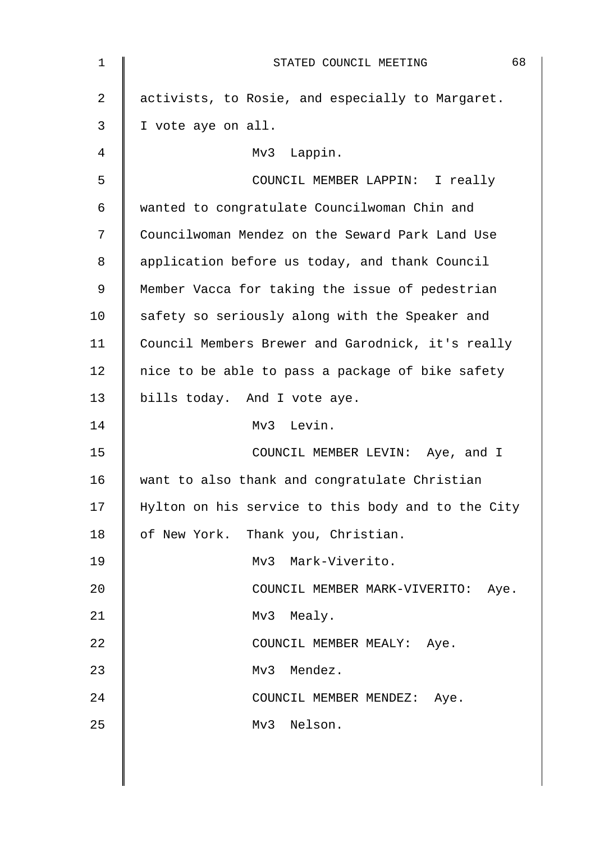| $\mathbf 1$    | 68<br>STATED COUNCIL MEETING                       |
|----------------|----------------------------------------------------|
| $\overline{2}$ | activists, to Rosie, and especially to Margaret.   |
| 3              | I vote aye on all.                                 |
| 4              | Mv3 Lappin.                                        |
| 5              | COUNCIL MEMBER LAPPIN: I really                    |
| 6              | wanted to congratulate Councilwoman Chin and       |
| 7              | Councilwoman Mendez on the Seward Park Land Use    |
| 8              | application before us today, and thank Council     |
| 9              | Member Vacca for taking the issue of pedestrian    |
| 10             | safety so seriously along with the Speaker and     |
| 11             | Council Members Brewer and Garodnick, it's really  |
| 12             | nice to be able to pass a package of bike safety   |
| 13             | bills today. And I vote aye.                       |
| 14             | Mv3 Levin.                                         |
| 15             | COUNCIL MEMBER LEVIN: Aye, and I                   |
| 16             | want to also thank and congratulate Christian      |
| 17             | Hylton on his service to this body and to the City |
| 18             | of New York. Thank you, Christian.                 |
| 19             | Mv3 Mark-Viverito.                                 |
| 20             | COUNCIL MEMBER MARK-VIVERITO: Aye.                 |
| 21             | Mv3 Mealy.                                         |
| 22             | COUNCIL MEMBER MEALY: Aye.                         |
| 23             | Mendez.<br>Mv3                                     |
| 24             | COUNCIL MEMBER MENDEZ: Aye.                        |
| 25             | Nelson.<br>Mv3                                     |
|                |                                                    |
|                |                                                    |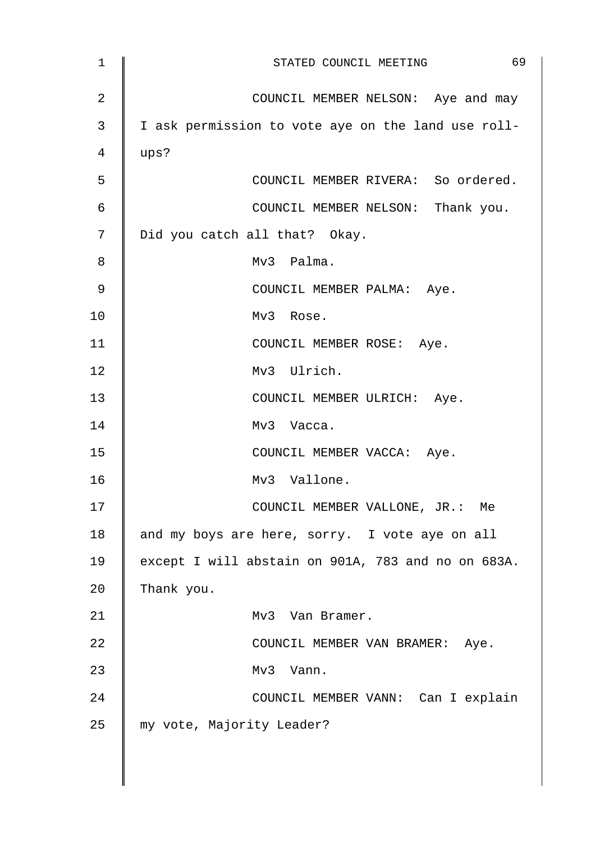| $\mathbf 1$    | 69<br>STATED COUNCIL MEETING                       |
|----------------|----------------------------------------------------|
| $\overline{2}$ | COUNCIL MEMBER NELSON: Aye and may                 |
| 3              | I ask permission to vote aye on the land use roll- |
| 4              | ups?                                               |
| 5              | COUNCIL MEMBER RIVERA: So ordered.                 |
| $\epsilon$     | COUNCIL MEMBER NELSON: Thank you.                  |
| 7              | Did you catch all that? Okay.                      |
| 8              | Mv3 Palma.                                         |
| 9              | COUNCIL MEMBER PALMA: Aye.                         |
| 10             | Mv3 Rose.                                          |
| 11             | COUNCIL MEMBER ROSE: Aye.                          |
| 12             | Mv3 Ulrich.                                        |
| 13             | COUNCIL MEMBER ULRICH: Aye.                        |
| 14             | Mv3 Vacca.                                         |
| 15             | COUNCIL MEMBER VACCA: Aye.                         |
| 16             | Mv3 Vallone.                                       |
| 17             | COUNCIL MEMBER VALLONE, JR.: Me                    |
| 18             | and my boys are here, sorry. I vote aye on all     |
| 19             | except I will abstain on 901A, 783 and no on 683A. |
| 20             | Thank you.                                         |
| 21             | Mv3<br>Van Bramer.                                 |
| 22             | COUNCIL MEMBER VAN BRAMER: Aye.                    |
| 23             | Mv3 Vann.                                          |
| 24             | COUNCIL MEMBER VANN: Can I explain                 |
| 25             | my vote, Majority Leader?                          |
|                |                                                    |
|                |                                                    |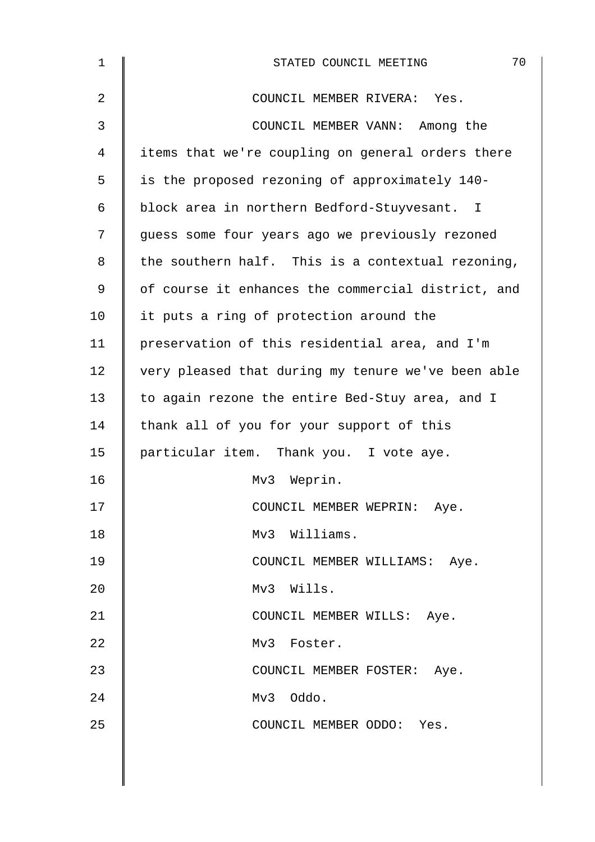| $\mathbf{1}$   | 70<br>STATED COUNCIL MEETING                       |
|----------------|----------------------------------------------------|
| $\overline{2}$ | COUNCIL MEMBER RIVERA: Yes.                        |
| 3              | COUNCIL MEMBER VANN: Among the                     |
| 4              | items that we're coupling on general orders there  |
| 5              | is the proposed rezoning of approximately 140-     |
| 6              | block area in northern Bedford-Stuyvesant. I       |
| 7              | guess some four years ago we previously rezoned    |
| 8              | the southern half. This is a contextual rezoning,  |
| $\mathsf 9$    | of course it enhances the commercial district, and |
| 10             | it puts a ring of protection around the            |
| 11             | preservation of this residential area, and I'm     |
| 12             | very pleased that during my tenure we've been able |
| 13             | to again rezone the entire Bed-Stuy area, and I    |
| 14             | thank all of you for your support of this          |
| 15             | particular item. Thank you. I vote aye.            |
| 16             | Mv3 Weprin.                                        |
| 17             | COUNCIL MEMBER WEPRIN: Aye.                        |
| 18             | Mv3 Williams.                                      |
| 19             | COUNCIL MEMBER WILLIAMS: Aye.                      |
| 20             | Mv3 Wills.                                         |
| 21             | COUNCIL MEMBER WILLS: Aye.                         |
| 22             | Mv3 Foster.                                        |
| 23             | COUNCIL MEMBER FOSTER: Aye.                        |
| 24             | Mv3 Oddo.                                          |
| 25             | COUNCIL MEMBER ODDO: Yes.                          |
|                |                                                    |
|                |                                                    |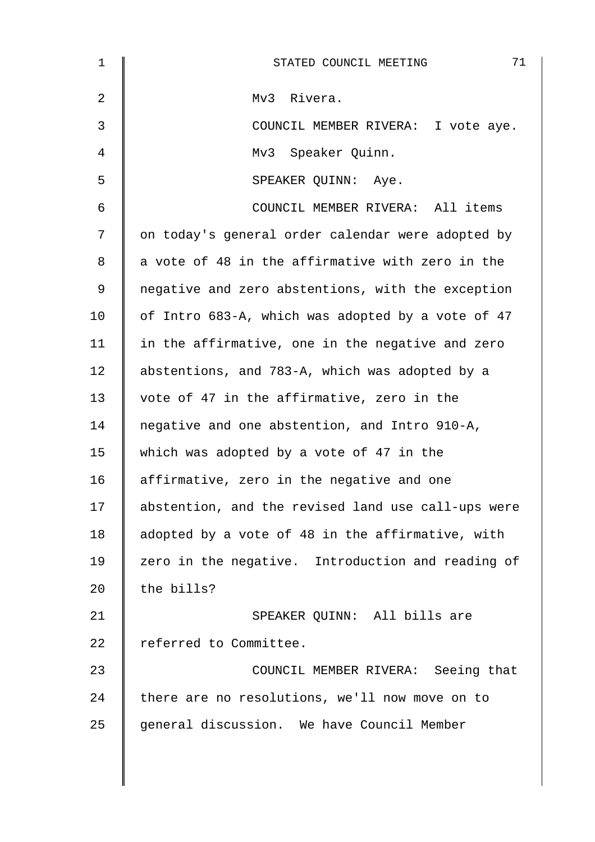| $\mathbf 1$ | 71<br>STATED COUNCIL MEETING                       |
|-------------|----------------------------------------------------|
| 2           | Mv3 Rivera.                                        |
| 3           | COUNCIL MEMBER RIVERA: I vote aye.                 |
| 4           | Mv3 Speaker Quinn.                                 |
| 5           | SPEAKER QUINN: Aye.                                |
| 6           | COUNCIL MEMBER RIVERA: All items                   |
| 7           | on today's general order calendar were adopted by  |
| 8           | a vote of 48 in the affirmative with zero in the   |
| 9           | negative and zero abstentions, with the exception  |
| 10          | of Intro 683-A, which was adopted by a vote of 47  |
| 11          | in the affirmative, one in the negative and zero   |
| 12          | abstentions, and 783-A, which was adopted by a     |
| 13          | vote of 47 in the affirmative, zero in the         |
| 14          | negative and one abstention, and Intro 910-A,      |
| 15          | which was adopted by a vote of 47 in the           |
| 16          | affirmative, zero in the negative and one          |
| 17          | abstention, and the revised land use call-ups were |
| 18          | adopted by a vote of 48 in the affirmative, with   |
| 19          | zero in the negative. Introduction and reading of  |
| 20          | the bills?                                         |
| 21          | SPEAKER QUINN: All bills are                       |
| 22          | referred to Committee.                             |
| 23          | COUNCIL MEMBER RIVERA: Seeing that                 |
| 24          | there are no resolutions, we'll now move on to     |
| 25          | general discussion. We have Council Member         |
|             |                                                    |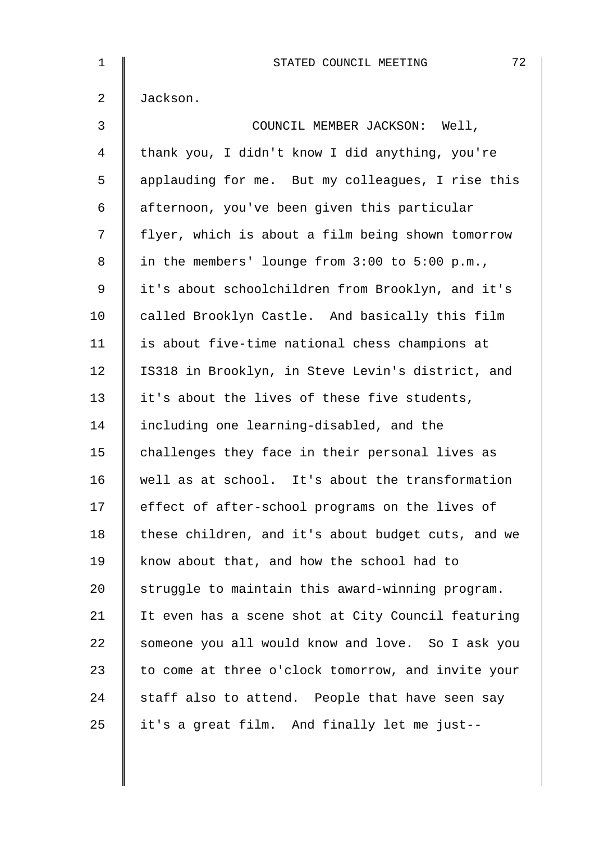| $\mathbf 1$    | 72<br>STATED COUNCIL MEETING                       |
|----------------|----------------------------------------------------|
| $\overline{2}$ | Jackson.                                           |
| 3              | COUNCIL MEMBER JACKSON: Well,                      |
| 4              | thank you, I didn't know I did anything, you're    |
| 5              | applauding for me. But my colleagues, I rise this  |
| 6              | afternoon, you've been given this particular       |
| 7              | flyer, which is about a film being shown tomorrow  |
| 8              | in the members' lounge from $3:00$ to $5:00$ p.m., |
| 9              | it's about schoolchildren from Brooklyn, and it's  |
| 10             | called Brooklyn Castle. And basically this film    |
| 11             | is about five-time national chess champions at     |
| 12             | IS318 in Brooklyn, in Steve Levin's district, and  |
| 13             | it's about the lives of these five students,       |
| 14             | including one learning-disabled, and the           |
| 15             | challenges they face in their personal lives as    |
| 16             | well as at school. It's about the transformation   |
| 17             | effect of after-school programs on the lives of    |
| 18             | these children, and it's about budget cuts, and we |
| 19             | know about that, and how the school had to         |
| 20             | struggle to maintain this award-winning program.   |
| 21             | It even has a scene shot at City Council featuring |
| 22             | someone you all would know and love. So I ask you  |
| 23             | to come at three o'clock tomorrow, and invite your |
| 24             | staff also to attend. People that have seen say    |
| 25             | it's a great film. And finally let me just--       |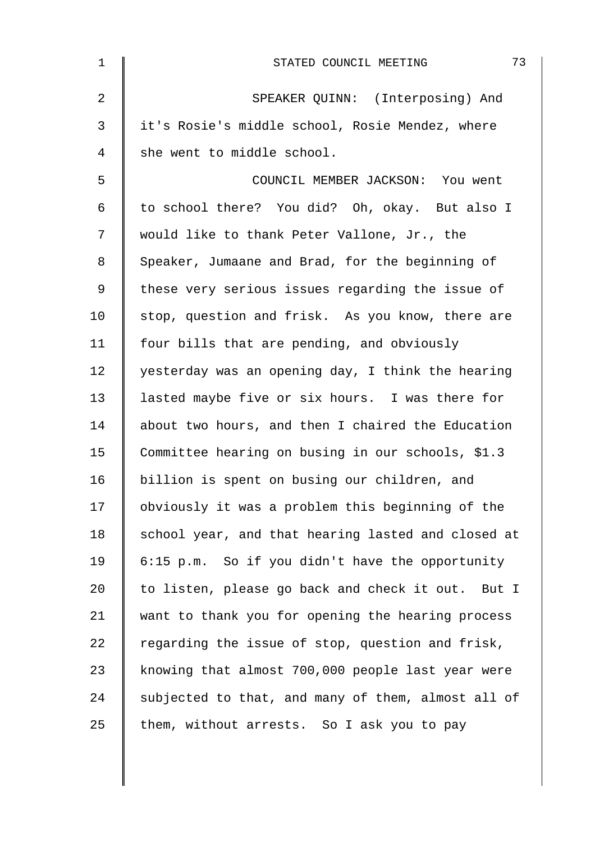| $\mathbf 1$    | 73<br>STATED COUNCIL MEETING                       |
|----------------|----------------------------------------------------|
| $\overline{a}$ | SPEAKER QUINN: (Interposing) And                   |
| $\mathfrak{Z}$ | it's Rosie's middle school, Rosie Mendez, where    |
| 4              | she went to middle school.                         |
| 5              | COUNCIL MEMBER JACKSON: You went                   |
| 6              | to school there? You did? Oh, okay. But also I     |
| 7              | would like to thank Peter Vallone, Jr., the        |
| 8              | Speaker, Jumaane and Brad, for the beginning of    |
| 9              | these very serious issues regarding the issue of   |
| 10             | stop, question and frisk. As you know, there are   |
| 11             | four bills that are pending, and obviously         |
| 12             | yesterday was an opening day, I think the hearing  |
| 13             | lasted maybe five or six hours. I was there for    |
| 14             | about two hours, and then I chaired the Education  |
| 15             | Committee hearing on busing in our schools, \$1.3  |
| 16             | billion is spent on busing our children, and       |
| 17             | obviously it was a problem this beginning of the   |
| 18             | school year, and that hearing lasted and closed at |
| 19             | 6:15 p.m. So if you didn't have the opportunity    |
| 20             | to listen, please go back and check it out. But I  |
| 21             | want to thank you for opening the hearing process  |
| 22             | regarding the issue of stop, question and frisk,   |
| 23             | knowing that almost 700,000 people last year were  |
| 24             | subjected to that, and many of them, almost all of |
| 25             | them, without arrests. So I ask you to pay         |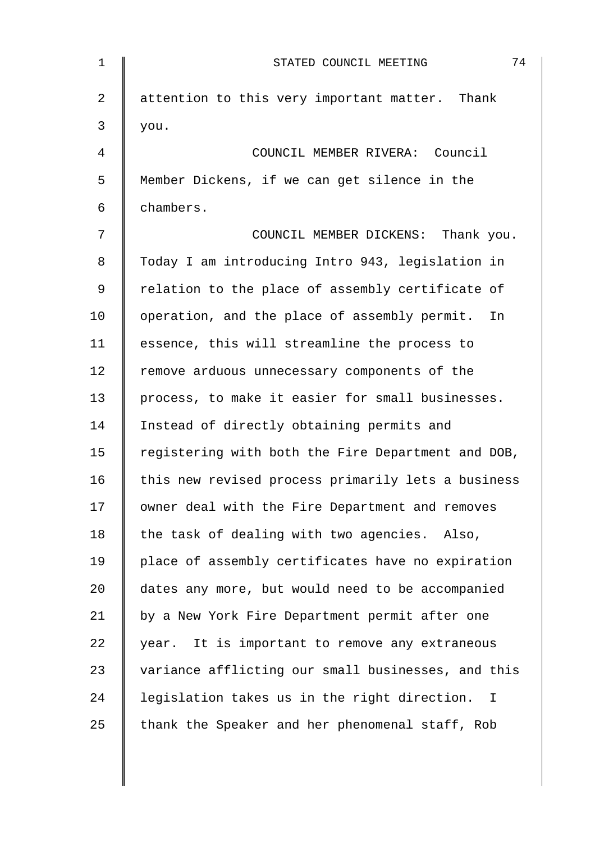| $\mathbf 1$ | 74<br>STATED COUNCIL MEETING                                 |
|-------------|--------------------------------------------------------------|
| 2           | attention to this very important matter. Thank               |
| 3           | you.                                                         |
| 4           | COUNCIL MEMBER RIVERA: Council                               |
| 5           | Member Dickens, if we can get silence in the                 |
| 6           | chambers.                                                    |
| 7           | COUNCIL MEMBER DICKENS: Thank you.                           |
| 8           | Today I am introducing Intro 943, legislation in             |
| 9           | relation to the place of assembly certificate of             |
| 10          | operation, and the place of assembly permit.<br>In           |
| 11          | essence, this will streamline the process to                 |
| 12          | remove arduous unnecessary components of the                 |
| 13          | process, to make it easier for small businesses.             |
| 14          | Instead of directly obtaining permits and                    |
| 15          | registering with both the Fire Department and DOB,           |
| 16          | this new revised process primarily lets a business           |
| 17          | owner deal with the Fire Department and removes              |
| 18          | the task of dealing with two agencies. Also,                 |
| 19          | place of assembly certificates have no expiration            |
| 20          | dates any more, but would need to be accompanied             |
| 21          | by a New York Fire Department permit after one               |
| 22          | year. It is important to remove any extraneous               |
| 23          | variance afflicting our small businesses, and this           |
| 24          | legislation takes us in the right direction.<br>$\mathbf{I}$ |
| 25          | thank the Speaker and her phenomenal staff, Rob              |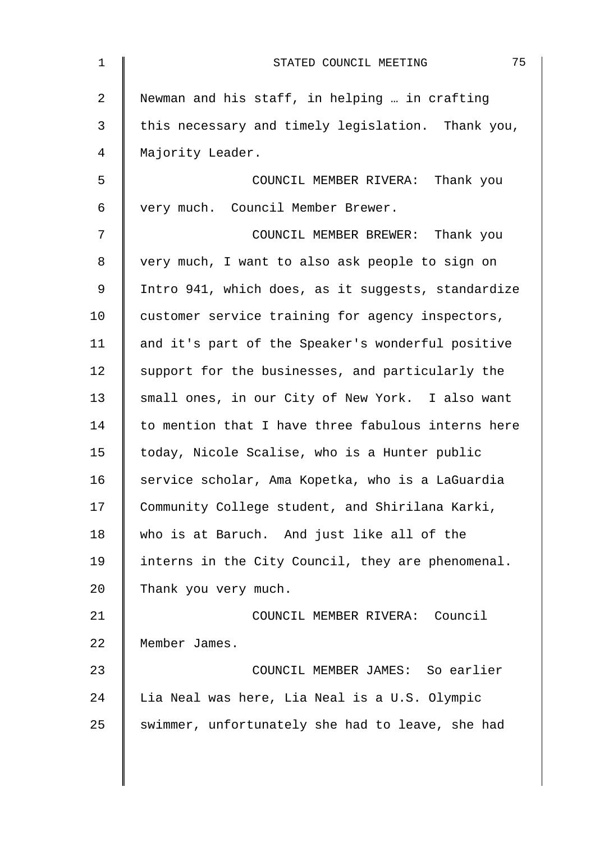| $\mathbf 1$ | 75<br>STATED COUNCIL MEETING                       |
|-------------|----------------------------------------------------|
| 2           | Newman and his staff, in helping  in crafting      |
| 3           | this necessary and timely legislation. Thank you,  |
| 4           | Majority Leader.                                   |
| 5           | COUNCIL MEMBER RIVERA: Thank you                   |
| 6           | very much. Council Member Brewer.                  |
| 7           | COUNCIL MEMBER BREWER: Thank you                   |
| 8           | very much, I want to also ask people to sign on    |
| 9           | Intro 941, which does, as it suggests, standardize |
| 10          | customer service training for agency inspectors,   |
| 11          | and it's part of the Speaker's wonderful positive  |
| 12          | support for the businesses, and particularly the   |
| 13          | small ones, in our City of New York. I also want   |
| 14          | to mention that I have three fabulous interns here |
| 15          | today, Nicole Scalise, who is a Hunter public      |
| 16          | service scholar, Ama Kopetka, who is a LaGuardia   |
| 17          | Community College student, and Shirilana Karki,    |
| 18          | who is at Baruch. And just like all of the         |
| 19          | interns in the City Council, they are phenomenal.  |
| 20          | Thank you very much.                               |
| 21          | COUNCIL MEMBER RIVERA: Council                     |
| 22          | Member James.                                      |
| 23          | COUNCIL MEMBER JAMES: So earlier                   |
| 24          | Lia Neal was here, Lia Neal is a U.S. Olympic      |
| 25          | swimmer, unfortunately she had to leave, she had   |
|             |                                                    |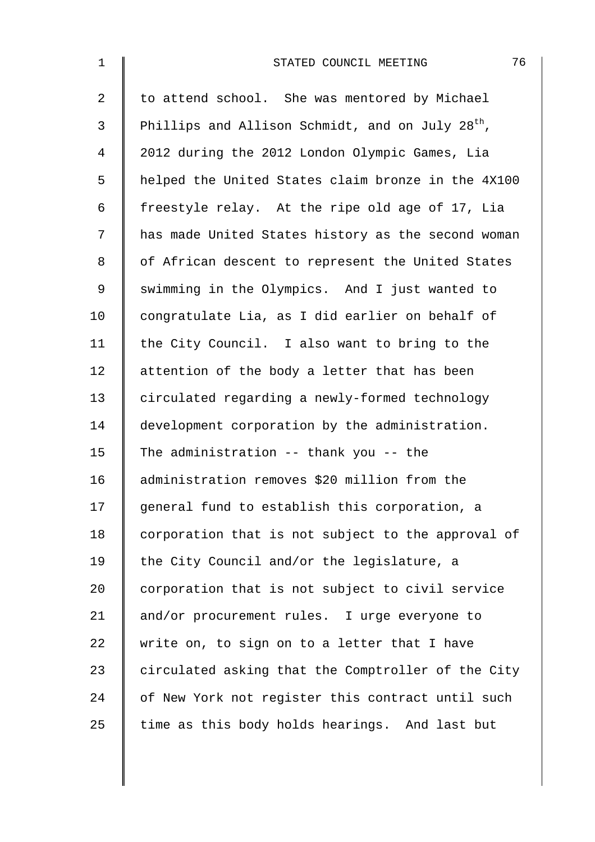| $\mathbf{1}$   | 76<br>STATED COUNCIL MEETING                                 |
|----------------|--------------------------------------------------------------|
| 2              | to attend school. She was mentored by Michael                |
| $\mathfrak{Z}$ | Phillips and Allison Schmidt, and on July 28 <sup>th</sup> , |
| 4              | 2012 during the 2012 London Olympic Games, Lia               |
| 5              | helped the United States claim bronze in the 4X100           |
| 6              | freestyle relay. At the ripe old age of 17, Lia              |
| 7              | has made United States history as the second woman           |
| 8              | of African descent to represent the United States            |
| 9              | swimming in the Olympics. And I just wanted to               |
| 10             | congratulate Lia, as I did earlier on behalf of              |
| 11             | the City Council. I also want to bring to the                |
| 12             | attention of the body a letter that has been                 |
| 13             | circulated regarding a newly-formed technology               |
| 14             | development corporation by the administration.               |
| 15             | The administration -- thank you -- the                       |
| 16             | administration removes \$20 million from the                 |
| 17             | general fund to establish this corporation, a                |
| 18             | corporation that is not subject to the approval of           |
| 19             | the City Council and/or the legislature, a                   |
| 20             | corporation that is not subject to civil service             |
| 21             | and/or procurement rules. I urge everyone to                 |
| 22             | write on, to sign on to a letter that I have                 |
| 23             | circulated asking that the Comptroller of the City           |
| 24             | of New York not register this contract until such            |
| 25             | time as this body holds hearings. And last but               |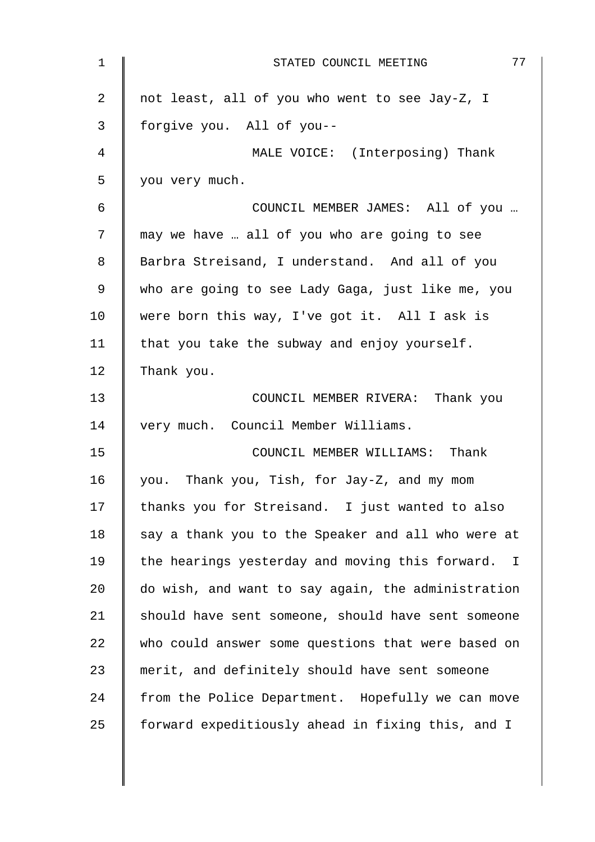| $\mathbf 1$    | 77<br>STATED COUNCIL MEETING                                    |
|----------------|-----------------------------------------------------------------|
| $\overline{a}$ | not least, all of you who went to see Jay-Z, I                  |
| 3              | forgive you. All of you--                                       |
| $\overline{4}$ | MALE VOICE: (Interposing) Thank                                 |
| 5              | you very much.                                                  |
| 6              | COUNCIL MEMBER JAMES: All of you                                |
| 7              | may we have  all of you who are going to see                    |
| 8              | Barbra Streisand, I understand. And all of you                  |
| 9              | who are going to see Lady Gaga, just like me, you               |
| 10             | were born this way, I've got it. All I ask is                   |
| 11             | that you take the subway and enjoy yourself.                    |
| 12             | Thank you.                                                      |
| 13             | COUNCIL MEMBER RIVERA: Thank you                                |
| 14             | very much. Council Member Williams.                             |
| 15             | COUNCIL MEMBER WILLIAMS: Thank                                  |
| 16             | you. Thank you, Tish, for Jay-Z, and my mom                     |
| 17             | thanks you for Streisand. I just wanted to also                 |
| 18             | say a thank you to the Speaker and all who were at              |
| 19             | the hearings yesterday and moving this forward.<br>$\mathbb{I}$ |
| 20             | do wish, and want to say again, the administration              |
| 21             | should have sent someone, should have sent someone              |
| 22             | who could answer some questions that were based on              |
| 23             | merit, and definitely should have sent someone                  |
| 24             | from the Police Department. Hopefully we can move               |
| 25             | forward expeditiously ahead in fixing this, and I               |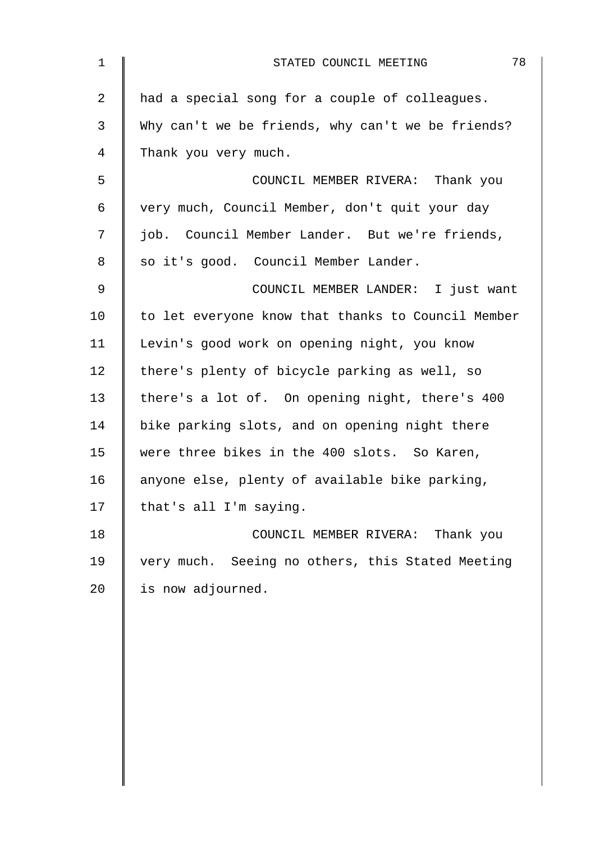| $\mathbf 1$    | 78<br>STATED COUNCIL MEETING                       |
|----------------|----------------------------------------------------|
| $\overline{a}$ | had a special song for a couple of colleagues.     |
| 3              | Why can't we be friends, why can't we be friends?  |
| 4              | Thank you very much.                               |
| 5              | COUNCIL MEMBER RIVERA: Thank you                   |
| 6              | very much, Council Member, don't quit your day     |
| 7              | job. Council Member Lander. But we're friends,     |
| 8              | so it's good. Council Member Lander.               |
| 9              | COUNCIL MEMBER LANDER: I just want                 |
| 10             | to let everyone know that thanks to Council Member |
| 11             | Levin's good work on opening night, you know       |
| 12             | there's plenty of bicycle parking as well, so      |
| 13             | there's a lot of. On opening night, there's 400    |
| 14             | bike parking slots, and on opening night there     |
| 15             | were three bikes in the 400 slots. So Karen,       |
| 16             | anyone else, plenty of available bike parking,     |
| 17             | that's all I'm saying.                             |
| 18             | COUNCIL MEMBER RIVERA: Thank you                   |
| 19             | very much. Seeing no others, this Stated Meeting   |
| 20             | is now adjourned.                                  |
|                |                                                    |
|                |                                                    |
|                |                                                    |
|                |                                                    |
|                |                                                    |
|                |                                                    |
|                |                                                    |